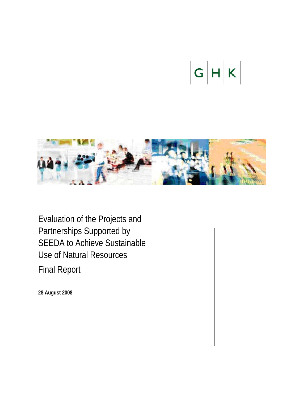# $|G|H|K|$



Evaluation of the Projects and Partnerships Supported by SEEDA to Achieve Sustainable Use of Natural Resources

Final Report

**28 August 2008**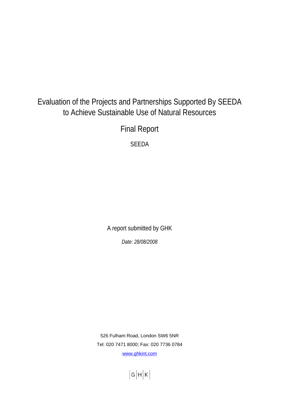## Evaluation of the Projects and Partnerships Supported By SEEDA to Achieve Sustainable Use of Natural Resources

Final Report

SEEDA

A report submitted by GHK

*Date: 28/08/2008* 

526 Fulham Road, London SW6 5NR Tel: 020 7471 8000; Fax: 020 7736 0784 [www.ghkint.com](http://www.ghkint.com/)

 $|G|H|K|$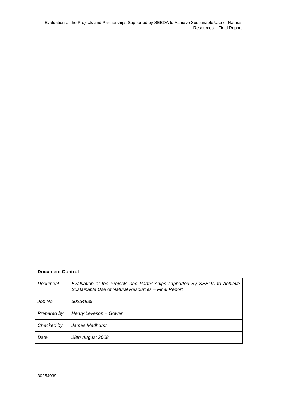Evaluation of the Projects and Partnerships Supported by SEEDA to Achieve Sustainable Use of Natural Resources – Final Report

#### **Document Control**

| Document    | Evaluation of the Projects and Partnerships supported By SEEDA to Achieve<br>Sustainable Use of Natural Resources - Final Report |
|-------------|----------------------------------------------------------------------------------------------------------------------------------|
| Job No.     | 30254939                                                                                                                         |
| Prepared by | Henry Leveson – Gower                                                                                                            |
| Checked by  | James Medhurst                                                                                                                   |
| Date        | 28th August 2008                                                                                                                 |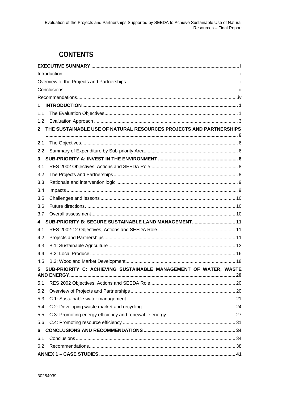## **CONTENTS**

| 1        |                                                                    |  |
|----------|--------------------------------------------------------------------|--|
| 1.1      |                                                                    |  |
| 1.2      |                                                                    |  |
| 2        | THE SUSTAINABLE USE OF NATURAL RESOURCES PROJECTS AND PARTNERSHIPS |  |
|          |                                                                    |  |
| 2.1      |                                                                    |  |
| 2.2      |                                                                    |  |
| 3        |                                                                    |  |
| 3.1      |                                                                    |  |
| 3.2      |                                                                    |  |
| 3.3      |                                                                    |  |
| 3.4      |                                                                    |  |
| 3.5      |                                                                    |  |
| 3.6      |                                                                    |  |
| 3.7      | SUB-PRIORITY B: SECURE SUSTAINABLE LAND MANAGEMENT 11              |  |
| 4<br>4.1 |                                                                    |  |
| 4.2      |                                                                    |  |
| 4.3      |                                                                    |  |
| 4.4      |                                                                    |  |
| 4.5      |                                                                    |  |
| 5        | SUB-PRIORITY C: ACHIEVING SUSTAINABLE MANAGEMENT OF WATER, WASTE   |  |
|          | <b>D ENERGY</b>                                                    |  |
| 5.1      |                                                                    |  |
| 5.2      |                                                                    |  |
| 5.3      |                                                                    |  |
| 5.4      |                                                                    |  |
| 5.5      |                                                                    |  |
| 5.6      |                                                                    |  |
| 6        |                                                                    |  |
| 6.1      |                                                                    |  |
| 6.2      |                                                                    |  |
|          |                                                                    |  |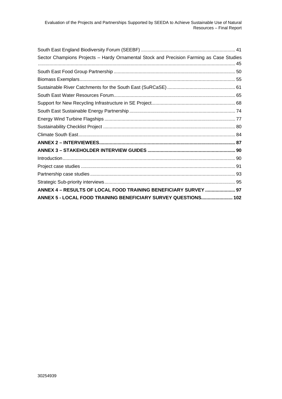| Sector Champions Projects - Hardy Ornamental Stock and Precision Farming as Case Studies |
|------------------------------------------------------------------------------------------|
|                                                                                          |
|                                                                                          |
|                                                                                          |
|                                                                                          |
|                                                                                          |
|                                                                                          |
|                                                                                          |
|                                                                                          |
|                                                                                          |
|                                                                                          |
|                                                                                          |
|                                                                                          |
|                                                                                          |
|                                                                                          |
|                                                                                          |
| ANNEX 4 - RESULTS OF LOCAL FOOD TRAINING BENEFICIARY SURVEY  97                          |
| ANNEX 5 - LOCAL FOOD TRAINING BENEFICIARY SURVEY QUESTIONS 102                           |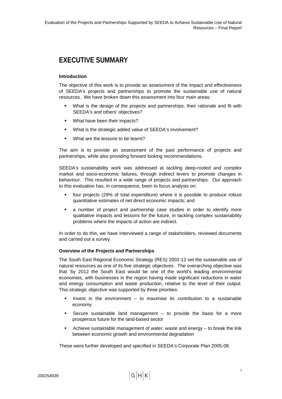## <span id="page-5-0"></span>**EXECUTIVE SUMMARY**

#### **Introduction**

The objective of this work is to provide an assessment of the impact and effectiveness of SEEDA's projects and partnerships to promote the sustainable use of natural resources. We have broken down this assessment into four main areas:

- What is the design of the projects and partnerships, their rationale and fit with SEEDA's and others' objectives?
- What have been their impacts?
- What is the strategic added value of SEEDA's involvement?
- What are the lessons to be learnt?

The aim is to provide an assessment of the past performance of projects and partnerships, while also providing forward looking recommendations.

SEEDA's sustainability work was addressed at tackling deep-rooted and complex market and socio-economic failures, through indirect levers to promote changes in behaviour. This resulted in a wide range of projects and partnerships. Our approach to this evaluation has, in consequence, been to focus analysis on:

- four projects (29% of total expenditure) where it is possible to produce robust quantitative estimates of net direct economic impacts; and
- a number of project and partnership case studies in order to identify more qualitative impacts and lessons for the future, in tackling complex sustainability problems where the impacts of action are indirect.

In order to do this, we have interviewed a range of stakeholders, reviewed documents and carried out a survey.

#### **Overview of the Projects and Partnerships**

The South East Regional Economic Strategy (RES) 2002-12 set the sustainable use of natural resources as one of its five strategic objectives. The overarching objective was that 'by 2012 the South East would be one of the world's leading environmental economies, with businesses in the region having made significant reductions in water and energy consumption and waste production, relative to the level of their output. This strategic objective was supported by three priorities:

- Invest in the environment to maximise its contribution to a sustainable economy
- Secure sustainable land management to provide the basis for a more prosperous future for the land-based sector
- Achieve sustainable management of water, waste and energy to break the link between economic growth and environmental degradation

These were further developed and specified in SEEDA's Corporate Plan 2005-08.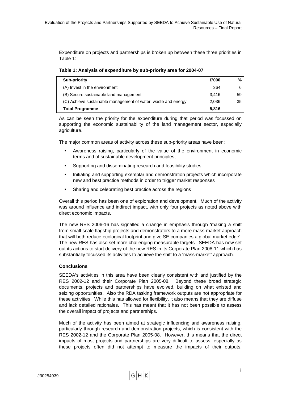<span id="page-6-0"></span>Expenditure on projects and partnerships is broken up between these three priorities in [Table 1](#page-6-1):

**Table 1: Analysis of expenditure by sub-priority area for 2004-07** 

<span id="page-6-1"></span>

| <b>Sub-priority</b>                                           |       | $\frac{9}{6}$ |
|---------------------------------------------------------------|-------|---------------|
| (A) Invest in the environment                                 | 364   |               |
| (B) Secure sustainable land management                        | 3.416 | 59            |
| (C) Achieve sustainable management of water, waste and energy | 2,036 | 35            |
| <b>Total Programme</b>                                        |       |               |

As can be seen the priority for the expenditure during that period was focussed on supporting the economic sustainability of the land management sector, especially agriculture.

The major common areas of activity across these sub-priority areas have been:

- Awareness raising, particularly of the value of the environment in economic terms and of sustainable development principles;
- Supporting and disseminating research and feasibility studies
- Initiating and supporting exemplar and demonstration projects which incorporate new and best practice methods in order to trigger market responses
- **BED Sharing and celebrating best practice across the regions**

Overall this period has been one of exploration and development. Much of the activity was around influence and indirect impact, with only four projects as noted above with direct economic impacts.

The new RES 2006-16 has signalled a change in emphasis through 'making a shift from small-scale flagship projects and demonstrators to a more mass-market approach that will both reduce ecological footprint and give SE companies a global market edge'. The new RES has also set more challenging measurable targets. SEEDA has now set out its actions to start delivery of the new RES in its Corporate Plan 2008-11 which has substantially focussed its activities to achieve the shift to a 'mass-market' approach.

#### **Conclusions**

SEEDA's activities in this area have been clearly consistent with and justified by the RES 2002-12 and their Corporate Plan 2005-08. Beyond these broad strategic documents, projects and partnerships have evolved, building on what existed and seizing opportunities. Also the RDA tasking framework outputs are not appropriate for these activities. While this has allowed for flexibility, it also means that they are diffuse and lack detailed rationales. This has meant that it has not been possible to assess the overall impact of projects and partnerships.

Much of the activity has been aimed at strategic influencing and awareness raising, particularly through research and demonstration projects, which is consistent with the RES 2002-12 and the Corporate Plan 2005-08. However, this means that the direct impacts of most projects and partnerships are very difficult to assess, especially as these projects often did not attempt to measure the impacts of their outputs.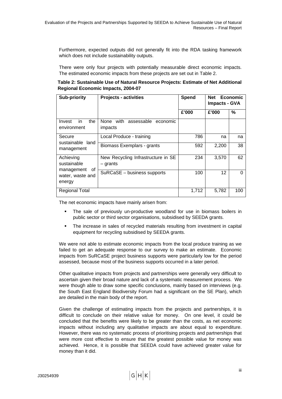Furthermore, expected outputs did not generally fit into the RDA tasking framework which does not include sustainability outputs.

There were only four projects with potentially measurable direct economic impacts. The estimated economic impacts from these projects are set out in [Table 2](#page-7-0).

<span id="page-7-0"></span>**Table 2: Sustainable Use of Natural Resource Projects: Estimate of Net Additional Regional Economic Impacts, 2004-07** 

| <b>Sub-priority</b>                      | <b>Projects - activities</b>                     | Spend | <b>Net</b><br><b>Economic</b><br><b>Impacts - GVA</b> |     |
|------------------------------------------|--------------------------------------------------|-------|-------------------------------------------------------|-----|
|                                          |                                                  | £'000 | £'000                                                 | %   |
| in<br>the<br>Invest<br>environment       | None with assessable economic<br>impacts         |       |                                                       |     |
| Secure<br>sustainable land               | Local Produce - training                         | 786   | na                                                    | na  |
| management                               | Biomass Exemplars - grants                       | 592   | 2,200                                                 | 38  |
| Achieving<br>sustainable<br>of           | New Recycling Infrastructure in SE<br>$-$ grants | 234   | 3,570                                                 | 62  |
| management<br>water, waste and<br>energy | SuRCaSE - business supports                      | 100   | 12                                                    | 0   |
| Regional Total                           |                                                  | 1,712 | 5.782                                                 | 100 |

The net economic impacts have mainly arisen from:

- The sale of previously un-productive woodland for use in biomass boilers in public sector or third sector organisations, subsidised by SEEDA grants.
- The increase in sales of recycled materials resulting from investment in capital equipment for recycling subsidised by SEEDA grants.

We were not able to estimate economic impacts from the local produce training as we failed to get an adequate response to our survey to make an estimate. Economic impacts from SuRCaSE project business supports were particularly low for the period assessed, because most of the business supports occurred in a later period.

Other qualitative impacts from projects and partnerships were generally very difficult to ascertain given their broad nature and lack of a systematic measurement process. We were though able to draw some specific conclusions, mainly based on interviews (e.g. the South East England Biodiversity Forum had a significant on the SE Plan), which are detailed in the main body of the report.

Given the challenge of estimating impacts from the projects and partnerships, it is difficult to conclude on their relative value for money. On one level, it could be concluded that the benefits were likely to be greater than the costs, as net economic impacts without including any qualitative impacts are about equal to expenditure. However, there was no systematic process of prioritising projects and partnerships that were more cost effective to ensure that the greatest possible value for money was achieved. Hence, it is possible that SEEDA could have achieved greater value for money than it did.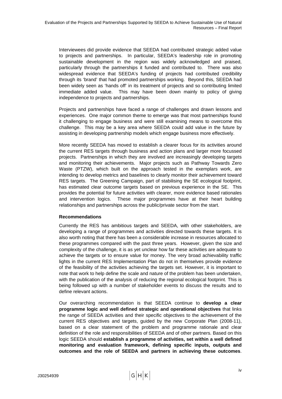<span id="page-8-0"></span>Interviewees did provide evidence that SEEDA had contributed strategic added value to projects and partnerships. In particular, SEEDA's leadership role in promoting sustainable development in the region was widely acknowledged and praised, particularly through the partnerships it funded and contributed to. There was also widespread evidence that SEEDA's funding of projects had contributed credibility through its 'brand' that had promoted partnerships working. Beyond this, SEEDA had been widely seen as 'hands off' in its treatment of projects and so contributing limited immediate added value. This may have been down mainly to policy of giving independence to projects and partnerships.

Projects and partnerships have faced a range of challenges and drawn lessons and experiences. One major common theme to emerge was that most partnerships found it challenging to engage business and were still examining means to overcome this challenge. This may be a key area where SEEDA could add value in the future by assisting in developing partnership models which engage business more effectively.

More recently SEEDA has moved to establish a clearer focus for its activities around the current RES targets through business and action plans and larger more focussed projects. Partnerships in which they are involved are increasingly developing targets and monitoring their achievements. Major projects such as Pathway Towards Zero Waste (PTZW), which built on the approach tested in the exemplars work, are intending to develop metrics and baselines to clearly monitor their achievement toward RES targets. The Greening Campaign, part of stabilising the SE ecological footprint, has estimated clear outcome targets based on previous experience in the SE. This provides the potential for future activities with clearer, more evidence based rationales and intervention logics. These major programmes have at their heart building relationships and partnerships across the public/private sector from the start.

#### **Recommendations**

Currently the RES has ambitious targets and SEEDA, with other stakeholders, are developing a range of programmes and activities directed towards these targets. It is also worth noting that there has been a considerable increase in resources allocated to these programmes compared with the past three years. However, given the size and complexity of the challenge, it is as yet unclear how far these activities are adequate to achieve the targets or to ensure value for money. The very broad achievability traffic lights in the current RES Implementation Plan do not in themselves provide evidence of the feasibility of the activities achieving the targets set. However, it is important to note that work to help define the scale and nature of the problem has been undertaken, with the publication of the analysis of reducing the regional ecological footprint. This is being followed up with a number of stakeholder events to discuss the results and to define relevant actions.

Our overarching recommendation is that SEEDA continue to **develop a clear programme logic and well defined strategic and operational objectives** that links the range of SEEDA activities and their specific objectives to the achievement of the current RES objectives and targets, guided by the new Corporate Plan (2008-11), based on a clear statement of the problem and programme rationale and clear definition of the role and responsibilities of SEEDA and of other partners. Based on this logic SEEDA should **establish a programme of activities, set within a well defined monitoring and evaluation framework, defining specific inputs, outputs and outcomes and the role of SEEDA and partners in achieving these outcomes**.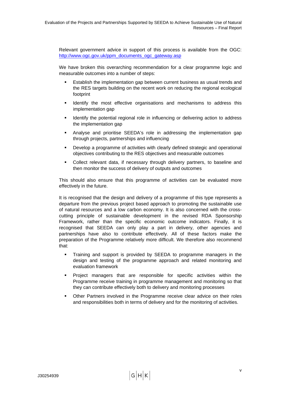Relevant government advice in support of this process is available from the OGC: [http://www.ogc.gov.uk/ppm\\_documents\\_ogc\\_gateway.asp](http://www.ogc.gov.uk/ppm_documents_ogc_gateway.asp) 

We have broken this overarching recommendation for a clear programme logic and measurable outcomes into a number of steps:

- Establish the implementation gap between current business as usual trends and the RES targets building on the recent work on reducing the regional ecological footprint
- Identify the most effective organisations and mechanisms to address this implementation gap
- Identify the potential regional role in influencing or delivering action to address the implementation gap
- Analyse and prioritise SEEDA's role in addressing the implementation gap through projects, partnerships and influencing
- Develop a programme of activities with clearly defined strategic and operational objectives contributing to the RES objectives and measurable outcomes
- Collect relevant data, if necessary through delivery partners, to baseline and then monitor the success of delivery of outputs and outcomes

This should also ensure that this programme of activities can be evaluated more effectively in the future.

It is recognised that the design and delivery of a programme of this type represents a departure from the previous project based approach to promoting the sustainable use of natural resources and a low carbon economy. It is also concerned with the crosscutting principle of sustainable development in the revised RDA Sponsorship Framework, rather than the specific economic outcome indicators. Finally, it is recognised that SEEDA can only play a part in delivery, other agencies and partnerships have also to contribute effectively. All of these factors make the preparation of the Programme relatively more difficult. We therefore also recommend that:

- Training and support is provided by SEEDA to programme managers in the design and testing of the programme approach and related monitoring and evaluation framework
- Project managers that are responsible for specific activities within the Programme receive training in programme management and monitoring so that they can contribute effectively both to delivery and monitoring processes
- Other Partners involved in the Programme receive clear advice on their roles and responsibilities both in terms of delivery and for the monitoring of activities.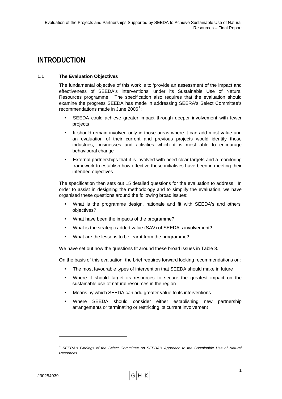## <span id="page-10-0"></span>**INTRODUCTION**

#### **1.1 The Evaluation Objectives**

The fundamental objective of this work is to 'provide an assessment of the impact and effectiveness of SEEDA's interventions' under its Sustainable Use of Natural Resources programme. The specification also requires that the evaluation should examine the progress SEEDA has made in addressing SEERA's Select Committee's recommendations made in June 2006 $1$ :

- SEEDA could achieve greater impact through deeper involvement with fewer projects
- It should remain involved only in those areas where it can add most value and an evaluation of their current and previous projects would identify those industries, businesses and activities which it is most able to encourage behavioural change
- External partnerships that it is involved with need clear targets and a monitoring framework to establish how effective these initiatives have been in meeting their intended objectives

The specification then sets out 15 detailed questions for the evaluation to address. In order to assist in designing the methodology and to simplify the evaluation, we have organised these questions around the following broad issues:

- What is the programme design, rationale and fit with SEEDA's and others' objectives?
- What have been the impacts of the programme?
- What is the strategic added value (SAV) of SEEDA's involvement?
- What are the lessons to be learnt from the programme?

We have set out how the questions fit around these broad issues in [Table 3](#page-11-0).

On the basis of this evaluation, the brief requires forward looking recommendations on:

- The most favourable types of intervention that SEEDA should make in future
- Where it should target its resources to secure the greatest impact on the sustainable use of natural resources in the region
- Means by which SEEDA can add greater value to its interventions
- Where SEEDA should consider either establishing new partnership arrangements or terminating or restricting its current involvement

l

<sup>&</sup>lt;sup>1</sup> SEERA's Findings of the Select Committee on SEEDA's Approach to the Sustainable Use of Natural *Resources*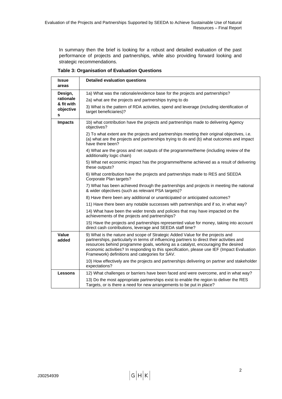In summary then the brief is looking for a robust and detailed evaluation of the past performance of projects and partnerships, while also providing forward looking and strategic recommendations.

|  | <b>Table 3: Organisation of Evaluation Questions</b> |  |  |
|--|------------------------------------------------------|--|--|
|--|------------------------------------------------------|--|--|

<span id="page-11-0"></span>

| <b>Issue</b><br>areas        | <b>Detailed evaluation questions</b>                                                                                                                                                                                                                                                                                                                                                                             |
|------------------------------|------------------------------------------------------------------------------------------------------------------------------------------------------------------------------------------------------------------------------------------------------------------------------------------------------------------------------------------------------------------------------------------------------------------|
| Design,                      | 1a) What was the rationale/evidence base for the projects and partnerships?                                                                                                                                                                                                                                                                                                                                      |
| rationale                    | 2a) what are the projects and partnerships trying to do                                                                                                                                                                                                                                                                                                                                                          |
| & fit with<br>objective<br>s | 3) What is the pattern of RDA activities, spend and leverage (including identification of<br>target beneficiaries)?                                                                                                                                                                                                                                                                                              |
| <b>Impacts</b>               | 1b) what contribution have the projects and partnerships made to delivering Agency<br>objectives?                                                                                                                                                                                                                                                                                                                |
|                              | 2) To what extent are the projects and partnerships meeting their original objectives, i.e.<br>(a) what are the projects and partnerships trying to do and (b) what outcomes and impact<br>have there been?                                                                                                                                                                                                      |
|                              | 4) What are the gross and net outputs of the programme/theme (including review of the<br>additionality logic chain)                                                                                                                                                                                                                                                                                              |
|                              | 5) What net economic impact has the programme/theme achieved as a result of delivering<br>these outputs?                                                                                                                                                                                                                                                                                                         |
|                              | 6) What contribution have the projects and partnerships made to RES and SEEDA<br>Corporate Plan targets?                                                                                                                                                                                                                                                                                                         |
|                              | 7) What has been achieved through the partnerships and projects in meeting the national<br>& wider objectives (such as relevant PSA targets)?                                                                                                                                                                                                                                                                    |
|                              | 8) Have there been any additional or unanticipated or anticipated outcomes?                                                                                                                                                                                                                                                                                                                                      |
|                              | 11) Have there been any notable successes with partnerships and if so, in what way?                                                                                                                                                                                                                                                                                                                              |
|                              | 14) What have been the wider trends and policies that may have impacted on the<br>achievements of the projects and partnerships?                                                                                                                                                                                                                                                                                 |
|                              | 15) Have the projects and partnerships represented value for money, taking into account<br>direct cash contributions, leverage and SEEDA staff time?                                                                                                                                                                                                                                                             |
| Value<br>added               | 9) What is the nature and scope of Strategic Added Value for the projects and<br>partnerships, particularly in terms of influencing partners to direct their activities and<br>resources behind programme goals, working as a catalyst, encouraging the desired<br>economic activities? In responding to this specification, please use IEF (Impact Evaluation<br>Framework) definitions and categories for SAV. |
|                              | 10) How effectively are the projects and partnerships delivering on partner and stakeholder<br>expectations?                                                                                                                                                                                                                                                                                                     |
| <b>Lessons</b>               | 12) What challenges or barriers have been faced and were overcome, and in what way?                                                                                                                                                                                                                                                                                                                              |
|                              | 13) Do the most appropriate partnerships exist to enable the region to deliver the RES<br>Targets, or is there a need for new arrangements to be put in place?                                                                                                                                                                                                                                                   |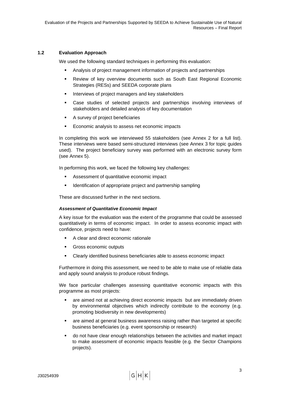#### <span id="page-12-0"></span>**1.2 Evaluation Approach**

We used the following standard techniques in performing this evaluation:

- Analysis of project management information of projects and partnerships
- Review of key overview documents such as South East Regional Economic Strategies (RESs) and SEEDA corporate plans
- **Interviews of project managers and key stakeholders**
- Case studies of selected projects and partnerships involving interviews of stakeholders and detailed analysis of key documentation
- A survey of project beneficiaries
- **Economic analysis to assess net economic impacts**

In completing this work we interviewed 55 stakeholders (see Annex 2 for a full list). These interviews were based semi-structured interviews (see Annex 3 for topic guides used). The project beneficiary survey was performed with an electronic survey form (see Annex 5).

In performing this work, we faced the following key challenges:

- Assessment of quantitative economic impact
- **IDENTIFICATE IDEO** Identification of appropriate project and partnership sampling

These are discussed further in the next sections.

#### *Assessment of Quantitative Economic Impact*

A key issue for the evaluation was the extent of the programme that could be assessed quantitatively in terms of economic impact. In order to assess economic impact with confidence, projects need to have:

- A clear and direct economic rationale
- **Gross economic outputs**
- Clearly identified business beneficiaries able to assess economic impact

Furthermore in doing this assessment, we need to be able to make use of reliable data and apply sound analysis to produce robust findings.

We face particular challenges assessing quantitative economic impacts with this programme as most projects:

- are aimed not at achieving direct economic impacts but are immediately driven by environmental objectives which indirectly contribute to the economy (e.g. promoting biodiversity in new developments)
- are aimed at general business awareness raising rather than targeted at specific business beneficiaries (e.g. event sponsorship or research)
- do not have clear enough relationships between the activities and market impact to make assessment of economic impacts feasible (e.g. the Sector Champions projects).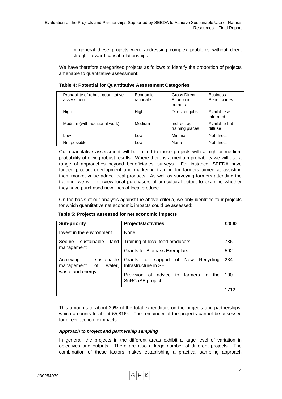In general these projects were addressing complex problems without direct straight forward causal relationships.

We have therefore categorised projects as follows to identify the proportion of projects amenable to quantitative assessment:

| Probability of robust quantitative<br>assessment | Economic<br>rationale | <b>Gross Direct</b><br>Economic<br>outputs | <b>Business</b><br><b>Beneficiaries</b> |
|--------------------------------------------------|-----------------------|--------------------------------------------|-----------------------------------------|
| High                                             | High                  | Direct eg jobs                             | Available &<br>informed                 |
| Medium (with additional work)                    | Medium                | Indirect eg<br>training places             | Available but<br>diffuse                |
| Low                                              | Low                   | Minimal                                    | Not direct                              |
| Not possible                                     | Low                   | None                                       | Not direct                              |

#### **Table 4: Potential for Quantitative Assessment Categories**

Our quantitative assessment will be limited to those projects with a high or medium probability of giving robust results. Where there is a medium probability we will use a range of approaches beyond beneficiaries' surveys. For instance, SEEDA have funded product development and marketing training for farmers aimed at assisting them market value added local products. As well as surveying farmers attending the training, we will interview local purchasers of agricultural output to examine whether they have purchased new lines of local produce.

On the basis of our analysis against the above criteria, we only identified four projects for which quantitative net economic impacts could be assessed:

| Table 5: Projects assessed for net economic impacts |  |
|-----------------------------------------------------|--|
|-----------------------------------------------------|--|

| <b>Sub-priority</b>                                                        | Projects/activities                                                               | £'000 |
|----------------------------------------------------------------------------|-----------------------------------------------------------------------------------|-------|
| Invest in the environment                                                  | <b>None</b>                                                                       |       |
| sustainable<br>land<br>Secure                                              | Training of local food producers                                                  | 786   |
| management                                                                 | <b>Grants for Biomass Exemplars</b>                                               | 592   |
| Achieving<br>sustainable<br>0f<br>management<br>water,<br>waste and energy | Recycling<br><b>New</b><br>Grants<br>support<br>0f<br>for<br>Infrastructure in SE | 234   |
|                                                                            | Provision<br>advice<br>farmers<br>Ωf<br>to<br>the<br>in.<br>SuRCaSE project       | 100   |
|                                                                            |                                                                                   | 1712  |

This amounts to about 29% of the total expenditure on the projects and partnerships, which amounts to about £5,816k. The remainder of the projects cannot be assessed for direct economic impacts.

#### *Approach to project and partnership sampling*

In general, the projects in the different areas exhibit a large level of variation in objectives and outputs. There are also a large number of different projects. The combination of these factors makes establishing a practical sampling approach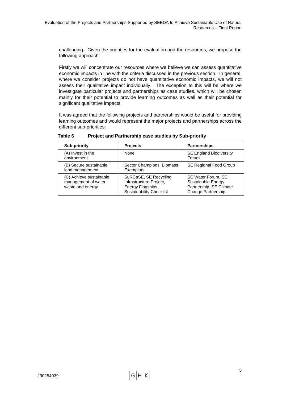challenging. Given the priorities for the evaluation and the resources, we propose the following approach:

Firstly we will concentrate our resources where we believe we can assess quantitative economic impacts in line with the criteria discussed in the previous section. In general, where we consider projects do not have quantitative economic impacts, we will not assess their qualitative impact individually. The exception to this will be where we investigate particular projects and partnerships as case studies, which will be chosen mainly for their potential to provide learning outcomes as well as their potential for significant qualitative impacts.

It was agreed that the following projects and partnerships would be useful for providing learning outcomes and would represent the major projects and partnerships across the different sub-priorities:

| <b>Sub-priority</b>                                                 | <b>Projects</b>                                                                                          | <b>Partnerships</b>                                                                        |
|---------------------------------------------------------------------|----------------------------------------------------------------------------------------------------------|--------------------------------------------------------------------------------------------|
| (A) Invest in the<br>environment                                    | None                                                                                                     | <b>SE England Biodiversity</b><br>Forum                                                    |
| (B) Secure sustainable<br>land management                           | Sector Champions, Biomass<br>Exemplars                                                                   | SE Regional Food Group                                                                     |
| (C) Achieve sustainable<br>management of water,<br>waste and energy | SuRCaSE, SE Recycling<br>Infrastructure Project,<br>Energy Flagships,<br><b>Sustainability Checklist</b> | SE Water Forum, SE<br>Sustainable Energy<br>Partnership, SE Climate<br>Change Partnership. |

#### **Table 6 Project and Partnership case studies by Sub-priority**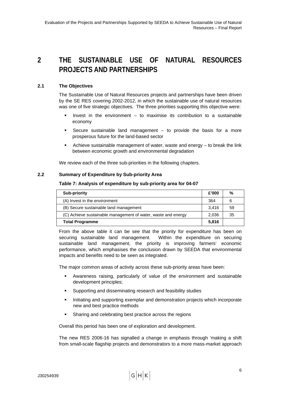## <span id="page-15-0"></span>**2 THE SUSTAINABLE USE OF NATURAL RESOURCES PROJECTS AND PARTNERSHIPS**

#### **2.1 The Objectives**

The Sustainable Use of Natural Resources projects and partnerships have been driven by the SE RES covering 2002-2012, in which the sustainable use of natural resources was one of five strategic objectives. The three priorities supporting this objective were:

- Invest in the environment to maximise its contribution to a sustainable economy
- Secure sustainable land management  $-$  to provide the basis for a more prosperous future for the land-based sector
- Achieve sustainable management of water, waste and energy to break the link between economic growth and environmental degradation

We review each of the three sub-priorities in the following chapters.

#### **2.2 Summary of Expenditure by Sub-priority Area**

#### **Table 7: Analysis of expenditure by sub-priority area for 04-07**

| Sub-priority                                                  |       | %  |
|---------------------------------------------------------------|-------|----|
| (A) Invest in the environment                                 | 364   | 6  |
| (B) Secure sustainable land management                        | 3.416 | 59 |
| (C) Achieve sustainable management of water, waste and energy | 2.036 | 35 |
| <b>Total Programme</b>                                        |       |    |

From the above table it can be see that the priority for expenditure has been on securing sustainable land management. Within the expenditure on securing sustainable land management, the priority is improving farmers' economic performance, which emphasises the conclusion drawn by SEEDA that environmental impacts and benefits need to be seen as integrated.

The major common areas of activity across these sub-priority areas have been:

- Awareness raising, particularly of value of the environment and sustainable development principles;
- Supporting and disseminating research and feasibility studies
- Initiating and supporting exemplar and demonstration projects which incorporate new and best practice methods
- **BED Sharing and celebrating best practice across the regions**

Overall this period has been one of exploration and development.

The new RES 2006-16 has signalled a change in emphasis through 'making a shift from small-scale flagship projects and demonstrators to a more mass-market approach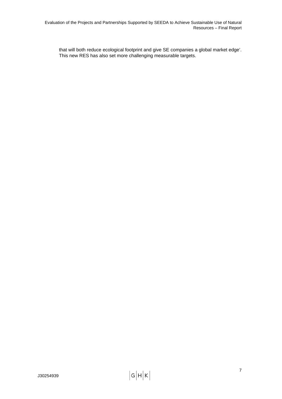that will both reduce ecological footprint and give SE companies a global market edge'. This new RES has also set more challenging measurable targets.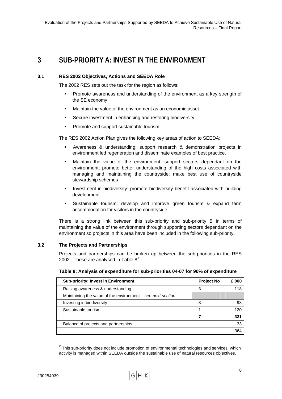### <span id="page-17-0"></span>**3 SUB-PRIORITY A: INVEST IN THE ENVIRONMENT**

#### **3.1 RES 2002 Objectives, Actions and SEEDA Role**

The 2002 RES sets out the task for the region as follows:

- **Promote awareness and understanding of the environment as a key strength of** the SE economy
- Maintain the value of the environment as an economic asset
- **Secure investment in enhancing and restoring biodiversity**
- **Promote and support sustainable tourism**

The RES 2002 Action Plan gives the following key areas of action to SEEDA:

- Awareness & understanding: support research & demonstration projects in environment led regeneration and disseminate examples of best practice.
- Maintain the value of the environment: support sectors dependant on the environment; promote better understanding of the high costs associated with managing and maintaining the countryside; make best use of countryside stewardship schemes
- Investment in biodiversity: promote biodiversity benefit associated with building development
- Sustainable tourism: develop and improve green tourism & expand farm accommodation for visitors in the countryside

There is a strong link between this sub-priority and sub-priority B in terms of maintaining the value of the environment through supporting sectors dependant on the environment so projects in this area have been included in the following sub-priority.

#### <span id="page-17-1"></span>**3.2 The Projects and Partnerships**

Projects and partnerships can be broken up between the sub-priorities in the RES [2](#page-17-0)002. These are analysed in Table  $8^2$ .

| <b>Sub-priority: Invest in Environment</b>                    | <b>Project No</b> | £'000 |
|---------------------------------------------------------------|-------------------|-------|
| Raising awareness & understanding                             | 3                 | 118   |
| Maintaining the value of the environment $-$ see next section |                   |       |
| Investing in biodiversity                                     | З                 | 93    |
| Sustainable tourism                                           |                   | 120   |
|                                                               |                   | 331   |
| Balance of projects and partnerships                          |                   | 33    |
|                                                               |                   | 364   |

#### **Table 8: Analysis of expenditure for sub-priorities 04-07 for 90% of expenditure**

l

 $2$  This sub-priority does not include promotion of environmental technologies and services, which activity is managed within SEEDA outside the sustainable use of natural resources objectives.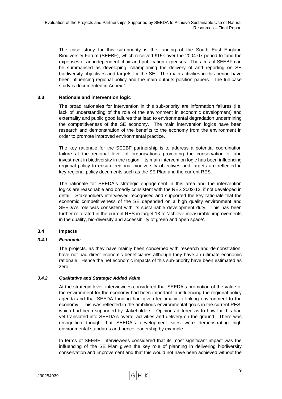<span id="page-18-0"></span>The case study for this sub-priority is the funding of the South East England Biodiversity Forum (SEEBF), which received £15k over the 2004-07 period to fund the expenses of an independent chair and publication expenses. The aims of SEEBF can be summarised as developing, championing the delivery of and reporting on SE biodiversity objectives and targets for the SE. The main activities in this period have been influencing regional policy and the main outputs position papers. The full case study is documented in Annex 1.

#### **3.3 Rationale and intervention logic**

The broad rationales for intervention in this sub-priority are information failures (i.e. lack of understanding of the role of the environment in economic development) and externality and public good failures that lead to environmental degradation undermining the competitiveness of the SE economy. The main intervention logics have been research and demonstration of the benefits to the economy from the environment in order to promote improved environmental practice.

The key rationale for the SEEBF partnership is to address a potential coordination failure at the regional level of organisations promoting the conservation of and investment in biodiversity in the region. Its main intervention logic has been influencing regional policy to ensure regional biodiversity objectives and targets are reflected in key regional policy documents such as the SE Plan and the current RES.

The rationale for SEEDA's strategic engagement in this area and the intervention logics are reasonable and broadly consistent with the RES 2002-12, if not developed in detail. Stakeholders interviewed recognised and supported the key rationale that the economic competitiveness of the SE depended on a high quality environment and SEEDA's role was consistent with its sustainable development duty. This has been further reiterated in the current RES in target 13 to 'achieve measurable improvements in the quality, bio-diversity and accessibility of green and open space'.

#### **3.4 Impacts**

#### *3.4.1 Economic*

The projects, as they have mainly been concerned with research and demonstration, have not had direct economic beneficiaries although they have an ultimate economic rationale. Hence the net economic impacts of this sub-priority have been estimated as zero.

#### *3.4.2 Qualitative and Strategic Added Value*

At the strategic level, interviewees considered that SEEDA's promotion of the value of the environment for the economy had been important in influencing the regional policy agenda and that SEEDA funding had given legitimacy to linking environment to the economy. This was reflected in the ambitious environmental goals in the current RES, which had been supported by stakeholders. Opinions differed as to how far this had yet translated into SEEDA's overall activities and delivery on the ground. There was recognition though that SEEDA's development sites were demonstrating high environmental standards and hence leadership by example.

In terms of SEEBF, interviewees considered that its most significant impact was the influencing of the SE Plan given the key role of planning in delivering biodiversity conservation and improvement and that this would not have been achieved without the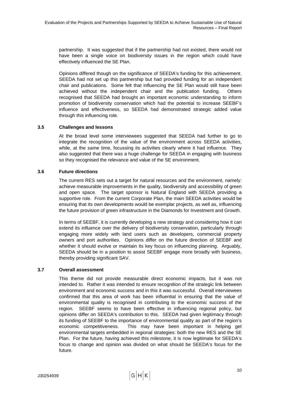<span id="page-19-0"></span>partnership. It was suggested that if the partnership had not existed, there would not have been a single voice on biodiversity issues in the region which could have effectively influenced the SE Plan.

Opinions differed though on the significance of SEEDA's funding for this achievement. SEEDA had not set up this partnership but had provided funding for an independent chair and publications. Some felt that influencing the SE Plan would still have been achieved without the independent chair and the publication funding. Others recognised that SEEDA had brought an important economic understanding to inform promotion of biodiversity conservation which had the potential to increase SEEBF's influence and effectiveness, so SEEDA had demonstrated strategic added value through this influencing role.

#### **3.5 Challenges and lessons**

At the broad level some interviewees suggested that SEEDA had further to go to integrate the recognition of the value of the environment across SEEDA activities, while, at the same time, focussing its activities clearly where it had influence. They also suggested that there was a huge challenge for SEEDA in engaging with business so they recognised the relevance and value of the SE environment.

#### **3.6 Future directions**

The current RES sets out a target for natural resources and the environment, namely: achieve measurable improvements in the quality, biodiversity and accessibility of green and open space. The target sponsor is Natural England with SEEDA providing a supportive role. From the current Corporate Plan, the main SEEDA activities would be ensuring that its own developments would be exemplar projects, as well as, influencing the future provision of green infrastructure in the Diamonds for Investment and Growth.

In terms of SEEBF, it is currently developing a new strategy and considering how it can extend its influence over the delivery of biodiversity conservation, particularly through engaging more widely with land users such as developers, commercial property owners and port authorities. Opinions differ on the future direction of SEEBF and whether it should evolve or maintain its key focus on influencing planning. Arguably, SEEDA should be in a position to assist SEEBF engage more broadly with business, thereby providing significant SAV.

#### **3.7 Overall assessment**

This theme did not provide measurable direct economic impacts, but it was not intended to. Rather it was intended to ensure recognition of the strategic link between environment and economic success and in this it was successful. Overall interviewees confirmed that this area of work has been influential in ensuring that the value of environmental quality is recognised in contributing to the economic success of the region. SEEBF seems to have been effective in influencing regional policy, but opinions differ on SEEDA's contribution to this. SEEDA had given legitimacy through its funding of SEEBF to the importance of environmental quality as part of the region's economic competitiveness. This may have been important in helping get environmental targets embedded in regional strategies: both the new RES and the SE Plan. For the future, having achieved this milestone, it is now legitimate for SEEDA's focus to change and opinion was divided on what should be SEEDA's focus for the future.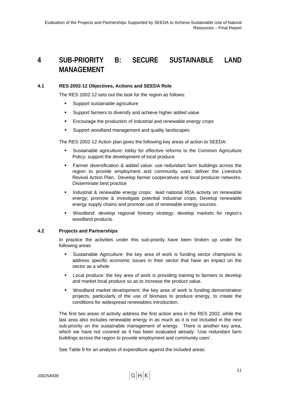## <span id="page-20-0"></span>**4 SUB-PRIORITY B: SECURE SUSTAINABLE LAND MANAGEMENT**

#### **4.1 RES 2002-12 Objectives, Actions and SEEDA Role**

The RES 2002-12 sets out the task for the region as follows:

- **Support sustainable agriculture**
- Support farmers to diversify and achieve higher added value
- **Encourage the production of industrial and renewable energy crops**
- Support woodland management and quality landscapes

The RES 2002-12 Action plan gives the following key areas of action to SEEDA:

- Sustainable agriculture: lobby for effective reforms to the Common Agriculture Policy; support the development of local produce
- Farmer diversification & added value: use redundant farm buildings across the region to provide employment and community uses; deliver the Livestock Revival Action Plan. Develop farmer cooperatives and local producer networks. Disseminate best practice
- **Industrial & renewable energy crops: lead national RDA activity on renewable** energy; promote & investigate potential industrial crops; Develop renewable energy supply chains and promote use of renewable energy sources.
- Woodland: develop regional forestry strategy; develop markets for region's woodland products.

#### **4.2 Projects and Partnerships**

In practice the activities under this sub-priority have been broken up under the following areas:

- Sustainable Agriculture: the key area of work is funding sector champions to address specific economic issues in their sector that have an impact on the sector as a whole
- Local produce: the key area of work is providing training to farmers to develop and market local produce so as to increase the product value.
- Woodland market development: the key area of work is funding demonstration projects, particularly of the use of biomass to produce energy, to create the conditions for widespread renewables introduction.

The first two areas of activity address the first action area in the RES 2002, while the last area also includes renewable energy in as much as it is not included in the next sub-priority on the sustainable management of energy. There is another key area, which we have not covered as it has been evaluated already: 'Use redundant farm buildings across the region to provide employment and community uses'.

See [Table 9](#page-21-0) for an analysis of expenditure against the included areas: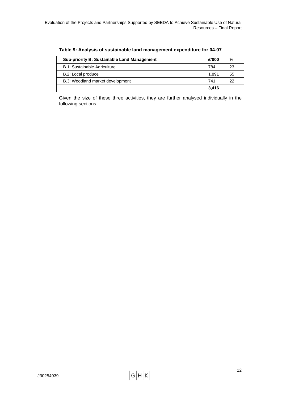<span id="page-21-0"></span>

| <b>Sub-priority B: Sustainable Land Management</b> |       | %  |
|----------------------------------------------------|-------|----|
| B.1: Sustainable Agriculture                       | 784   | 23 |
| B.2: Local produce                                 | 1.891 | 55 |
| B.3: Woodland market development                   |       | 22 |
|                                                    | 3.416 |    |

**Table 9: Analysis of sustainable land management expenditure for 04-07** 

Given the size of these three activities, they are further analysed individually in the following sections.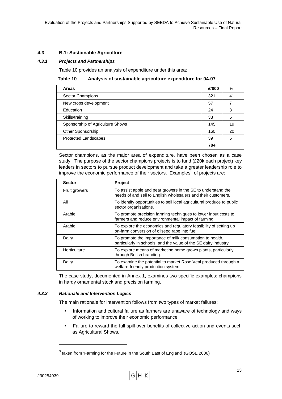#### <span id="page-22-0"></span>**4.3 B.1: Sustainable Agriculture**

#### <span id="page-22-1"></span>*4.3.1 Projects and Partnerships*

[Table 10](#page-22-1) provides an analysis of expenditure under this area:

#### **Table 10 Analysis of sustainable agriculture expenditure for 04-07**

| <b>Areas</b>                     | £'000 | %  |
|----------------------------------|-------|----|
| Sector Champions                 | 321   | 41 |
| New crops development            | 57    | 7  |
| Education                        | 24    | 3  |
| Skills/training                  | 38    | 5  |
| Sponsorship of Agriculture Shows | 145   | 19 |
| Other Sponsorship                | 160   | 20 |
| <b>Protected Landscapes</b>      | 39    | 5  |
|                                  | 784   |    |

Sector champions, as the major area of expenditure, have been chosen as a case study. The purpose of the sector champions projects is to fund (£20k each project) key leaders in sectors to pursue product development and take a greater leadership role to improve the economic performance of their sectors. Examples<sup>[3](#page-22-0)</sup> of projects are:

| <b>Sector</b>        | Project                                                                                                                       |
|----------------------|-------------------------------------------------------------------------------------------------------------------------------|
| <b>Fruit growers</b> | To assist apple and pear growers in the SE to understand the<br>needs of and sell to English wholesalers and their customers. |
| All                  | To identify opportunities to sell local agricultural produce to public<br>sector organisations.                               |
| Arable               | To promote precision farming techniques to lower input costs to<br>farmers and reduce environmental impact of farming.        |
| Arable               | To explore the economics and regulatory feasibility of setting up<br>on-farm conversion of oilseed rape into fuel.            |
| Dairy                | To promote the importance of milk consumption to health,<br>particularly in schools, and the value of the SE dairy industry.  |
| Horticulture         | To explore means of marketing home grown plants, particularly<br>through British branding.                                    |
| Dairy                | To examine the potential to market Rose Veal produced through a<br>welfare-friendly production system.                        |

The case study, documented in Annex 1, examines two specific examples: champions in hardy ornamental stock and precision farming.

#### *4.3.2 Rationale and Intervention Logics*

The main rationale for intervention follows from two types of market failures:

- **Information and cultural failure as farmers are unaware of technology and ways** of working to improve their economic performance
- Failure to reward the full spill-over benefits of collective action and events such as Agricultural Shows.

l

 $^3$  taken from 'Farming for the Future in the South East of England' (GOSE 2006)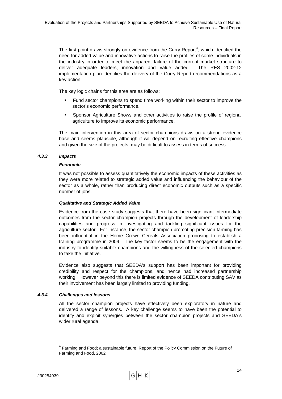<span id="page-23-0"></span>The first point draws strongly on evidence from the Curry Report<sup>[4](#page-23-0)</sup>, which identified the need for added value and innovative actions to raise the profiles of some individuals in the industry in order to meet the apparent failure of the current market structure to deliver adequate leaders, innovation and value added. The RES 2002-12 implementation plan identifies the delivery of the Curry Report recommendations as a key action.

The key logic chains for this area are as follows:

- Fund sector champions to spend time working within their sector to improve the sector's economic performance.
- Sponsor Agriculture Shows and other activities to raise the profile of regional agriculture to improve its economic performance.

The main intervention in this area of sector champions draws on a strong evidence base and seems plausible, although it will depend on recruiting effective champions and given the size of the projects, may be difficult to assess in terms of success.

#### *4.3.3 Impacts*

#### *Economic*

It was not possible to assess quantitatively the economic impacts of these activities as they were more related to strategic added value and influencing the behaviour of the sector as a whole, rather than producing direct economic outputs such as a specific number of jobs.

#### *Qualitative and Strategic Added Value*

Evidence from the case study suggests that there have been significant intermediate outcomes from the sector champion projects through the development of leadership capabilities and progress in investigating and tackling significant issues for the agriculture sector. For instance, the sector champion promoting precision farming has been influential in the Home Grown Cereals Association proposing to establish a training programme in 2009. The key factor seems to be the engagement with the industry to identify suitable champions and the willingness of the selected champions to take the initiative.

Evidence also suggests that SEEDA's support has been important for providing credibility and respect for the champions, and hence had increased partnership working. However beyond this there is limited evidence of SEEDA contributing SAV as their involvement has been largely limited to providing funding.

#### *4.3.4 Challenges and lessons*

All the sector champion projects have effectively been exploratory in nature and delivered a range of lessons. A key challenge seems to have been the potential to identify and exploit synergies between the sector champion projects and SEEDA's wider rural agenda.

l

 $4$  Farming and Food; a sustainable future, Report of the Policy Commission on the Future of Farming and Food, 2002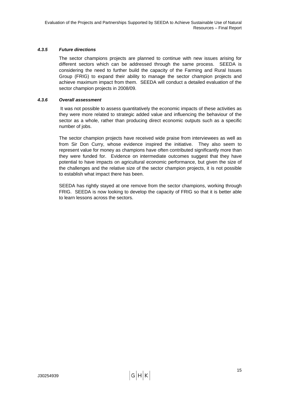#### *4.3.5 Future directions*

The sector champions projects are planned to continue with new issues arising for different sectors which can be addressed through the same process. SEEDA is considering the need to further build the capacity of the Farming and Rural Issues Group (FRIG) to expand their ability to manage the sector champion projects and achieve maximum impact from them. SEEDA will conduct a detailed evaluation of the sector champion projects in 2008/09.

#### *4.3.6 Overall assessment*

 It was not possible to assess quantitatively the economic impacts of these activities as they were more related to strategic added value and influencing the behaviour of the sector as a whole, rather than producing direct economic outputs such as a specific number of jobs.

The sector champion projects have received wide praise from interviewees as well as from Sir Don Curry, whose evidence inspired the initiative. They also seem to represent value for money as champions have often contributed significantly more than they were funded for. Evidence on intermediate outcomes suggest that they have potential to have impacts on agricultural economic performance, but given the size of the challenges and the relative size of the sector champion projects, it is not possible to establish what impact there has been.

SEEDA has rightly stayed at one remove from the sector champions, working through FRIG. SEEDA is now looking to develop the capacity of FRIG so that it is better able to learn lessons across the sectors.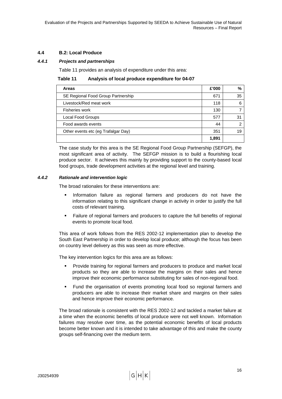#### <span id="page-25-0"></span>**4.4 B.2: Local Produce**

#### <span id="page-25-1"></span>*4.4.1 Projects and partnerships*

[Table 11](#page-25-1) provides an analysis of expenditure under this area:

**Table 11 Analysis of local produce expenditure for 04-07** 

| <b>Areas</b>                        | £'000 | %  |
|-------------------------------------|-------|----|
| SE Regional Food Group Partnership  | 671   | 35 |
| Livestock/Red meat work             | 118   |    |
| Fisheries work                      | 130   |    |
| Local Food Groups                   | 577   | 31 |
| Food awards events                  | 44    | ⌒  |
| Other events etc (eg Trafalgar Day) |       | 19 |
|                                     | 1,891 |    |

The case study for this area is the SE Regional Food Group Partnership (SEFGP), the most significant area of activity. The SEFGP mission is to build a flourishing local produce sector. It achieves this mainly by providing support to the county-based local food groups, trade development activities at the regional level and training.

#### *4.4.2 Rationale and intervention logic*

The broad rationales for these interventions are:

- **Information failure as regional farmers and producers do not have the** information relating to this significant change in activity in order to justify the full costs of relevant training.
- Failure of regional farmers and producers to capture the full benefits of regional events to promote local food.

This area of work follows from the RES 2002-12 implementation plan to develop the South East Partnership in order to develop local produce; although the focus has been on country level delivery as this was seen as more effective.

The key intervention logics for this area are as follows:

- Provide training for regional farmers and producers to produce and market local products so they are able to increase the margins on their sales and hence improve their economic performance substituting for sales of non-regional food.
- Fund the organisation of events promoting local food so regional farmers and producers are able to increase their market share and margins on their sales and hence improve their economic performance.

The broad rationale is consistent with the RES 2002-12 and tackled a market failure at a time when the economic benefits of local produce were not well known. Information failures may resolve over time, as the potential economic benefits of local products become better known and it is intended to take advantage of this and make the county groups self-financing over the medium term.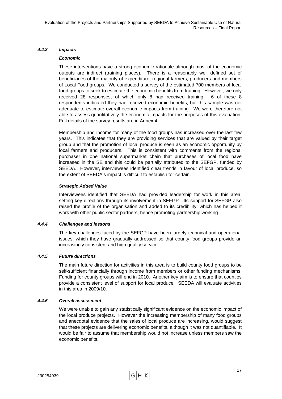#### *4.4.3 Impacts*

#### *Economic*

These interventions have a strong economic rationale although most of the economic outputs are indirect (training places). There is a reasonably well defined set of beneficiaries of the majority of expenditure; regional farmers, producers and members of Local Food groups. We conducted a survey of the estimated 700 members of local food groups to seek to estimate the economic benefits from training. However, we only received 28 responses, of which only 8 had received training. 6 of these 8 respondents indicated they had received economic benefits, but this sample was not adequate to estimate overall economic impacts from training. We were therefore not able to assess quantitatively the economic impacts for the purposes of this evaluation. Full details of the survey results are in Annex 4.

Membership and income for many of the food groups has increased over the last few years. This indicates that they are providing services that are valued by their target group and that the promotion of local produce is seen as an economic opportunity by local farmers and producers. This is consistent with comments from the regional purchaser in one national supermarket chain that purchases of local food have increased in the SE and this could be partially attributed to the SEFGP, funded by SEEDA. However, interviewees identified clear trends in favour of local produce, so the extent of SEEDA's impact is difficult to establish for certain.

#### *Strategic Added Value*

Interviewees identified that SEEDA had provided leadership for work in this area, setting key directions through its involvement in SEFGP. Its support for SEFGP also raised the profile of the organisation and added to its credibility, which has helped it work with other public sector partners, hence promoting partnership working.

#### *4.4.4 Challenges and lessons*

The key challenges faced by the SEFGP have been largely technical and operational issues, which they have gradually addressed so that county food groups provide an increasingly consistent and high quality service.

#### *4.4.5 Future directions*

The main future direction for activities in this area is to build county food groups to be self-sufficient financially through income from members or other funding mechanisms. Funding for county groups will end in 2010. Another key aim is to ensure that counties provide a consistent level of support for local produce. SEEDA will evaluate activities in this area in 2009/10.

#### *4.4.6 Overall assessment*

We were unable to gain any statistically significant evidence on the economic impact of the local produce projects. However the increasing membership of many food groups and anecdotal evidence that the sales of local produce are increasing, would suggest that these projects are delivering economic benefits, although it was not quantifiable. It would be fair to assume that membership would not increase unless members saw the economic benefits.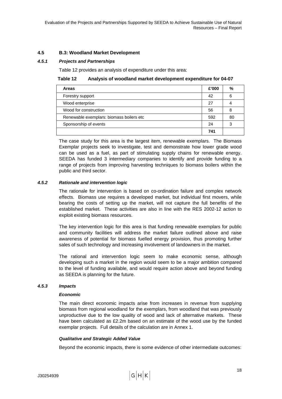#### <span id="page-27-0"></span>**4.5 B.3: Woodland Market Development**

#### <span id="page-27-1"></span>*4.5.1 Projects and Partnerships*

[Table 12](#page-27-1) provides an analysis of expenditure under this area:

| <b>Areas</b>                             | £'000 | %  |
|------------------------------------------|-------|----|
| Forestry support                         | 42    | 6  |
| Wood enterprise                          | 27    |    |
| Wood for construction                    | 56    | 8  |
| Renewable exemplars: biomass boilers etc | 592   | 80 |
| Sponsorship of events                    | 24    | 3  |
|                                          | 741   |    |

The case study for this area is the largest item, renewable exemplars. The Biomass Exemplar projects seek to investigate, test and demonstrate how lower grade wood can be used as a fuel, as part of stimulating supply chains for renewable energy. SEEDA has funded 3 intermediary companies to identify and provide funding to a range of projects from improving harvesting techniques to biomass boilers within the public and third sector.

#### *4.5.2 Rationale and intervention logic*

The rationale for intervention is based on co-ordination failure and complex network effects. Biomass use requires a developed market, but individual first movers, while bearing the costs of setting up the market, will not capture the full benefits of the established market. These activities are also in line with the RES 2002-12 action to exploit existing biomass resources.

The key intervention logic for this area is that funding renewable exemplars for public and community facilities will address the market failure outlined above and raise awareness of potential for biomass fuelled energy provision, thus promoting further sales of such technology and increasing involvement of landowners in the market.

The rational and intervention logic seem to make economic sense, although developing such a market in the region would seem to be a major ambition compared to the level of funding available, and would require action above and beyond funding as SEEDA is planning for the future.

#### *4.5.3 Impacts*

#### *Economic*

The main direct economic impacts arise from increases in revenue from supplying biomass from regional woodland for the exemplars, from woodland that was previously unproductive due to the low quality of wood and lack of alternative markets. These have been calculated as £2.2m based on an estimate of the wood use by the funded exemplar projects. Full details of the calculation are in Annex 1.

#### *Qualitative and Strategic Added Value*

Beyond the economic impacts, there is some evidence of other intermediate outcomes: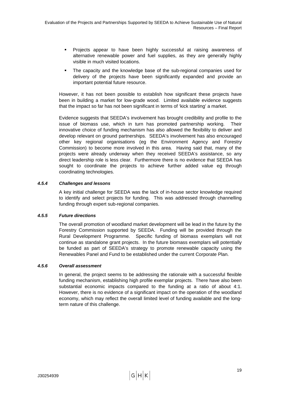- Projects appear to have been highly successful at raising awareness of alternative renewable power and fuel supplies, as they are generally highly visible in much visited locations.
- The capacity and the knowledge base of the sub-regional companies used for delivery of the projects have been significantly expanded and provide an important potential future resource.

However, it has not been possible to establish how significant these projects have been in building a market for low-grade wood. Limited available evidence suggests that the impact so far has not been significant in terms of 'kick starting' a market.

Evidence suggests that SEEDA's involvement has brought credibility and profile to the issue of biomass use, which in turn has promoted partnership working. Their innovative choice of funding mechanism has also allowed the flexibility to deliver and develop relevant on ground partnerships. SEEDA's involvement has also encouraged other key regional organisations (eg the Environment Agency and Forestry Commission) to become more involved in this area. Having said that, many of the projects were already underway when they received SEEDA's assistance, so any direct leadership role is less clear. Furthermore there is no evidence that SEEDA has sought to coordinate the projects to achieve further added value eg through coordinating technologies.

#### *4.5.4 Challenges and lessons*

A key initial challenge for SEEDA was the lack of in-house sector knowledge required to identify and select projects for funding. This was addressed through channelling funding through expert sub-regional companies.

#### *4.5.5 Future directions*

The overall promotion of woodland market development will be lead in the future by the Forestry Commission supported by SEEDA. Funding will be provided through the Rural Development Programme. Specific funding of biomass exemplars will not continue as standalone grant projects. In the future biomass exemplars will potentially be funded as part of SEEDA's strategy to promote renewable capacity using the Renewables Panel and Fund to be established under the current Corporate Plan.

#### *4.5.6 Overall assessment*

In general, the project seems to be addressing the rationale with a successful flexible funding mechanism, establishing high profile exemplar projects. There have also been substantial economic impacts compared to the funding at a ratio of about 4:1. However, there is no evidence of a significant impact on the operation of the woodland economy, which may reflect the overall limited level of funding available and the longterm nature of this challenge.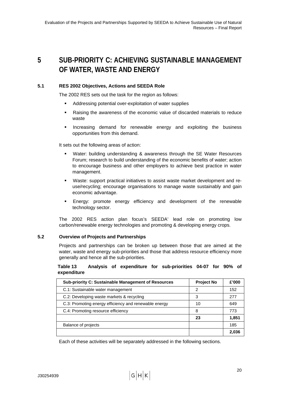## <span id="page-29-0"></span>**5 SUB-PRIORITY C: ACHIEVING SUSTAINABLE MANAGEMENT OF WATER, WASTE AND ENERGY**

#### **5.1 RES 2002 Objectives, Actions and SEEDA Role**

The 2002 RES sets out the task for the region as follows:

- Addressing potential over-exploitation of water supplies
- Raising the awareness of the economic value of discarded materials to reduce waste
- **Increasing demand for renewable energy and exploiting the business** opportunities from this demand.

It sets out the following areas of action:

- Water: building understanding & awareness through the SE Water Resources Forum; research to build understanding of the economic benefits of water; action to encourage business and other employers to achieve best practice in water management.
- Waste: support practical initiatives to assist waste market development and reuse/recycling; encourage organisations to manage waste sustainably and gain economic advantage.
- Energy: promote energy efficiency and development of the renewable technology sector.

The 2002 RES action plan focus's SEEDA' lead role on promoting low carbon/renewable energy technologies and promoting & developing energy crops.

#### **5.2 Overview of Projects and Partnerships**

Projects and partnerships can be broken up between those that are aimed at the water, waste and energy sub-priorities and those that address resource efficiency more generally and hence all the sub-priorities.

#### **Table 13 Analysis of expenditure for sub-priorities 04-07 for 90% of expenditure**

| <b>Sub-priority C: Sustainable Management of Resources</b> | <b>Project No</b> | £'000 |
|------------------------------------------------------------|-------------------|-------|
| C.1: Sustainable water management                          | 2                 | 152   |
| C.2: Developing waste markets & recycling                  | 3                 | 277   |
| C.3: Promoting energy efficiency and renewable energy      | 10                | 649   |
| C.4: Promoting resource efficiency                         | 8                 | 773   |
|                                                            | 23                | 1,851 |
| Balance of projects                                        |                   | 185   |
|                                                            |                   | 2.036 |

Each of these activities will be separately addressed in the following sections.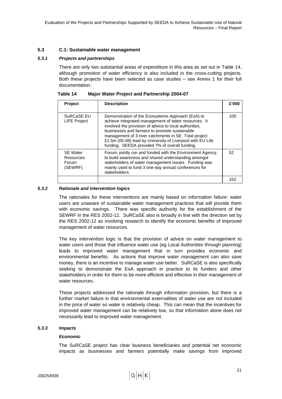#### <span id="page-30-0"></span>**5.3 C.1: Sustainable water management**

#### <span id="page-30-1"></span>*5.3.1 Projects and partnerships*

There are only two substantial areas of expenditure in this area as set out in [Table 14,](#page-30-1) although promotion of water efficiency is also included in the cross-cutting projects. Both these projects have been selected as case studies – see Annex 1 for their full documentation.

| <b>Project</b>                                   | <b>Description</b>                                                                                                                                                                                                                                                                                                                                                                            | £'000 |
|--------------------------------------------------|-----------------------------------------------------------------------------------------------------------------------------------------------------------------------------------------------------------------------------------------------------------------------------------------------------------------------------------------------------------------------------------------------|-------|
| SuRCaSE EU<br><b>LIFE Project</b>                | Demonstration of the Ecosystems Approach (EsA) to<br>achieve integrated management of water resources. It<br>involved the provision of advice to local authorities,<br>businesses and farmers to promote sustainable<br>management of 3 river catchments in SE. Total project<br>£1.5m (05-08) lead by University of Liverpool with EU Life<br>funding. SEEDA provided 7% of overall funding. | 100   |
| <b>SE Water</b><br>Resources<br>Forum<br>(SEWRF) | Forum, jointly run and funded with the Environment Agency,<br>to build awareness and shared understanding amongst<br>stakeholders of water management issues. Funding was<br>mainly used to fund 3 one-day annual conferences for<br>stakeholders.                                                                                                                                            | 52    |
|                                                  |                                                                                                                                                                                                                                                                                                                                                                                               | 152   |

**Table 14 Major Water Project and Partnership 2004-07** 

#### *5.3.2 Rationale and intervention logics*

The rationales for these interventions are mainly based on information failure: water users are unaware of sustainable water management practices that will provide them with economic savings. There was specific authority for the establishment of the SEWRF in the RES 2002-12. SuRCaSE also is broadly in line with the direction set by the RES 2002-12 as involving research to identify the economic benefits of improved management of water resources.

The key intervention logic is that the provision of advice on water management to water users and those that influence water use (eg Local Authorities through planning) leads to improved water management that in turn provides economic and environmental benefits. As actions that improve water management can also save money, there is an incentive to manage water use better. SuRCaSE is also specifically seeking to demonstrate the EsA approach in practice to its funders and other stakeholders in order for them to be more efficient and effective in their management of water resources.

These projects addressed the rationale through information provision, but there is a further market failure in that environmental externalities of water use are not included in the price of water so water is relatively cheap. This can mean that the incentives for improved water management can be relatively low, so that information alone does not necessarily lead to improved water management.

#### *5.3.3 Impacts*

#### *Economic*

The SuRCaSE project has clear business beneficiaries and potential net economic impacts as businesses and farmers potentially make savings from improved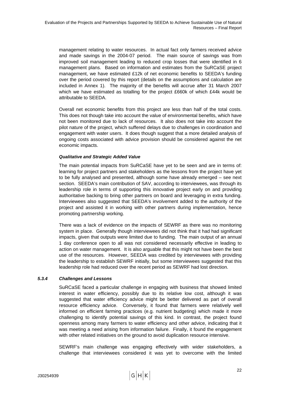management relating to water resources. In actual fact only farmers received advice and made savings in the 2004-07 period. The main source of savings was from improved soil management leading to reduced crop losses that were identified in 6 management plans. Based on information and estimates from the SuRCaSE project management, we have estimated £12k of net economic benefits to SEEDA's funding over the period covered by this report (details on the assumptions and calculation are included in Annex 1). The majority of the benefits will accrue after 31 March 2007 which we have estimated as totalling for the project £660k of which £44k would be attributable to SEEDA.

Overall net economic benefits from this project are less than half of the total costs. This does not though take into account the value of environmental benefits, which have not been monitored due to lack of resources. It also does not take into account the pilot nature of the project, which suffered delays due to challenges in coordination and engagement with water users. It does though suggest that a more detailed analysis of ongoing costs associated with advice provision should be considered against the net economic impacts.

#### *Qualitative and Strategic Added Value*

The main potential impacts from SuRCaSE have yet to be seen and are in terms of: learning for project partners and stakeholders as the lessons from the project have yet to be fully analysed and presented, although some have already emerged – see next section. SEEDA's main contribution of SAV, according to interviewees, was through its leadership role in terms of supporting this innovative project early on and providing authoritative backing to bring other partners on board and leveraging in extra funding. Interviewees also suggested that SEEDA's involvement added to the authority of the project and assisted it in working with other partners during implementation, hence promoting partnership working.

There was a lack of evidence on the impacts of SEWRF as there was no monitoring system in place. Generally though interviewees did not think that it had had significant impacts, given that outputs were limited due to funding. The main output of an annual 1 day conference open to all was not considered necessarily effective in leading to action on water management. It is also arguable that this might not have been the best use of the resources. However, SEEDA was credited by interviewees with providing the leadership to establish SEWRF initially, but some interviewees suggested that this leadership role had reduced over the recent period as SEWRF had lost direction.

#### *5.3.4 Challenges and Lessons*

SuRCaSE faced a particular challenge in engaging with business that showed limited interest in water efficiency, possibly due to its relative low cost, although it was suggested that water efficiency advice might be better delivered as part of overall resource efficiency advice. Conversely, it found that farmers were relatively well informed on efficient farming practices (e.g. nutrient budgeting) which made it more challenging to identify potential savings of this kind. In contrast, the project found openness among many farmers to water efficiency and other advice, indicating that it was meeting a need arising from information failure. Finally, it found the engagement with other related initiatives on the ground to avoid duplication resource intensive.

SEWRF's main challenge was engaging effectively with wider stakeholders, a challenge that interviewees considered it was yet to overcome with the limited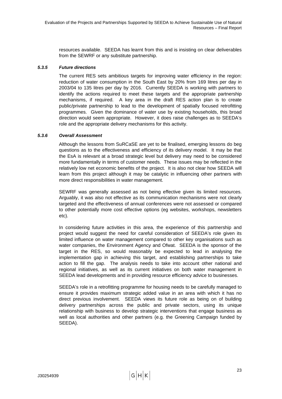resources available. SEEDA has learnt from this and is insisting on clear deliverables from the SEWRF or any substitute partnership.

#### *5.3.5 Future directions*

The current RES sets ambitious targets for improving water efficiency in the region: reduction of water consumption in the South East by 20% from 169 litres per day in 2003/04 to 135 litres per day by 2016. Currently SEEDA is working with partners to identify the actions required to meet these targets and the appropriate partnership mechanisms, if required. A key area in the draft RES action plan is to create public/private partnership to lead to the development of spatially focused retrofitting programmes. Given the dominance of water use by existing households, this broad direction would seem appropriate. However, it does raise challenges as to SEEDA's role and the appropriate delivery mechanisms for this activity.

#### *5.3.6 Overall Assessment*

Although the lessons from SuRCaSE are yet to be finalised, emerging lessons do beg questions as to the effectiveness and efficiency of its delivery model. It may be that the EsA is relevant at a broad strategic level but delivery may need to be considered more fundamentally in terms of customer needs. These issues may be reflected in the relatively low net economic benefits of the project. It is also not clear how SEEDA will learn from this project although it may be catalytic in influencing other partners with more direct responsibilities in water management.

SEWRF was generally assessed as not being effective given its limited resources. Arguably, it was also not effective as its communication mechanisms were not clearly targeted and the effectiveness of annual conferences were not assessed or compared to other potentially more cost effective options (eg websites, workshops, newsletters etc).

In considering future activities in this area, the experience of this partnership and project would suggest the need for careful consideration of SEEDA's role given its limited influence on water management compared to other key organisations such as water companies, the Environment Agency and Ofwat. SEEDA is the sponsor of the target in the RES, so would reasonably be expected to lead in analysing the implementation gap in achieving this target, and establishing partnerships to take action to fill the gap. The analysis needs to take into account other national and regional initiatives, as well as its current initiatives on both water management in SEEDA lead developments and in providing resource efficiency advice to businesses.

SEEDA's role in a retrofitting programme for housing needs to be carefully managed to ensure it provides maximum strategic added value in an area with which it has no direct previous involvement. SEEDA views its future role as being on of building delivery partnerships across the public and private sectors, using its unique relationship with business to develop strategic interventions that engage business as well as local authorities and other partners (e.g. the Greening Campaign funded by SEEDA).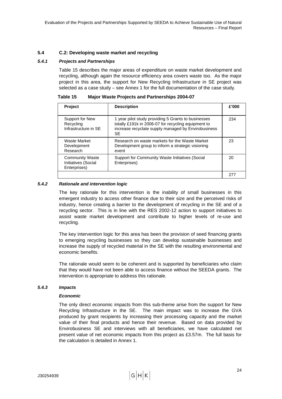#### <span id="page-33-0"></span>**5.4 C.2: Developing waste market and recycling**

#### <span id="page-33-1"></span>*5.4.1 Projects and Partnerships*

[Table 15](#page-33-1) describes the major areas of expenditure on waste market development and recycling, although again the resource efficiency area covers waste too. As the major project in this area, the support for New Recycling Infrastructure in SE project was selected as a case study – see Annex 1 for the full documentation of the case study.

| Table 15 | <b>Major Waste Projects and Partnerships 2004-07</b> |  |
|----------|------------------------------------------------------|--|
|          |                                                      |  |

| <b>Project</b>                                                | <b>Description</b>                                                                                                                                                             | £'000 |
|---------------------------------------------------------------|--------------------------------------------------------------------------------------------------------------------------------------------------------------------------------|-------|
| Support for New<br>Recycling<br>Infrastructure in SE          | 1 year pilot study providing 5 Grants to businesses<br>totally £191k in 2006-07 for recycling equipment to<br>increase recyclate supply managed by Envirobusiness<br><b>SE</b> | 234   |
| Waste Market<br>Development<br>Research                       | Research on waste markets for the Waste Market<br>Development group to inform a strategic visioning<br>event                                                                   | 23    |
| <b>Community Waste</b><br>Initiatives (Social<br>Enterprises) | Support for Community Waste Initiatives (Social<br>Enterprises)                                                                                                                | 20    |
|                                                               |                                                                                                                                                                                | 277   |

#### *5.4.2 Rationale and intervention logic*

The key rationale for this intervention is the inability of small businesses in this emergent industry to access other finance due to their size and the perceived risks of industry, hence creating a barrier to the development of recycling in the SE and of a recycling sector. This is in line with the RES 2002-12 action to support initiatives to assist waste market development and contribute to higher levels of re-use and recycling.

The key intervention logic for this area has been the provision of seed financing grants to emerging recycling businesses so they can develop sustainable businesses and increase the supply of recycled material in the SE with the resulting environmental and economic benefits.

The rationale would seem to be coherent and is supported by beneficiaries who claim that they would have not been able to access finance without the SEEDA grants. The intervention is appropriate to address this rationale.

#### *5.4.3 Impacts*

#### *Economic*

The only direct economic impacts from this sub-theme arise from the support for New Recycling Infrastructure in the SE. The main impact was to increase the GVA produced by grant recipients by increasing their processing capacity and the market value of their final products and hence their revenue. Based on data provided by Envirobusiness SE and interviews with all beneficiaries, we have calculated net present value of net economic impacts from this project as £3.57m. The full basis for the calculation is detailed in Annex 1.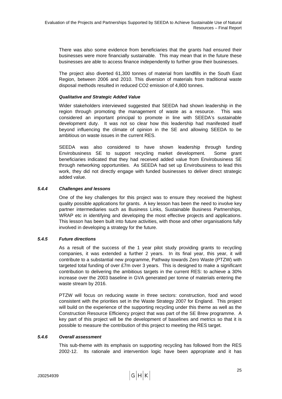There was also some evidence from beneficiaries that the grants had ensured their businesses were more financially sustainable. This may mean that in the future these businesses are able to access finance independently to further grow their businesses.

The project also diverted 61,300 tonnes of material from landfills in the South East Region, between 2006 and 2010. This diversion of materials from traditional waste disposal methods resulted in reduced CO2 emission of 4,800 tonnes.

#### *Qualitative and Strategic Added Value*

Wider stakeholders interviewed suggested that SEEDA had shown leadership in the region through promoting the management of waste as a resource. This was considered an important principal to promote in line with SEEDA's sustainable development duty. It was not so clear how this leadership had manifested itself beyond influencing the climate of opinion in the SE and allowing SEEDA to be ambitious on waste issues in the current RES.

SEEDA was also considered to have shown leadership through funding Envirobusiness SE to support recycling market development. Some grant beneficiaries indicated that they had received added value from Envirobusiness SE through networking opportunities. As SEEDA had set up Envirobusiness to lead this work, they did not directly engage with funded businesses to deliver direct strategic added value.

#### *5.4.4 Challenges and lessons*

One of the key challenges for this project was to ensure they received the highest quality possible applications for grants. A key lesson has been the need to involve key partner intermediaries such as Business Links, Sustainable Business Partnerships, WRAP etc in identifying and developing the most effective projects and applications. This lesson has been built into future activities, with those and other organisations fully involved in developing a strategy for the future.

#### *5.4.5 Future directions*

As a result of the success of the 1 year pilot study providing grants to recycling companies, it was extended a further 2 years. In its final year, this year, it will contribute to a substantial new programme, Pathway towards Zero Waste (PTZW) with targeted total funding of over £7m over 3 years. This is designed to make a significant contribution to delivering the ambitious targets in the current RES: to achieve a 30% increase over the 2003 baseline in GVA generated per tonne of materials entering the waste stream by 2016.

PTZW will focus on reducing waste in three sectors: construction, food and wood consistent with the priorities set in the Waste Strategy 2007 for England. This project will build on the experience of the supporting recycling under this theme as well as the Construction Resource Efficiency project that was part of the SE Brew programme. A key part of this project will be the development of baselines and metrics so that it is possible to measure the contribution of this project to meeting the RES target.

#### *5.4.6 Overall assessment*

This sub-theme with its emphasis on supporting recycling has followed from the RES 2002-12. Its rationale and intervention logic have been appropriate and it has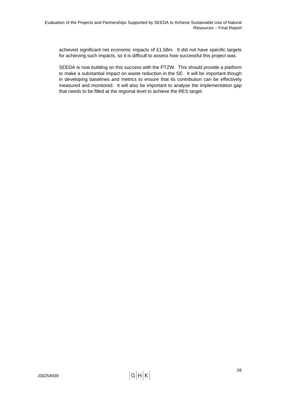achieved significant net economic impacts of £1.58m. It did not have specific targets for achieving such impacts, so it is difficult to assess how successful this project was.

SEEDA is now building on this success with the PTZW. This should provide a platform to make a substantial impact on waste reduction in the SE. It will be important though in developing baselines and metrics to ensure that its contribution can be effectively measured and monitored. It will also be important to analyse the implementation gap that needs to be filled at the regional level to achieve the RES target.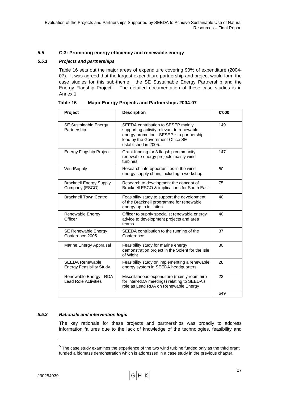## <span id="page-36-0"></span>**5.5 C.3: Promoting energy efficiency and renewable energy**

## <span id="page-36-1"></span>*5.5.1 Projects and partnerships*

[Table 16](#page-36-1) sets out the major areas of expenditure covering 90% of expenditure (2004- 07). It was agreed that the largest expenditure partnership and project would form the case studies for this sub-theme: the SE Sustainable Energy Partnership and the Energy Flagship Project<sup>[5](#page-36-0)</sup>. The detailed documentation of these case studies is in Annex 1.

| Project                                                   | <b>Description</b>                                                                                                                                                                      | £'000 |
|-----------------------------------------------------------|-----------------------------------------------------------------------------------------------------------------------------------------------------------------------------------------|-------|
| <b>SE Sustainable Energy</b><br>Partnership               | SEEDA contribution to SESEP mainly<br>supporting activity relevant to renewable<br>energy promotion. SESEP is a partnership<br>lead by the Government Office SE<br>established in 2005. | 149   |
| <b>Energy Flagship Project</b>                            | Grant funding for 3 flagship community<br>renewable energy projects mainly wind<br>turbines                                                                                             | 147   |
| WindSupply                                                | Research into opportunities in the wind<br>energy supply chain, including a workshop                                                                                                    | 80    |
| <b>Bracknell Energy Supply</b><br>Company (ESCO)          | Research to development the concept of<br>Bracknell ESCO & implications for South East                                                                                                  | 75    |
| <b>Bracknell Town Centre</b>                              | Feasibility study to support the development<br>of the Bracknell programme for renewable<br>energy up to initiation                                                                     | 40    |
| Renewable Energy<br>Officer                               | Officer to supply specialist renewable energy<br>advice to development projects and area<br>teams                                                                                       | 40    |
| <b>SE Renewable Energy</b><br>Conference 2005             | SEEDA contribution to the running of the<br>Conference                                                                                                                                  | 37    |
| Marine Energy Appraisal                                   | Feasibility study for marine energy<br>demonstration project in the Solent for the Isle<br>of Wight                                                                                     | 30    |
| <b>SEEDA Renewable</b><br><b>Energy Feasibility Study</b> | Feasibility study on implementing a renewable<br>energy system in SEEDA headquarters.                                                                                                   | 28    |
| Renewable Energy - RDA<br><b>Lead Role Activities</b>     | Miscellaneous expenditure (mainly room hire<br>for inter-RDA meetings) relating to SEEDA's<br>role as Lead RDA on Renewable Energy                                                      | 23    |
|                                                           |                                                                                                                                                                                         | 649   |

**Table 16 Major Energy Projects and Partnerships 2004-07** 

## *5.5.2 Rationale and intervention logic*

The key rationale for these projects and partnerships was broadly to address information failures due to the lack of knowledge of the technologies, feasibility and

l

 $5$  The case study examines the experience of the two wind turbine funded only as the third grant funded a biomass demonstration which is addressed in a case study in the previous chapter.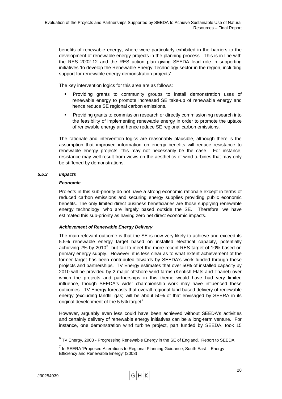<span id="page-37-0"></span>benefits of renewable energy, where were particularly exhibited in the barriers to the development of renewable energy projects in the planning process. This is in line with the RES 2002-12 and the RES action plan giving SEEDA lead role in supporting initiatives 'to develop the Renewable Energy Technology sector in the region, including support for renewable energy demonstration projects'.

The key intervention logics for this area are as follows:

- Providing grants to community groups to install demonstration uses of renewable energy to promote increased SE take-up of renewable energy and hence reduce SE regional carbon emissions.
- Providing grants to commission research or directly commissioning research into the feasibility of implementing renewable energy in order to promote the uptake of renewable energy and hence reduce SE regional carbon emissions.

The rationale and intervention logics are reasonably plausible, although there is the assumption that improved information on energy benefits will reduce resistance to renewable energy projects, this may not necessarily be the case. For instance, resistance may well result from views on the aesthetics of wind turbines that may only be stiffened by demonstrations.

## *5.5.3 Impacts*

## *Economic*

Projects in this sub-priority do not have a strong economic rationale except in terms of reduced carbon emissions and securing energy supplies providing public economic benefits. The only limited direct business beneficiaries are those supplying renewable energy technology, who are largely based outside the SE. Therefore, we have estimated this sub-priority as having zero net direct economic impacts.

## *Achievement of Renewable Energy Delivery*

The main relevant outcome is that the SE is now very likely to achieve and exceed its 5.5% renewable energy target based on installed electrical capacity, potentially achieving 7% by 2010 $^6$  $^6$ , but fail to meet the more recent RES target of 10% based on primary energy supply. However, it is less clear as to what extent achievement of the former target has been contributed towards by SEEDA's work funded through these projects and partnerships. TV Energy estimates that over 50% of installed capacity by 2010 will be provided by 2 major offshore wind farms (Kentish Flats and Thanet) over which the projects and partnerships in this theme would have had very limited influence, though SEEDA's wider championship work may have influenced these outcomes. TV Energy forecasts that overall regional land based delivery of renewable energy (excluding landfill gas) will be about 50% of that envisaged by SEERA in its original development of the 5.5% target<sup>[7](#page-37-0)</sup>.

However, arguably even less could have been achieved without SEEDA's activities and certainly delivery of renewable energy initiatives can be a long-term venture. For instance, one demonstration wind turbine project, part funded by SEEDA, took 15

l

 $^6$  TV Energy, 2008 - Progressing Renewable Energy in the SE of England. Report to SEEDA

 $<sup>7</sup>$  In SEERA 'Proposed Alterations to Regional Planning Guidance, South East – Energy</sup> Efficiency and Renewable Energy' (2003)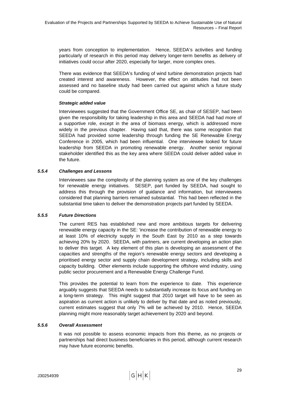years from conception to implementation. Hence, SEEDA's activities and funding particularly of research in this period may delivery longer-term benefits as delivery of initiatives could occur after 2020, especially for larger, more complex ones.

There was evidence that SEEDA's funding of wind turbine demonstration projects had created interest and awareness. However, the effect on attitudes had not been assessed and no baseline study had been carried out against which a future study could be compared.

#### *Strategic added value*

Interviewees suggested that the Government Office SE, as chair of SESEP, had been given the responsibility for taking leadership in this area and SEEDA had had more of a supportive role, except in the area of biomass energy, which is addressed more widely in the previous chapter. Having said that, there was some recognition that SEEDA had provided some leadership through funding the SE Renewable Energy Conference in 2005, which had been influential. One interviewee looked for future leadership from SEEDA in promoting renewable energy. Another senior regional stakeholder identified this as the key area where SEEDA could deliver added value in the future.

## *5.5.4 Challenges and Lessons*

Interviewees saw the complexity of the planning system as one of the key challenges for renewable energy initiatives. SESEP, part funded by SEEDA, had sought to address this through the provision of guidance and information, but interviewees considered that planning barriers remained substantial. This had been reflected in the substantial time taken to deliver the demonstration projects part funded by SEEDA.

## *5.5.5 Future Directions*

The current RES has established new and more ambitious targets for delivering renewable energy capacity in the SE: 'increase the contribution of renewable energy to at least 10% of electricity supply in the South East by 2010 as a step towards achieving 20% by 2020. SEEDA, with partners, are current developing an action plan to deliver this target. A key element of this plan is developing an assessment of the capacities and strengths of the region's renewable energy sectors and developing a prioritised energy sector and supply chain development strategy, including skills and capacity building. Other elements include supporting the offshore wind industry, using public sector procurement and a Renewable Energy Challenge Fund.

This provides the potential to learn from the experience to date. This experience arguably suggests that SEEDA needs to substantially increase its focus and funding on a long-term strategy. This might suggest that 2010 target will have to be seen as aspiration as current action is unlikely to deliver by that date and as noted previously, current estimates suggest that only 7% will be achieved by 2010. Hence, SEEDA planning might more reasonably target achievement by 2020 and beyond.

## *5.5.6 Overall Assessment*

It was not possible to assess economic impacts from this theme, as no projects or partnerships had direct business beneficiaries in this period, although current research may have future economic benefits.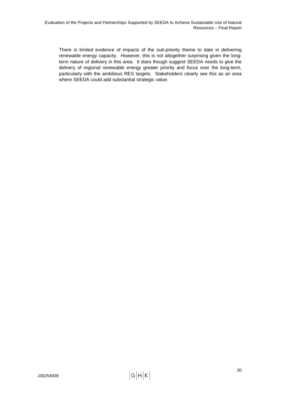There is limited evidence of impacts of the sub-priority theme to date in delivering renewable energy capacity. However, this is not altogether surprising given the longterm nature of delivery in this area. It does though suggest SEEDA needs to give the delivery of regional renewable energy greater priority and focus over the long-term, particularly with the ambitious RES targets. Stakeholders clearly see this as an area where SEEDA could add substantial strategic value.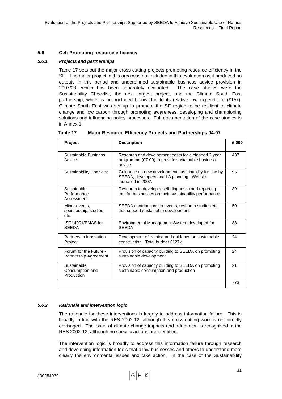## **5.6 C.4: Promoting resource efficiency**

#### *5.6.1 Projects and partnerships*

[Table 17](#page-40-0) sets out the major cross-cutting projects promoting resource efficiency in the SE. The major project in this area was not included in this evaluation as it produced no outputs in this period and underpinned sustainable business advice provision in 2007/08, which has been separately evaluated. The case studies were the Sustainability Checklist, the next largest project, and the Climate South East partnership, which is not included below due to its relative low expenditure (£15k). Climate South East was set up to promote the SE region to be resilient to climate change and low carbon through promoting awareness, developing and championing solutions and influencing policy processes. Full documentation of the case studies is in Annex 1.

<span id="page-40-0"></span>

| <b>Major Resource Efficiency Projects and Partnerships 04-07</b> |
|------------------------------------------------------------------|
|                                                                  |

| <b>Project</b>                                  | <b>Description</b>                                                                                                       | £'000 |
|-------------------------------------------------|--------------------------------------------------------------------------------------------------------------------------|-------|
| Sustainable Business<br>Advice                  | Research and development costs for a planned 2 year<br>programme (07-09) to provide sustainable business<br>advice       | 437   |
| <b>Sustainability Checklist</b>                 | Guidance on new development sustainability for use by<br>SEEDA, developers and LA planning. Website<br>launched in 2007. | 95    |
| Sustainable<br>Performance<br>Assessment        | Research to develop a self-diagnostic and reporting<br>tool for businesses on their sustainability performance           | 89    |
| Minor events,<br>sponsorship, studies<br>etc.   | SEEDA contributions to events, research studies etc.<br>that support sustainable development                             | 50    |
| ISO14001/EMAS for<br><b>SEEDA</b>               | Environmental Management System developed for<br><b>SEEDA</b>                                                            | 33    |
| Partners in Innovation<br>Project               | Development of training and guidance on sustainable<br>construction. Total budget £127k.                                 | 24    |
| Forum for the Future -<br>Partnership Agreement | Provision of capacity building to SEEDA on promoting<br>sustainable development                                          | 24    |
| Sustainable<br>Consumption and<br>Production    | Provision of capacity building to SEEDA on promoting<br>sustainable consumption and production                           | 21    |
|                                                 |                                                                                                                          | 773   |

## *5.6.2 Rationale and intervention logic*

The rationale for these interventions is largely to address information failure. This is broadly in line with the RES 2002-12, although this cross-cutting work is not directly envisaged. The issue of climate change impacts and adaptation is recognised in the RES 2002-12, although no specific actions are identified.

The intervention logic is broadly to address this information failure through research and developing information tools that allow businesses and others to understand more clearly the environmental issues and take action. In the case of the Sustainability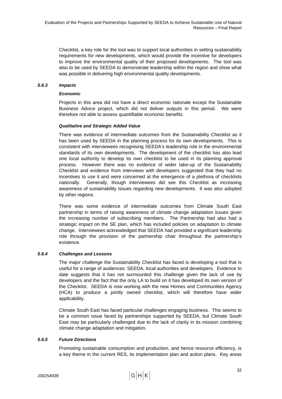Checklist, a key role for the tool was to support local authorities in setting sustainability requirements for new developments, which would provide the incentive for developers to improve the environmental quality of their proposed developments. The tool was also to be used by SEEDA to demonstrate leadership within the region and show what was possible in delivering high environmental quality developments.

#### *5.6.3 Impacts*

#### *Economic*

Projects in this area did not have a direct economic rationale except the Sustainable Business Advice project, which did not deliver outputs in this period. We were therefore not able to assess quantifiable economic benefits.

#### *Qualitative and Strategic Added Value*

There was evidence of intermediate outcomes from the Sustainability Checklist as it has been used by SEEDA in the planning process for its own developments. This is consistent with interviewees recognising SEEDA's leadership role in the environmental standards of its own developments. The development of the checklist has also lead one local authority to develop its own checklist to be used in its planning approval process. However there was no evidence of wider take-up of the Sustainability Checklist and evidence from interviews with developers suggested that they had no incentives to use it and were concerned at the emergence of a plethora of checklists nationally. Generally, though interviewees did see this Checklist as increasing awareness of sustainability issues regarding new developments. It was also adopted by other regions.

There was some evidence of intermediate outcomes from Climate South East partnership in terms of raising awareness of climate change adaptation issues given the increasing number of subscribing members. The Partnership had also had a strategic impact on the SE plan, which has included policies on adaptation to climate change. Interviewees acknowledged that SEEDA had provided a significant leadership role through the provision of the partnership chair throughout the partnership's existence.

## *5.6.4 Challenges and Lessons*

The major challenge the Sustainability Checklist has faced is developing a tool that is useful for a range of audiences: SEEDA, local authorities and developers. Evidence to date suggests that it has not surmounted this challenge given the lack of use by developers and the fact that the only LA to build on it has developed its own version of the Checklist. SEEDA is now working with the new Homes and Communities Agency (HCA) to produce a jointly owned checklist, which will therefore have wider applicability.

Climate South East has faced particular challenges engaging business. This seems to be a common issue faced by partnerships supported by SEEDA, but Climate South East may be particularly challenged due to the lack of clarity in its mission combining climate change adaptation and mitigation.

## *5.6.5 Future Directions*

Promoting sustainable consumption and production, and hence resource efficiency, is a key theme in the current RES, its implementation plan and action plans. Key areas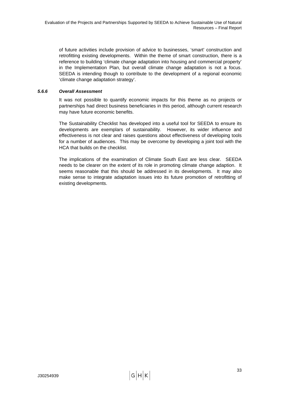of future activities include provision of advice to businesses, 'smart' construction and retrofitting existing developments. Within the theme of smart construction, there is a reference to building 'climate change adaptation into housing and commercial property' in the Implementation Plan, but overall climate change adaptation is not a focus. SEEDA is intending though to contribute to the development of a regional economic 'climate change adaptation strategy'.

## *5.6.6 Overall Assessment*

It was not possible to quantify economic impacts for this theme as no projects or partnerships had direct business beneficiaries in this period, although current research may have future economic benefits.

The Sustainability Checklist has developed into a useful tool for SEEDA to ensure its developments are exemplars of sustainability. However, its wider influence and effectiveness is not clear and raises questions about effectiveness of developing tools for a number of audiences. This may be overcome by developing a joint tool with the HCA that builds on the checklist.

The implications of the examination of Climate South East are less clear. SEEDA needs to be clearer on the extent of its role in promoting climate change adaption. It seems reasonable that this should be addressed in its developments. It may also make sense to integrate adaptation issues into its future promotion of retrofitting of existing developments.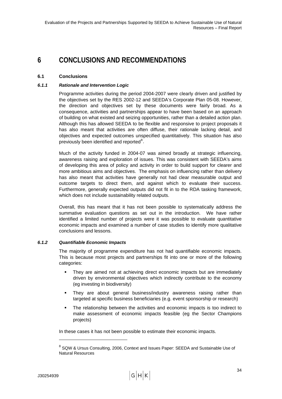## <span id="page-43-0"></span>**6 CONCLUSIONS AND RECOMMENDATIONS**

## **6.1 Conclusions**

## *6.1.1 Rationale and Intervention Logic*

Programme activities during the period 2004-2007 were clearly driven and justified by the objectives set by the RES 2002-12 and SEEDA's Corporate Plan 05-08. However, the direction and objectives set by these documents were fairly broad. As a consequence, activities and partnerships appear to have been based on an approach of building on what existed and seizing opportunities, rather than a detailed action plan. Although this has allowed SEEDA to be flexible and responsive to project proposals it has also meant that activities are often diffuse, their rationale lacking detail, and objectives and expected outcomes unspecified quantitatively. This situation has also previously been identified and reported $8$ .

Much of the activity funded in 2004-07 was aimed broadly at strategic influencing, awareness raising and exploration of issues. This was consistent with SEEDA's aims of developing this area of policy and activity in order to build support for clearer and more ambitious aims and objectives. The emphasis on influencing rather than delivery has also meant that activities have generally not had clear measurable output and outcome targets to direct them, and against which to evaluate their success. Furthermore, generally expected outputs did not fit in to the RDA tasking framework, which does not include sustainability related outputs.

Overall, this has meant that it has not been possible to systematically address the summative evaluation questions as set out in the introduction. We have rather identified a limited number of projects were it was possible to evaluate quantitative economic impacts and examined a number of case studies to identify more qualitative conclusions and lessons.

## *6.1.2 Quantifiable Economic Impacts*

The majority of programme expenditure has not had quantifiable economic impacts. This is because most projects and partnerships fit into one or more of the following categories:

- They are aimed not at achieving direct economic impacts but are immediately driven by environmental objectives which indirectly contribute to the economy (eg investing in biodiversity)
- They are about general business/industry awareness raising rather than targeted at specific business beneficiaries (e.g. event sponsorship or research)
- The relationship between the activities and economic impacts is too indirect to make assessment of economic impacts feasible (eg the Sector Champions projects)

In these cases it has not been possible to estimate their economic impacts.

l

<sup>&</sup>lt;sup>8</sup> SQW & Ursus Consulting, 2006, Context and Issues Paper: SEEDA and Sustainable Use of Natural Resources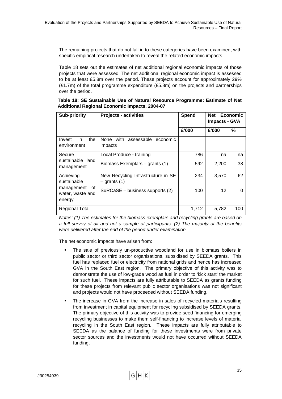The remaining projects that do not fall in to these categories have been examined, with specific empirical research undertaken to reveal the related economic impacts.

[Table 18](#page-44-0) sets out the estimates of net additional regional economic impacts of those projects that were assessed. The net additional regional economic impact is assessed to be at least £5.8m over the period. These projects account for approximately 29%  $(E1.7m)$  of the total programme expenditure  $(E5.8m)$  on the projects and partnerships over the period.

<span id="page-44-0"></span>

| Table 18: SE Sustainable Use of Natural Resource Programme: Estimate of Net |  |
|-----------------------------------------------------------------------------|--|
| Additional Regional Economic Impacts, 2004-07                               |  |

| <b>Sub-priority</b>                      | <b>Projects - activities</b>                         | <b>Spend</b> | <b>Net</b><br><b>Impacts - GVA</b> | <b>Economic</b> |
|------------------------------------------|------------------------------------------------------|--------------|------------------------------------|-----------------|
|                                          |                                                      | £'000        | £'000                              | %               |
| the<br>Invest<br>in<br>environment       | None with assessable economic<br>impacts             |              |                                    |                 |
| Secure<br>sustainable land               | Local Produce - training                             | 786          | na                                 | na              |
| management                               | Biomass Exemplars – grants (1)                       | 592          | 2,200                              | 38              |
| Achieving<br>sustainable<br>0f           | New Recycling Infrastructure in SE<br>$-$ grants (1) | 234          | 3,570                              | 62              |
| management<br>water, waste and<br>energy | SuRCaSE - business supports (2)                      | 100          | 12                                 | 0               |
| <b>Regional Total</b>                    |                                                      | 1,712        | 5,782                              | 100             |

*Notes: (1) The estimates for the biomass exemplars and recycling grants are based on a full survey of all and not a sample of participants. (2) The majority of the benefits were delivered after the end of the period under examination.* 

The net economic impacts have arisen from:

- The sale of previously un-productive woodland for use in biomass boilers in public sector or third sector organisations, subsidised by SEEDA grants. This fuel has replaced fuel or electricity from national grids and hence has increased GVA in the South East region. The primary objective of this activity was to demonstrate the use of low-grade wood as fuel in order to 'kick start' the market for such fuel. These impacts are fully attributable to SEEDA as grants funding for these projects from relevant public sector organisations was not significant and projects would not have proceeded without SEEDA funding.
- The increase in GVA from the increase in sales of recycled materials resulting from investment in capital equipment for recycling subsidised by SEEDA grants. The primary objective of this activity was to provide seed financing for emerging recycling businesses to make them self-financing to increase levels of material recycling in the South East region. These impacts are fully attributable to SEEDA as the balance of funding for these investments were from private sector sources and the investments would not have occurred without SEEDA funding.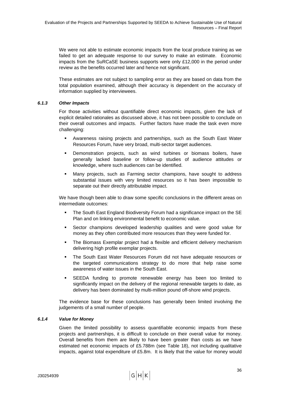We were not able to estimate economic impacts from the local produce training as we failed to get an adequate response to our survey to make an estimate. Economic impacts from the SuRCaSE business supports were only £12,000 in the period under review as the benefits occurred later and hence not significant.

These estimates are not subject to sampling error as they are based on data from the total population examined, although their accuracy is dependent on the accuracy of information supplied by interviewees.

## *6.1.3 Other Impacts*

For those activities without quantifiable direct economic impacts, given the lack of explicit detailed rationales as discussed above, it has not been possible to conclude on their overall outcomes and impacts. Further factors have made the task even more challenging:

- Awareness raising projects and partnerships, such as the South East Water Resources Forum, have very broad, multi-sector target audiences.
- Demonstration projects, such as wind turbines or biomass boilers, have generally lacked baseline or follow-up studies of audience attitudes or knowledge, where such audiences can be identified.
- Many projects, such as Farming sector champions, have sought to address substantial issues with very limited resources so it has been impossible to separate out their directly attributable impact.

We have though been able to draw some specific conclusions in the different areas on intermediate outcomes:

- The South East England Biodiversity Forum had a significance impact on the SE Plan and on linking environmental benefit to economic value.
- Sector champions developed leadership qualities and were good value for money as they often contributed more resources than they were funded for.
- The Biomass Exemplar project had a flexible and efficient delivery mechanism delivering high profile exemplar projects.
- The South East Water Resources Forum did not have adequate resources or the targeted communications strategy to do more that help raise some awareness of water issues in the South East.
- SEEDA funding to promote renewable energy has been too limited to significantly impact on the delivery of the regional renewable targets to date, as delivery has been dominated by multi-million pound off-shore wind projects.

The evidence base for these conclusions has generally been limited involving the judgements of a small number of people.

## *6.1.4 Value for Money*

Given the limited possibility to assess quantifiable economic impacts from these projects and partnerships, it is difficult to conclude on their overall value for money. Overall benefits from them are likely to have been greater than costs as we have estimated net economic impacts of £5.788m (see [Table 18\)](#page-44-0), not including qualitative impacts, against total expenditure of £5.8m. It is likely that the value for money would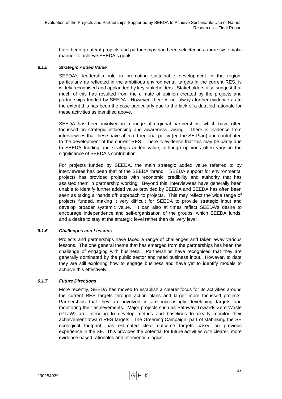have been greater if projects and partnerships had been selected in a more systematic manner to achieve SEEDA's goals.

## *6.1.5 Strategic Added Value*

SEEDA's leadership role in promoting sustainable development in the region, particularly as reflected in the ambitious environmental targets in the current RES, is widely recognised and applauded by key stakeholders. Stakeholders also suggest that much of this has resulted from the climate of opinion created by the projects and partnerships funded by SEEDA. However, there is not always further evidence as to the extent this has been the case particularly due to the lack of a detailed rationale for these activities as identified above.

SEEDA has been involved in a range of regional partnerships, which have often focussed on strategic influencing and awareness raising. There is evidence from interviewees that these have affected regional policy (eg the SE Plan) and contributed to the development of the current RES. There is evidence that this may be partly due to SEEDA funding and strategic added value, although opinions often vary on the significance of SEEDA's contribution.

For projects funded by SEEDA, the main strategic added value referred to by interviewees has been that of the SEEDA 'brand'. SEEDA support for environmental projects has provided projects with 'economic' credibility and authority that has assisted them in partnership working. Beyond this, interviewees have generally been unable to identify further added value provided by SEEDA and SEEDA has often been seen as taking a 'hands off' approach to projects. This may reflect the wide range of projects funded, making it very difficult for SEEDA to provide strategic input and develop broader systemic value. It can also at times reflect SEEDA's desire to encourage independence and self-organisation of the groups, which SEEDA funds, and a desire to stay at the strategic level rather than delivery level

## *6.1.6 Challenges and Lessons*

Projects and partnerships have faced a range of challenges and taken away various lessons. The one general theme that has emerged from the partnerships has been the challenge of engaging with business. Partnerships have recognised that they are generally dominated by the public sector and need business input. However, to date they are still exploring how to engage business and have yet to identify models to achieve this effectively.

## *6.1.7 Future Directions*

More recently, SEEDA has moved to establish a clearer focus for its activities around the current RES targets through action plans and larger more focussed projects. Partnerships that they are involved in are increasingly developing targets and monitoring their achievements. Major projects such as Pathway Towards Zero Waste (PTZW) are intending to develop metrics and baselines to clearly monitor their achievement toward RES targets. The Greening Campaign, part of stabilising the SE ecological footprint, has estimated clear outcome targets based on previous experience in the SE. This provides the potential for future activities with clearer, more evidence based rationales and intervention logics.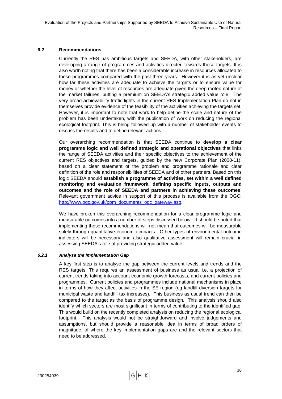## **6.2 Recommendations**

Currently the RES has ambitious targets and SEEDA, with other stakeholders, are developing a range of programmes and activities directed towards these targets. It is also worth noting that there has been a considerable increase in resources allocated to these programmes compared with the past three years. However it is as yet unclear how far these activities are adequate to achieve the targets or to ensure value for money or whether the level of resources are adequate given the deep rooted nature of the market failures, putting a premium on SEEDA's strategic added value role. The very broad achievability traffic lights in the current RES Implementation Plan do not in themselves provide evidence of the feasibility of the activities achieving the targets set. However, it is important to note that work to help define the scale and nature of the problem has been undertaken, with the publication of work on reducing the regional ecological footprint. This is being followed up with a number of stakeholder events to discuss the results and to define relevant actions.

Our overarching recommendation is that SEEDA continue to **develop a clear programme logic and well defined strategic and operational objectives** that links the range of SEEDA activities and their specific objectives to the achievement of the current RES objectives and targets, guided by the new Corporate Plan (2008-11), based on a clear statement of the problem and programme rationale and clear definition of the role and responsibilities of SEEDA and of other partners. Based on this logic SEEDA should **establish a programme of activities, set within a well defined monitoring and evaluation framework, defining specific inputs, outputs and outcomes and the role of SEEDA and partners in achieving these outcomes**. Relevant government advice in support of this process is available from the OGC: [http://www.ogc.gov.uk/ppm\\_documents\\_ogc\\_gateway.asp.](http://www.ogc.gov.uk/ppm_documents_ogc_gateway.asp)

We have broken this overarching recommendation for a clear programme logic and measurable outcomes into a number of steps discussed below. It should be noted that implementing these recommendations will not mean that outcomes will be measurable solely through quantitative economic impacts. Other types of environmental outcome indicators will be necessary and also qualitative assessment will remain crucial in assessing SEEDA's role of providing strategic added value.

#### *6.2.1 Analyse the Implementation Gap*

A key first step is to analyse the gap between the current levels and trends and the RES targets. This requires an assessment of business as usual i.e. a projection of current trends taking into account economic growth forecasts, and current policies and programmes. Current policies and programmes include national mechanisms in place in terms of how they affect activities in the SE region (eg landfill diversion targets for municipal waste and landfill tax increases). This business as usual trend can then be compared to the target as the basis of programme design. This analysis should also identify which sectors are most significant in terms of contributing to the identified gap. This would build on the recently completed analysis on reducing the regional ecological footprint. This analysis would not be straightforward and involve judgements and assumptions, but should provide a reasonable idea in terms of broad orders of magnitude, of where the key implementation gaps are and the relevant sectors that need to be addressed.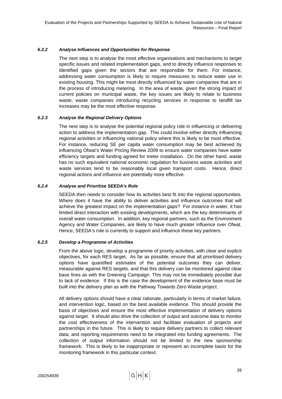#### *6.2.2 Analyse Influences and Opportunities for Response*

The next step is to analyse the most effective organisations and mechanisms to target specific issues and related implementation gaps, and to directly influence responses to identified gaps given the sectors that are responsible for them. For instance, addressing water consumption is likely to require measures to reduce water use in existing housing. This might be most directly influenced by water companies that are in the process of introducing metering. In the area of waste, given the strong impact of current policies on municipal waste, the key issues are likely to relate to business waste; waste companies introducing recycling services in response to landfill tax increases may be the most effective response.

## *6.2.3 Analyse the Regional Delivery Options*

The next step is to analyse the potential regional policy role in influencing or delivering action to address the implementation gap. This could involve either directly influencing regional activities or influencing national policy where this is likely to be most effective. For instance, reducing SE per capita water consumption may be best achieved by influencing Ofwat's Water Pricing Review 2009 to ensure water companies have water efficiency targets and funding agreed for meter installation. On the other hand, waste has no such equivalent national economic regulation for business waste activities and waste services tend to be reasonably local given transport costs. Hence, direct regional actions and influence are potentially more effective.

## *6.2.4 Analyse and Prioritise SEEDA's Role*

SEEDA then needs to consider how its activities best fit into the regional opportunities. Where does it have the ability to deliver activities and influence outcomes that will achieve the greatest impact on the implementation gaps? For instance in water, it has limited direct interaction with existing developments, which are the key determinants of overall water consumption. In addition, key regional partners, such as the Environment Agency and Water Companies, are likely to have much greater influence over Ofwat. Hence, SEEDA's role is currently to support and influence these key partners.

#### *6.2.5 Develop a Programme of Activities*

From the above logic, develop a programme of priority activities, with clear and explicit objectives, for each RES target. As far as possible, ensure that all prioritised delivery options have quantified estimates of the potential outcomes they can deliver, measurable against RES targets, and that this delivery can be monitored against clear base lines as with the Greening Campaign. This may not be immediately possible due to lack of evidence. If this is the case the development of the evidence base must be built into the delivery plan as with the Pathway Towards Zero Waste project.

All delivery options should have a clear rationale, particularly in terms of market failure, and intervention logic, based on the best available evidence. This should provide the basis of objectives and ensure the most effective implementation of delivery options against target. It should also drive the collection of output and outcome data to monitor the cost effectiveness of the intervention and facilitate evaluation of projects and partnerships in the future. This is likely to require delivery partners to collect relevant data; and reporting requirements need to be integrated into funding agreements. The collection of output information should not be limited to the new sponsorship framework. This is likely to be inappropriate or represent an incomplete basis for the monitoring framework in this particular context.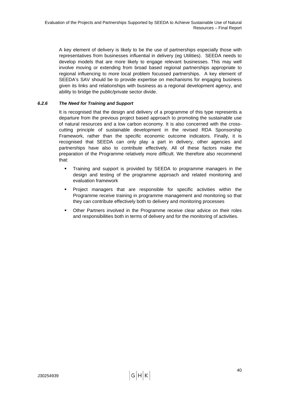A key element of delivery is likely to be the use of partnerships especially those with representatives from businesses influential in delivery (eg Utilities). SEEDA needs to develop models that are more likely to engage relevant businesses. This may well involve moving or extending from broad based regional partnerships appropriate to regional influencing to more local problem focussed partnerships. A key element of SEEDA's SAV should be to provide expertise on mechanisms for engaging business given its links and relationships with business as a regional development agency, and ability to bridge the public/private sector divide.

## *6.2.6 The Need for Training and Support*

It is recognised that the design and delivery of a programme of this type represents a departure from the previous project based approach to promoting the sustainable use of natural resources and a low carbon economy. It is also concerned with the crosscutting principle of sustainable development in the revised RDA Sponsorship Framework, rather than the specific economic outcome indicators. Finally, it is recognised that SEEDA can only play a part in delivery, other agencies and partnerships have also to contribute effectively. All of these factors make the preparation of the Programme relatively more difficult. We therefore also recommend that:

- Training and support is provided by SEEDA to programme managers in the design and testing of the programme approach and related monitoring and evaluation framework
- Project managers that are responsible for specific activities within the Programme receive training in programme management and monitoring so that they can contribute effectively both to delivery and monitoring processes
- Other Partners involved in the Programme receive clear advice on their roles and responsibilities both in terms of delivery and for the monitoring of activities.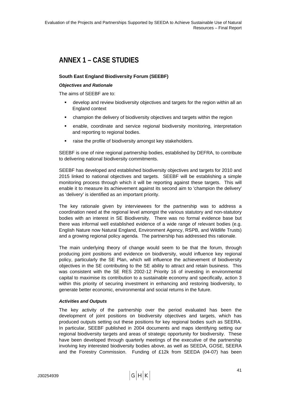# **ANNEX 1 – CASE STUDIES**

## **South East England Biodiversity Forum (SEEBF)**

#### *Objectives and Rationale*

The aims of SEEBF are to:

- develop and review biodiversity objectives and targets for the region within all an England context
- champion the delivery of biodiversity objectives and targets within the region
- enable, coordinate and service regional biodiversity monitoring, interpretation and reporting to regional bodies.
- raise the profile of biodiversity amongst key stakeholders.

SEEBF is one of nine regional partnership bodies, established by DEFRA, to contribute to delivering national biodiversity commitments.

SEEBF has developed and established biodiversity objectives and targets for 2010 and 2015 linked to national objectives and targets. SEEBF will be establishing a simple monitoring process through which it will be reporting against these targets. This will enable it to measure its achievement against its second aim to 'champion the delivery' as 'delivery' is identified as an important priority.

The key rationale given by interviewees for the partnership was to address a coordination need at the regional level amongst the various statutory and non-statutory bodies with an interest in SE Biodiversity. There was no formal evidence base but there was informal well established evidence of a wide range of relevant bodies (e.g. English Nature now Natural England, Environment Agency, RSPB, and Wildlife Trusts) and a growing regional policy agenda. The partnership has addressed this rationale.

The main underlying theory of change would seem to be that the forum, through producing joint positions and evidence on biodiversity, would influence key regional policy, particularly the SE Plan, which will influence the achievement of biodiversity objectives in the SE contributing to the SE ability to attract and retain business. This was consistent with the SE RES 2002-12 Priority 16 of investing in environmental capital to maximise its contribution to a sustainable economy and specifically, action 3 within this priority of securing investment in enhancing and restoring biodiversity, to generate better economic, environmental and social returns in the future.

## *Activities and Outputs*

The key activity of the partnership over the period evaluated has been the development of joint positions on biodiversity objectives and targets, which has produced outputs setting out these positions for key regional bodies such as SEERA. In particular, SEEBF published in 2004 documents and maps identifying setting our regional biodiversity targets and areas of strategic opportunity for biodiversity. These have been developed through quarterly meetings of the executive of the partnership involving key interested biodiversity bodies above, as well as SEEDA, GOSE, SEERA and the Forestry Commission. Funding of £12k from SEEDA (04-07) has been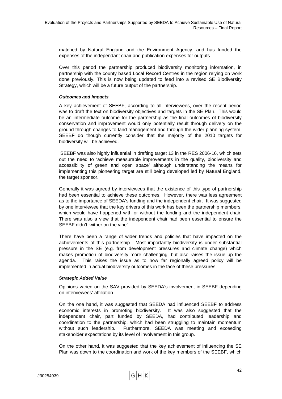matched by Natural England and the Environment Agency, and has funded the expenses of the independant chair and publication expenses for outputs.

Over this period the partnership produced biodiversity monitoring information, in partnership with the county based Local Record Centres in the region relying on work done previously. This is now being updated to feed into a revised SE Biodiversity Strategy, which will be a future output of the partnership.

#### *Outcomes and Impacts*

A key achievement of SEEBF, according to all interviewees, over the recent period was to draft the text on biodiversity objectives and targets in the SE Plan. This would be an intermediate outcome for the partnership as the final outcomes of biodiversity conservation and improvement would only potentially result through delivery on the ground through changes to land management and through the wider planning system. SEEBF do though currently consider that the majority of the 2010 targets for biodiversity will be achieved.

 SEEBF was also highly influential in drafting target 13 in the RES 2006-16, which sets out the need to 'achieve measurable improvements in the quality, biodiversity and accessibility of green and open space' although understanding the means for implementing this pioneering target are still being developed led by Natural England, the target sponsor.

Generally it was agreed by interviewees that the existence of this type of partnership had been essential to achieve these outcomes. However, there was less agreement as to the importance of SEEDA's funding and the independent chair. It was suggested by one interviewee that the key drivers of this work has been the partnership members, which would have happened with or without the funding and the independent chair. There was also a view that the independent chair had been essential to ensure the SEEBF didn't 'wither on the vine'.

There have been a range of wider trends and policies that have impacted on the achievements of this partnership. Most importantly biodiversity is under substantial pressure in the SE (e.g. from development pressures and climate change) which makes promotion of biodiversity more challenging, but also raises the issue up the agenda. This raises the issue as to how far regionally agreed policy will be implemented in actual biodiversity outcomes in the face of these pressures.

## *Strategic Added Value*

Opinions varied on the SAV provided by SEEDA's involvement in SEEBF depending on interviewees' affiliation.

On the one hand, it was suggested that SEEDA had influenced SEEBF to address economic interests in promoting biodiversity. It was also suggested that the independent chair, part funded by SEEDA, had contributed leadership and coordination to the partnership, which had been struggling to maintain momentum without such leadership. Furthermore, SEEDA was meeting and exceeding stakeholder expectations by its level of involvement in this group.

On the other hand, it was suggested that the key achievement of influencing the SE Plan was down to the coordination and work of the key members of the SEEBF, which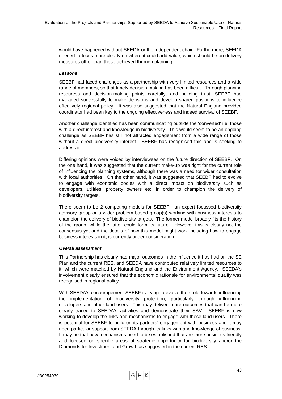would have happened without SEEDA or the independent chair. Furthermore, SEEDA needed to focus more clearly on where it could add value, which should be on delivery measures other than those achieved through planning.

#### *Lessons*

SEEBF had faced challenges as a partnership with very limited resources and a wide range of members, so that timely decision making has been difficult. Through planning resources and decision-making points carefully, and building trust, SEEBF had managed successfully to make decisions and develop shared positions to influence effectively regional policy. It was also suggested that the Natural England provided coordinator had been key to the ongoing effectiveness and indeed survival of SEEBF.

Another challenge identified has been communicating outside the 'converted' i.e. those with a direct interest and knowledge in biodiversity. This would seem to be an ongoing challenge as SEEBF has still not attracted engagement from a wide range of those without a direct biodiversity interest. SEEBF has recognised this and is seeking to address it.

Differing opinions were voiced by interviewees on the future direction of SEEBF. On the one hand, it was suggested that the current make-up was right for the current role of influencing the planning systems, although there was a need for wider consultation with local authorities. On the other hand, it was suggested that SEEBF had to evolve to engage with economic bodies with a direct impact on biodiversity such as developers, utilities, property owners etc, in order to champion the delivery of biodiversity targets.

There seem to be 2 competing models for SEEBF: an expert focussed biodiversity advisory group or a wider problem based group(s) working with business interests to champion the delivery of biodiversity targets. The former model broadly fits the history of the group, while the latter could form its future. However this is clearly not the consensus yet and the details of how this model might work including how to engage business interests in it, is currently under consideration.

## *Overall assessment*

This Partnership has clearly had major outcomes in the influence it has had on the SE Plan and the current RES, and SEEDA have contributed relatively limited resources to it, which were matched by Natural England and the Environment Agency. SEEDA's involvement clearly ensured that the economic rationale for environmental quality was recognised in regional policy.

With SEEDA's encouragement SEEBF is trying to evolve their role towards influencing the implementation of biodiversity protection, particularly through influencing developers and other land users. This may deliver future outcomes that can be more clearly traced to SEEDA's activities and demonstrate their SAV. SEEBF is now working to develop the links and mechanisms to engage with these land users. There is potential for SEEBF to build on its partners' engagement with business and it may need particular support from SEEDA through its links with and knowledge of business. It may be that new mechanisms need to be established that are more business friendly and focused on specific areas of strategic opportunity for biodiversity and/or the Diamonds for Investment and Growth as suggested in the current RES.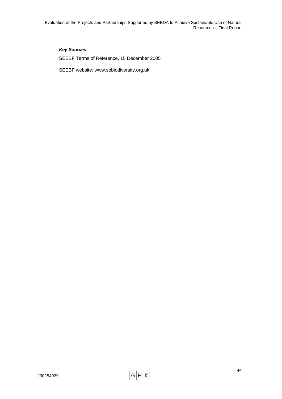Evaluation of the Projects and Partnerships Supported by SEEDA to Achieve Sustainable Use of Natural Resources – Final Report

## *Key Sources*

SEEBF Terms of Reference, 15 December 2005

SEEBF website: www.sebiodiversity.org.uk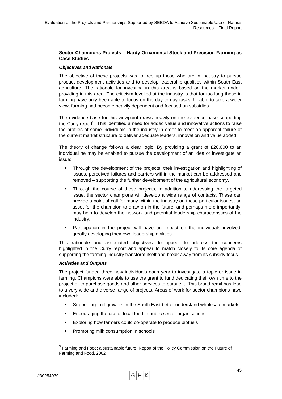## <span id="page-54-0"></span>**Sector Champions Projects – Hardy Ornamental Stock and Precision Farming as Case Studies**

#### *Objectives and Rationale*

The objective of these projects was to free up those who are in industry to pursue product development activities and to develop leadership qualities within South East agriculture. The rationale for investing in this area is based on the market underproviding in this area. The criticism levelled at the industry is that for too long those in farming have only been able to focus on the day to day tasks. Unable to take a wider view, farming had become heavily dependent and focused on subsidies.

The evidence base for this viewpoint draws heavily on the evidence base supporting the Curry report $9$ . This identified a need for added value and innovative actions to raise the profiles of some individuals in the industry in order to meet an apparent failure of the current market structure to deliver adequate leaders, innovation and value added.

The theory of change follows a clear logic. By providing a grant of £20,000 to an individual he may be enabled to pursue the development of an idea or investigate an issue:

- Through the development of the projects, their investigation and highlighting of issues, perceived failures and barriers within the market can be addressed and removed – supporting the further development of the agricultural economy.
- Through the course of these projects, in addition to addressing the targeted issue, the sector champions will develop a wide range of contacts. These can provide a point of call for many within the industry on these particular issues, an asset for the champion to draw on in the future, and perhaps more importantly, may help to develop the network and potential leadership characteristics of the industry.
- Participation in the project will have an impact on the individuals involved, greatly developing their own leadership abilities.

This rationale and associated objectives do appear to address the concerns highlighted in the Curry report and appear to match closely to its core agenda of supporting the farming industry transform itself and break away from its subsidy focus.

## *Activities and Outputs*

The project funded three new individuals each year to investigate a topic or issue in farming. Champions were able to use the grant to fund dedicating their own time to the project or to purchase goods and other services to pursue it. This broad remit has lead to a very wide and diverse range of projects. Areas of work for sector champions have included:

- Supporting fruit growers in the South East better understand wholesale markets
- **Encouraging the use of local food in public sector organisations**
- Exploring how farmers could co-operate to produce biofuels
- Promoting milk consumption in schools

l

 $^9$  Farming and Food; a sustainable future, Report of the Policy Commission on the Future of Farming and Food, 2002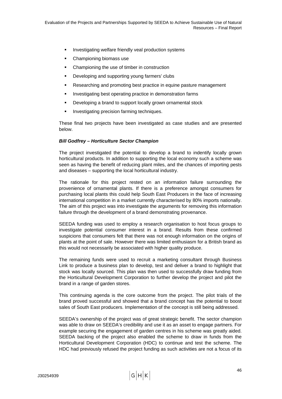- **Investigating welfare friendly veal production systems**
- Championing biomass use
- Championing the use of timber in construction
- Developing and supporting young farmers' clubs
- **Researching and promoting best practice in equine pasture management**
- **Investigating best operating practice in demonstration farms**
- **•** Developing a brand to support locally grown ornamental stock
- **Investigating precision farming techniques.**

These final two projects have been investigated as case studies and are presented below.

#### *Bill Godfrey – Horticulture Sector Champion*

The project investigated the potential to develop a brand to indentify locally grown horticultural products. In addition to supporting the local economy such a scheme was seen as having the benefit of reducing plant miles, and the chances of importing pests and diseases – supporting the local horticultural industry.

The rationale for this project rested on an information failure surrounding the provenience of ornamental plants. If there is a preference amongst consumers for purchasing local plants this could help South East Producers in the face of increasing international competition in a market currently characterised by 80% imports nationally. The aim of this project was into investigate the arguments for removing this information failure through the development of a brand demonstrating provenance.

SEEDA funding was used to employ a research organisation to host focus groups to investigate potential consumer interest in a brand. Results from these confirmed suspicions that consumers felt that there was not enough information on the origins of plants at the point of sale. However there was limited enthusiasm for a British brand as this would not necessarily be associated with higher quality produce.

The remaining funds were used to recruit a marketing consultant through Business Link to produce a business plan to develop, test and deliver a brand to highlight that stock was locally sourced. This plan was then used to successfully draw funding from the Horticultural Development Corporation to further develop the project and pilot the brand in a range of garden stores.

This continuing agenda is the core outcome from the project. The pilot trials of the brand proved successful and showed that a brand concept has the potential to boost sales of South East producers. Implementation of the concept is still being addressed.

SEEDA's ownership of the project was of great strategic benefit. The sector champion was able to draw on SEEDA's credibility and use it as an asset to engage partners. For example securing the engagement of garden centres in his scheme was greatly aided. SEEDA backing of the project also enabled the scheme to draw in funds from the Horticultural Development Corporation (HDC) to continue and test the scheme. The HDC had previously refused the project funding as such activities are not a focus of its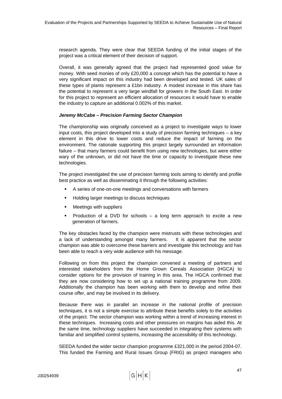research agenda. They were clear that SEEDA funding of the initial stages of the project was a critical element of their decision of support.

Overall, it was generally agreed that the project had represented good value for money. With seed monies of only £20,000 a concept which has the potential to have a very significant impact on this industry had been developed and tested. UK sales of these types of plants represent a £1bn industry. A modest increase in this share has the potential to represent a very large windfall for growers in the South East. In order for this project to represent an efficient allocation of resources it would have to enable the industry to capture an additional 0.002% of this market.

#### *Jeremy McCabe – Precision Farming Sector Champion*

The championship was originally conceived as a project to investigate ways to lower input costs, this project developed into a study of precision farming techniques – a key element in this drive to lower costs and reduce the impact of farming on the environment. The rationale supporting this project largely surrounded an information failure – that many farmers could benefit from using new technologies, but were either wary of the unknown, or did not have the time or capacity to investigate these new technologies.

The project investigated the use of precision farming tools aiming to identify and profile best practice as well as disseminating it through the following activities:

- A series of one-on-one meetings and conversations with farmers
- **Holding larger meetings to discuss techniques**
- **•** Meetings with suppliers
- Production of a DVD for schools a long term approach to excite a new generation of farmers.

The key obstacles faced by the champion were mistrusts with these technologies and a lack of understanding amongst many farmers. It is apparent that the sector champion was able to overcome these barriers and investigate this technology and has been able to reach a very wide audience with his message.

Following on from this project the champion convened a meeting of partners and interested stakeholders from the Home Grown Cereals Association (HGCA) to consider options for the provision of training in this area. The HGCA confirmed that they are now considering how to set up a national training programme from 2009. Additionally the champion has been working with them to develop and refine their course offer, and may be involved in its delivery.

Because there was in parallel an increase in the national profile of precision techniques, it is not a simple exercise to attribute these benefits solely to the activities of the project. The sector champion was working within a trend of increasing interest in these techniques. Increasing costs and other pressures on margins has aided this. At the same time, technology suppliers have succeeded in integrating their systems with familiar and simplified control systems, increasing the accessibility of this technology.

SEEDA funded the wider sector champion programme £321,000 in the period 2004-07. This funded the Farming and Rural Issues Group (FRIG) as project managers who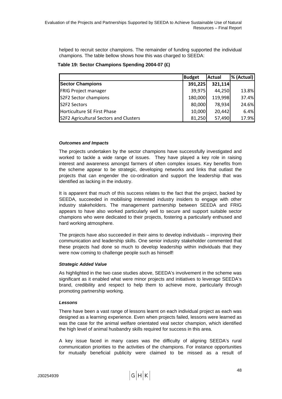helped to recruit sector champions. The remainder of funding supported the individual champions. The table bellow shows how this was charged to SEEDA:

#### **Table 19: Sector Champions Spending 2004-07 (£)**

|                                        | <b>Budget</b> | <b>Actual</b> | % (Actual) |
|----------------------------------------|---------------|---------------|------------|
| <b>Sector Champions</b>                | 391,225       | 321,114       |            |
| <b>FRIG Project manager</b>            | 39,975        | 44,250        | 13.8%      |
| S2F2 Sector champions                  | 180,000       | 119,998       | 37.4%      |
| S2F2 Sectors                           | 80,000        | 78,934        | 24.6%      |
| Horticulture SE First Phase            | 10,000        | 20,442        | 6.4%       |
| S2F2 Agricultural Sectors and Clusters | 81,250        | 57,490        | 17.9%      |

#### *Outcomes and Impacts*

The projects undertaken by the sector champions have successfully investigated and worked to tackle a wide range of issues. They have played a key role in raising interest and awareness amongst farmers of often complex issues. Key benefits from the scheme appear to be strategic, developing networks and links that outlast the projects that can engender the co-ordination and support the leadership that was identified as lacking in the industry.

It is apparent that much of this success relates to the fact that the project, backed by SEEDA, succeeded in mobilising interested industry insiders to engage with other industry stakeholders. The management partnership between SEEDA and FRIG appears to have also worked particularly well to secure and support suitable sector champions who were dedicated to their projects, fostering a particularly enthused and hard working atmosphere.

The projects have also succeeded in their aims to develop individuals – improving their communication and leadership skills. One senior industry stakeholder commented that these projects had done so much to develop leadership within individuals that they were now coming to challenge people such as himself!

## *Strategic Added Value*

As highlighted in the two case studies above, SEEDA's involvement in the scheme was significant as it enabled what were minor projects and initiatives to leverage SEEDA's brand, credibility and respect to help them to achieve more, particularly through promoting partnership working.

#### *Lessons*

There have been a vast range of lessons learnt on each individual project as each was designed as a learning experience. Even when projects failed, lessons were learned as was the case for the animal welfare orientated veal sector champion, which identified the high level of animal husbandry skills required for success in this area.

A key issue faced in many cases was the difficulty of aligning SEEDA's rural communication priorities to the activities of the champions. For instance opportunities for mutually beneficial publicity were claimed to be missed as a result of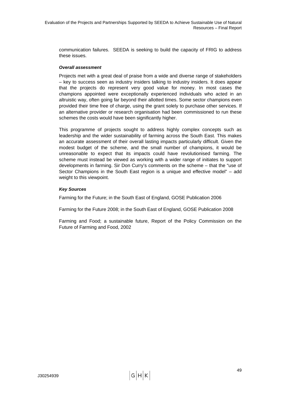communication failures. SEEDA is seeking to build the capacity of FRIG to address these issues.

#### *Overall assessment*

Projects met with a great deal of praise from a wide and diverse range of stakeholders – key to success seen as industry insiders talking to industry insiders. It does appear that the projects do represent very good value for money. In most cases the champions appointed were exceptionally experienced individuals who acted in an altruistic way, often going far beyond their allotted times. Some sector champions even provided their time free of charge, using the grant solely to purchase other services. If an alternative provider or research organisation had been commissioned to run these schemes the costs would have been significantly higher.

This programme of projects sought to address highly complex concepts such as leadership and the wider sustainability of farming across the South East. This makes an accurate assessment of their overall lasting impacts particularly difficult. Given the modest budget of the scheme, and the small number of champions, it would be unreasonable to expect that its impacts could have revolutionised farming. The scheme must instead be viewed as working with a wider range of initiates to support developments in farming. Sir Don Curry's comments on the scheme – that the "use of Sector Champions in the South East region is a unique and effective model" – add weight to this viewpoint.

#### *Key Sources*

Farming for the Future; in the South East of England, GOSE Publication 2006

Farming for the Future 2008; in the South East of England, GOSE Publication 2008

Farming and Food; a sustainable future, Report of the Policy Commission on the Future of Farming and Food, 2002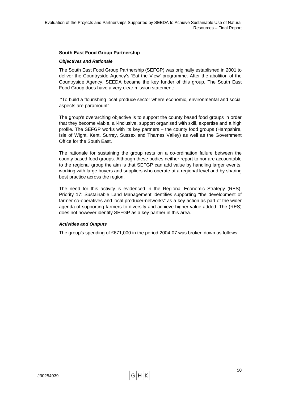## **South East Food Group Partnership**

#### *Objectives and Rationale*

The South East Food Group Partnership (SEFGP) was originally established in 2001 to deliver the Countryside Agency's 'Eat the View' programme. After the abolition of the Countryside Agency, SEEDA became the key funder of this group. The South East Food Group does have a very clear mission statement:

 "To build a flourishing local produce sector where economic, environmental and social aspects are paramount"

The group's overarching objective is to support the county based food groups in order that they become viable, all-inclusive, support organised with skill, expertise and a high profile. The SEFGP works with its key partners – the county food groups (Hampshire, Isle of Wight, Kent, Surrey, Sussex and Thames Valley) as well as the Government Office for the South East.

The rationale for sustaining the group rests on a co-ordination failure between the county based food groups. Although these bodies neither report to nor are accountable to the regional group the aim is that SEFGP can add value by handling larger events, working with large buyers and suppliers who operate at a regional level and by sharing best practice across the region.

The need for this activity is evidenced in the Regional Economic Strategy (RES). Priority 17: Sustainable Land Management identifies supporting "the development of farmer co-operatives and local producer-networks" as a key action as part of the wider agenda of supporting farmers to diversify and achieve higher value added. The (RES) does not however identify SEFGP as a key partner in this area.

## *Activities and Outputs*

The group's spending of £671,000 in the period 2004-07 was broken down as follows: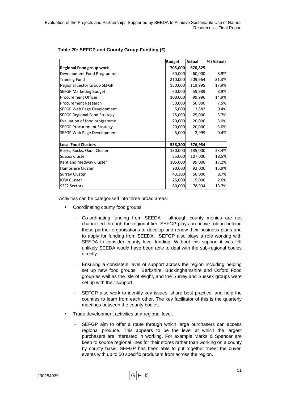|                                     | <b>Budget</b> | <b>Actual</b> | % (Actual) |
|-------------------------------------|---------------|---------------|------------|
| <b>Regional Food group work</b>     | 705,000       | 670,825       |            |
| Development Food Programme          | 60,000        | 60,000        | 8.9%       |
| <b>Training Fund</b>                | 210,000       | 209,964       | 31.3%      |
| Regional Sector Group SEFGP         | 150,000       | 119,995       | 17.9%      |
| <b>SEFGP Marketing Budget</b>       | 60,000        | 59,989        | 8.9%       |
| <b>Procurement Officer</b>          | 100,000       | 99,996        | 14.9%      |
| <b>Procurement Research</b>         | 50,000        | 50,000        | 7.5%       |
| SEFGP Web Page Development          | 5,000         | 2,882         | 0.4%       |
| <b>SEFGP Regional Food Strategy</b> | 25,000        | 25,000        | 3.7%       |
| Evaluation of food programme        | 20,000        | 20,000        | 3.0%       |
| <b>SEFGP Procurement Strategy</b>   | 20,000        | 20,000        | 3.0%       |
| SEFGP Web Page Development          | 5,000         | 2,999         | 0.4%       |
|                                     |               |               |            |
| <b>Local Food Clusters</b>          | 558,300       | 576,934       |            |
| Berks; Bucks; Oxon Cluster          | 130,000       | 135,000       | 23.4%      |
| <b>Sussex Cluster</b>               | 85,000        | 107,000       | 18.5%      |
| Kent and Medway Cluster             | 105,000       | 99,000        | 17.2%      |
| Hampshire Cluster                   | 90,000        | 92,000        | 15.9%      |
| <b>Surrey Cluster</b>               | 43,300        | 50,000        | 8.7%       |
| <b>IOW Cluster</b>                  | 25,000        | 15,000        | 2.6%       |
| S2F2 Sectors                        | 80,000        | 78,934        | 13.7%      |

## **Table 20: SEFGP and County Group Funding (£)**

Activities can be categorised into three broad areas:

- Coordinating county food groups
	- − Co-ordinating funding from SEEDA although county monies are not channelled through the regional tier, SEFGP plays an active role in helping these partner organisations to develop and renew their business plans and to apply for funding from SEEDA. SEFGP also plays a role working with SEEDA to consider county level funding. Without this support it was felt unlikely SEEDA would have been able to deal with the sub-regional bodies directly.
	- Ensuring a consistent level of support across the region including helping set up new food groups: Berkshire, Buckinghamshire and Oxford Food group as well as the Isle of Wight, and the Surrey and Sussex groups were set up with their support.
	- SEFGP also work to identify key issues, share best practice, and help the counties to learn from each other. The key facilitator of this is the quarterly meetings between the county bodies.
- Trade development activities at a regional level.
	- SEFGP aim to offer a route through which large purchasers can access regional produce. This appears to be the level at which the largest purchasers are interested in working. For example Marks & Spencer are keen to source regional lines for their stores rather than working on a county by county basis. SEFGP has been able to put together 'meet the buyer' events with up to 50 specific producers from across the region.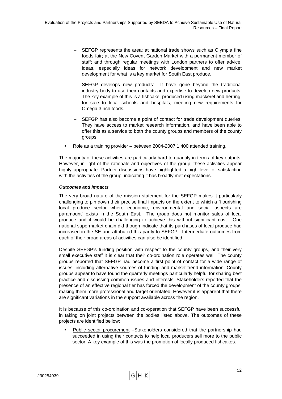- SEFGP represents the area: at national trade shows such as Olympia fine foods fair; at the New Covent Garden Market with a permanent member of staff; and through regular meetings with London partners to offer advice, ideas, especially ideas for network development and new market development for what is a key market for South East produce.
- SEFGP develops new products: It have gone beyond the traditional industry body to use their contacts and expertise to develop new products. The key example of this is a fishcake, produced using mackerel and herring, for sale to local schools and hospitals, meeting new requirements for Omega 3 rich foods.
- SEFGP has also become a point of contact for trade development queries. They have access to market research information, and have been able to offer this as a service to both the county groups and members of the county groups.
- Role as a training provider between 2004-2007 1,400 attended training.

The majority of these activities are particularly hard to quantify in terms of key outputs. However, in light of the rationale and objectives of the group, these activities appear highly appropriate. Partner discussions have highlighted a high level of satisfaction with the activities of the group, indicating it has broadly met expectations.

## *Outcomes and Impacts*

The very broad nature of the mission statement for the SEFGP makes it particularly challenging to pin down their precise final impacts on the extent to which a "flourishing local produce sector where economic, environmental and social aspects are paramount" exists in the South East. The group does not monitor sales of local produce and it would be challenging to achieve this without significant cost. One national supermarket chain did though indicate that its purchases of local produce had increased in the SE and attributed this partly to SEFGP. Intermediate outcomes from each of their broad areas of activities can also be identified.

Despite SEFGP's funding position with respect to the county groups, and their very small executive staff it is clear that their co-ordination role operates well. The county groups reported that SEFGP had become a first point of contact for a wide range of issues, including alternative sources of funding and market trend information. County groups appear to have found the quarterly meetings particularly helpful for sharing best practice and discussing common issues and interests. Stakeholders reported that the presence of an effective regional tier has forced the development of the county groups, making them more professional and target orientated. However it is apparent that there are significant variations in the support available across the region.

It is because of this co-ordination and co-operation that SEFGP have been successful in taking on joint projects between the bodies listed above. The outcomes of these projects are identified bellow:

Public sector procurement -Stakeholders considered that the partnership had succeeded in using their contacts to help local producers sell more to the public sector. A key example of this was the promotion of locally produced fishcakes.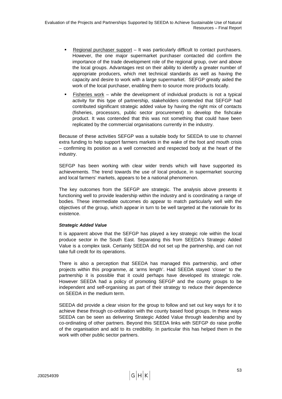- Regional purchaser support It was particularly difficult to contact purchasers. However, the one major supermarket purchaser contacted did confirm the importance of the trade development role of the regional group, over and above the local groups. Advantages rest on their ability to identify a greater number of appropriate producers, which met technical standards as well as having the capacity and desire to work with a large supermarket. SEFGP greatly aided the work of the local purchaser, enabling them to source more products locally.
- Fisheries work while the development of individual products is not a typical activity for this type of partnership, stakeholders contended that SEFGP had contributed significant strategic added value by having the right mix of contacts (fisheries, processors, public sector procurement) to develop the fishcake product. It was contended that this was not something that could have been replicated by the commercial organisations currently in the industry.

Because of these activities SEFGP was a suitable body for SEEDA to use to channel extra funding to help support farmers markets in the wake of the foot and mouth crisis – confirming its position as a well connected and respected body at the heart of the industry.

SEFGP has been working with clear wider trends which will have supported its achievements. The trend towards the use of local produce, in supermarket sourcing and local farmers' markets, appears to be a national phenomenon.

The key outcomes from the SEFGP are strategic. The analysis above presents it functioning well to provide leadership within the industry and is coordinating a range of bodies. These intermediate outcomes do appear to match particularly well with the objectives of the group, which appear in turn to be well targeted at the rationale for its existence.

## *Strategic Added Value*

It is apparent above that the SEFGP has played a key strategic role within the local produce sector in the South East. Separating this from SEEDA's Strategic Added Value is a complex task. Certainly SEEDA did not set up the partnership, and can not take full credit for its operations.

There is also a perception that SEEDA has managed this partnership, and other projects within this programme, at 'arms length'. Had SEEDA stayed 'closer' to the partnership it is possible that it could perhaps have developed its strategic role. However SEEDA had a policy of promoting SEFGP and the county groups to be independent and self-organising as part of their strategy to reduce their dependence on SEEDA in the medium term.

SEEDA did provide a clear vision for the group to follow and set out key ways for it to achieve these through co-ordination with the county based food groups. In these ways SEEDA can be seen as delivering Strategic Added Value through leadership and by co-ordinating of other partners. Beyond this SEEDA links with SEFGP do raise profile of the organisation and add to its credibility. In particular this has helped them in the work with other public sector partners.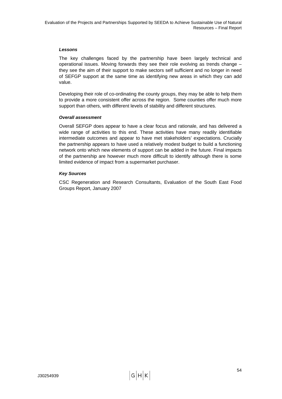#### *Lessons*

The key challenges faced by the partnership have been largely technical and operational issues. Moving forwards they see their role evolving as trends change – they see the aim of their support to make sectors self sufficient and no longer in need of SEFGP support at the same time as identifying new areas in which they can add value.

Developing their role of co-ordinating the county groups, they may be able to help them to provide a more consistent offer across the region. Some counties offer much more support than others, with different levels of stability and different structures.

#### *Overall assessment*

Overall SEFGP does appear to have a clear focus and rationale, and has delivered a wide range of activities to this end. These activities have many readily identifiable intermediate outcomes and appear to have met stakeholders' expectations. Crucially the partnership appears to have used a relatively modest budget to build a functioning network onto which new elements of support can be added in the future. Final impacts of the partnership are however much more difficult to identify although there is some limited evidence of impact from a supermarket purchaser.

#### *Key Sources*

CSC Regeneration and Research Consultants, Evaluation of the South East Food Groups Report, January 2007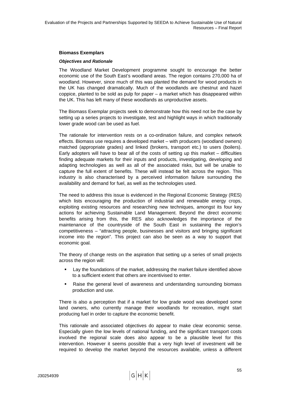#### **Biomass Exemplars**

#### *Objectives and Rationale*

The Woodland Market Development programme sought to encourage the better economic use of the South East's woodland areas. The region contains 270,000 ha of woodland. However, since much of this was planted the demand for wood products in the UK has changed dramatically. Much of the woodlands are chestnut and hazel coppice, planted to be sold as pulp for paper – a market which has disappeared within the UK. This has left many of these woodlands as unproductive assets.

The Biomass Exemplar projects seek to demonstrate how this need not be the case by setting up a series projects to investigate, test and highlight ways in which traditionally lower grade wood can be used as fuel.

The rationale for intervention rests on a co-ordination failure, and complex network effects. Biomass use requires a developed market – with producers (woodland owners) matched (appropriate grades) and linked (brokers, transport etc.) to users (boilers). Early adopters will have to bear all of the costs of setting up this market – difficulties finding adequate markets for their inputs and products, investigating, developing and adapting technologies as well as all of the associated risks, but will be unable to capture the full extent of benefits. These will instead be felt across the region. This industry is also characterised by a perceived information failure surrounding the availability and demand for fuel, as well as the technologies used.

The need to address this issue is evidenced in the Regional Economic Strategy (RES) which lists encouraging the production of industrial and renewable energy crops, exploiting existing resources and researching new techniques, amongst its four key actions for achieving Sustainable Land Management. Beyond the direct economic benefits arising from this, the RES also acknowledges the importance of the maintenance of the countryside of the South East in sustaining the region's competitiveness – "attracting people, businesses and visitors and bringing significant income into the region". This project can also be seen as a way to support that economic goal.

The theory of change rests on the aspiration that setting up a series of small projects across the region will:

- Lay the foundations of the market, addressing the market failure identified above to a sufficient extent that others are incentivised to enter.
- Raise the general level of awareness and understanding surrounding biomass production and use.

There is also a perception that if a market for low grade wood was developed some land owners, who currently manage their woodlands for recreation, might start producing fuel in order to capture the economic benefit.

This rationale and associated objectives do appear to make clear economic sense. Especially given the low levels of national funding, and the significant transport costs involved the regional scale does also appear to be a plausible level for this intervention. However it seems possible that a very high level of investment will be required to develop the market beyond the resources available, unless a different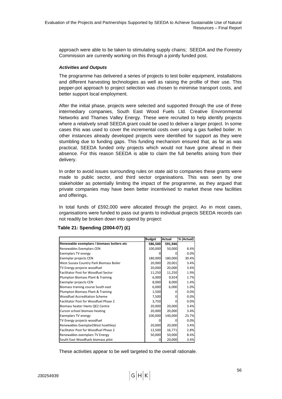approach were able to be taken to stimulating supply chains; SEEDA and the Forestry Commission are currently working on this through a jointly funded post.

#### *Activities and Outputs*

The programme has delivered a series of projects to test boiler equipment, installations and different harvesting technologies as well as raising the profile of their use. This pepper-pot approach to project selection was chosen to minimise transport costs, and better support local employment.

After the initial phase, projects were selected and supported through the use of three intermediary companies, South East Wood Fuels Ltd. Creative Environmental Networks and Thames Valley Energy. These were recruited to help identify projects where a relatively small SEEDA grant could be used to deliver a larger project. In some cases this was used to cover the incremental costs over using a gas fuelled boiler. In other instances already developed projects were identified for support as they were stumbling due to funding gaps. This funding mechanism ensured that, as far as was practical, SEEDA funded only projects which would not have gone ahead in their absence. For this reason SEEDA is able to claim the full benefits arising from their delivery.

In order to avoid issues surrounding rules on state aid to companies these grants were made to public sector, and third sector organisations. This was seen by one stakeholder as potentially limiting the impact of the programme, as they argued that private companies may have been better incentivised to market these new facilities and offerings.

In total funds of £592,000 were allocated through the project. As in most cases, organisations were funded to pass out grants to individual projects SEEDA records can not readily be broken down into spend by project:

|                                             | <b>Budget</b> | Actual   | % (Actual) |
|---------------------------------------------|---------------|----------|------------|
| Renewable exemplars / biomass boilers etc   | 586,500       | 591,946  |            |
| Renewables Exemplars CEN                    | 100,000       | 50,000   | 8.4%       |
| <b>Exemplars TV energy</b>                  |               | O        | 0.0%       |
| Exemplar projects CEN                       | 180,000       | 180,000  | 30.4%      |
| West Sussex Country Park Biomass Boiler     | 20,000        | 20,001   | 3.4%       |
| TV Energy projects woodfuel                 | 20,000        | 20,000   | 3.4%       |
| <b>Facilitator Post for Woodfuel Sector</b> | 11,250        | 11,250   | 1.9%       |
| Plumpton Biomass Plant & Training           | 6,000         | 9,924    | 1.7%       |
| Exemplar projects CEN                       | 8,000         | 8,000    | 1.4%       |
| Biomass training course South east          | 6,000         | 6,000    | 1.0%       |
| Plumpton Biomass Plant & Training           | 1,500         | 0        | 0.0%       |
| <b>Woodfuel Accreditation Scheme</b>        | 7,500         | 0        | 0.0%       |
| Facilitator Post for Woodfuel Phase 2       | 3,750         | $\Omega$ | 0.0%       |
| Biomass heater Hants QE2 Centre             | 20,000        | 20,000   | 3.4%       |
| Curzon school biomass heating               | 20,000        | 20,000   | 3.4%       |
| <b>Exemplars TV energy</b>                  | 100,000       | 140,000  | 23.7%      |
| TV Energy projects woodfuel                 | ი             | O        | 0.0%       |
| Renewables Exemplar (West hoathley)         | 20,000        | 20,000   | 3.4%       |
| Facilitator Post for Woodfuel Phase 2       | 12,500        | 16,771   | 2.8%       |
| Renewables exemplars TV Energy              | 50,000        | 50,000   | 8.4%       |
| South East Woodfuels biomass pilot          | O             | 20,000   | 3.4%       |

## **Table 21: Spending (2004-07) (£)**

These activities appear to be well targeted to the overall rationale.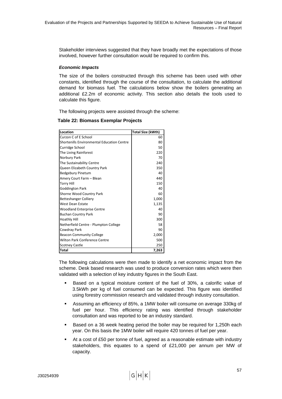Stakeholder interviews suggested that they have broadly met the expectations of those involved, however further consultation would be required to confirm this.

#### *Economic Impacts*

The size of the boilers constructed through this scheme has been used with other constants, identified through the course of the consultation, to calculate the additional demand for biomass fuel. The calculations below show the boilers generating an additional £2.2m of economic activity. This section also details the tools used to calculate this figure.

The following projects were assisted through the scheme:

**Table 22: Biomass Exemplar Projects** 

| Location                                          | Total Size (kWth) |
|---------------------------------------------------|-------------------|
| Curzon C of E School                              | 60                |
| <b>Shortenills Environmental Education Centre</b> | 80                |
| Curridge School                                   | 50                |
| The Living Rainforest                             | 220               |
| Norbury Park                                      | 70                |
| The Sustainability Centre                         | 240               |
| Queen Elizabeth Country Park                      | 350               |
| <b>Bedgebury Pinetum</b>                          | 40                |
| Amery Court Farm - Blean                          | 440               |
| <b>Torry Hill</b>                                 | 150               |
| Goddington Park                                   | 40                |
| Shorne Wood Country Park                          | 60                |
| Betteshanger Colliery                             | 1,000             |
| West Dean Estate                                  | 1,135             |
| <b>Woodland Enterprise Centre</b>                 | 40                |
| <b>Buchan Country Park</b>                        | 90                |
| <b>Hoathly Hill</b>                               | 300               |
| Netherfield Centre - Plumpton College             | 58                |
| Cowdray Park                                      | 90                |
| <b>Beacon Community College</b>                   | 2,000             |
| <b>Wilton Park Conference Centre</b>              | 500               |
| <b>Scotney Castle</b>                             | 250               |
| <b>Total</b>                                      | 7,263             |

The following calculations were then made to identify a net economic impact from the scheme. Desk based research was used to produce conversion rates which were then validated with a selection of key industry figures in the South East.

- Based on a typical moisture content of the fuel of 30%, a calorific value of 3.5kWh per kg of fuel consumed can be expected. This figure was identified using forestry commission research and validated through industry consultation.
- Assuming an efficiency of 85%, a 1MW boiler will consume on average 330kg of fuel per hour. This efficiency rating was identified through stakeholder consultation and was reported to be an industry standard.
- Based on a 36 week heating period the boiler may be required for 1,250h each year. On this basis the 1MW boiler will require 420 tonnes of fuel per year.
- At a cost of £50 per tonne of fuel, agreed as a reasonable estimate with industry stakeholders, this equates to a spend of £21,000 per annum per MW of capacity.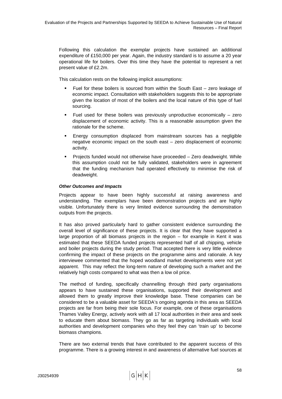Following this calculation the exemplar projects have sustained an additional expenditure of £150,000 per year. Again, the industry standard is to assume a 20 year operational life for boilers. Over this time they have the potential to represent a net present value of £2.2m.

This calculation rests on the following implicit assumptions:

- Fuel for these boilers is sourced from within the South East zero leakage of economic impact. Consultation with stakeholders suggests this to be appropriate given the location of most of the boilers and the local nature of this type of fuel sourcing.
- Fuel used for these boilers was previously unproductive economically zero displacement of economic activity. This is a reasonable assumption given the rationale for the scheme.
- Energy consumption displaced from mainstream sources has a negligible negative economic impact on the south east – zero displacement of economic activity.
- Projects funded would not otherwise have proceeded Zero deadweight. While this assumption could not be fully validated, stakeholders were in agreement that the funding mechanism had operated effectively to minimise the risk of deadweight.

#### *Other Outcomes and Impacts*

Projects appear to have been highly successful at raising awareness and understanding. The exemplars have been demonstration projects and are highly visible. Unfortunately there is very limited evidence surrounding the demonstration outputs from the projects.

It has also proved particularly hard to gather consistent evidence surrounding the overall level of significance of these projects. It is clear that they have supported a large proportion of all biomass projects in the region – for example in Kent it was estimated that these SEEDA funded projects represented half of all chipping, vehicle and boiler projects during the study period. That accepted there is very little evidence confirming the impact of these projects on the programme aims and rationale. A key interviewee commented that the hoped woodland market developments were not yet apparent. This may reflect the long-term nature of developing such a market and the relatively high costs compared to what was then a low oil price.

The method of funding, specifically channelling through third party organisations appears to have sustained these organisations, supported their development and allowed them to greatly improve their knowledge base. These companies can be considered to be a valuable asset for SEEDA's ongoing agenda in this area as SEEDA projects are far from being their sole focus. For example, one of these organisations Thames Valley Energy, actively work with all 17 local authorities in their area and seek to educate them about biomass. They go as far as targeting individuals with local authorities and development companies who they feel they can 'train up' to become biomass champions.

There are two external trends that have contributed to the apparent success of this programme. There is a growing interest in and awareness of alternative fuel sources at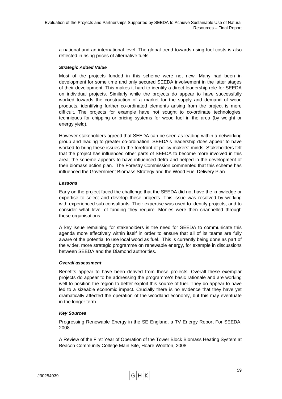a national and an international level. The global trend towards rising fuel costs is also reflected in rising prices of alternative fuels.

#### *Strategic Added Value*

Most of the projects funded in this scheme were not new. Many had been in development for some time and only secured SEEDA involvement in the latter stages of their development. This makes it hard to identify a direct leadership role for SEEDA on individual projects. Similarly while the projects do appear to have successfully worked towards the construction of a market for the supply and demand of wood products, identifying further co-ordinated elements arising from the project is more difficult. The projects for example have not sought to co-ordinate technologies, techniques for chipping or pricing systems for wood fuel in the area (by weight or energy yield).

However stakeholders agreed that SEEDA can be seen as leading within a networking group and leading to greater co-ordination. SEEDA's leadership does appear to have worked to bring these issues to the forefront of policy makers' minds. Stakeholders felt that the project has influenced other parts of SEEDA to become more involved in this area; the scheme appears to have influenced defra and helped in the development of their biomass action plan. The Forestry Commission commented that this scheme has influenced the Government Biomass Strategy and the Wood Fuel Delivery Plan.

#### *Lessons*

Early on the project faced the challenge that the SEEDA did not have the knowledge or expertise to select and develop these projects. This issue was resolved by working with experienced sub-consultants. Their expertise was used to identify projects, and to consider what level of funding they require. Monies were then channelled through these organisations.

A key issue remaining for stakeholders is the need for SEEDA to communicate this agenda more effectively within itself in order to ensure that all of its teams are fully aware of the potential to use local wood as fuel. This is currently being done as part of the wider, more strategic programme on renewable energy, for example in discussions between SEEDA and the Diamond authorities.

## *Overall assessment*

Benefits appear to have been derived from these projects. Overall these exemplar projects do appear to be addressing the programme's basic rationale and are working well to position the region to better exploit this source of fuel. They do appear to have led to a sizeable economic impact. Crucially there is no evidence that they have yet dramatically affected the operation of the woodland economy, but this may eventuate in the longer term.

## *Key Sources*

Progressing Renewable Energy in the SE England, a TV Energy Report For SEEDA, 2008

A Review of the First Year of Operation of the Tower Block Biomass Heating System at Beacon Community College Main Site, Hoare Wootton, 2008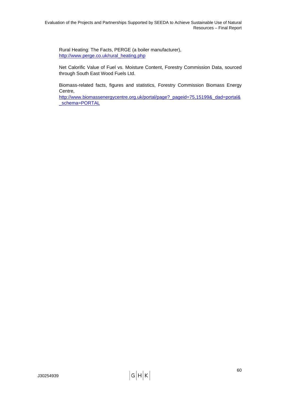Rural Heating: The Facts, PERGE (a boiler manufacturer), [http://www.perge.co.uk/rural\\_heating.php](http://www.perge.co.uk/rural_heating.php)

Net Calorific Value of Fuel vs. Moisture Content, Forestry Commission Data, sourced through South East Wood Fuels Ltd.

Biomass-related facts, figures and statistics, Forestry Commission Biomass Energy Centre,

[http://www.biomassenergycentre.org.uk/portal/page?\\_pageid=75,15199&\\_dad=portal&](http://www.biomassenergycentre.org.uk/portal/page?_pageid=75,15199&_dad=portal&_schema=PORTAL) [\\_schema=PORTAL](http://www.biomassenergycentre.org.uk/portal/page?_pageid=75,15199&_dad=portal&_schema=PORTAL)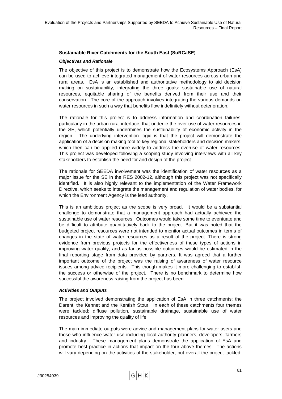#### **Sustainable River Catchments for the South East (SuRCaSE)**

#### *Objectives and Rationale*

The objective of this project is to demonstrate how the Ecosystems Approach (EsA) can be used to achieve integrated management of water resources across urban and rural areas. EsA is an established and authoritative methodology to aid decision making on sustainability, integrating the three goals: sustainable use of natural resources, equitable sharing of the benefits derived from their use and their conservation. The core of the approach involves integrating the various demands on water resources in such a way that benefits flow indefinitely without deterioration.

The rationale for this project is to address information and coordination failures, particularly in the urban-rural interface, that underlie the over use of water resources in the SE, which potentially undermines the sustainability of economic activity in the region. The underlying intervention logic is that the project will demonstrate the application of a decision making tool to key regional stakeholders and decision makers, which then can be applied more widely to address the overuse of water resources. This project was developed following a scoping study involving interviews with all key stakeholders to establish the need for and design of the project.

The rationale for SEEDA involvement was the identification of water resources as a major issue for the SE in the RES 2002-12, although this project was not specifically identified. It is also highly relevant to the implementation of the Water Framework Directive, which seeks to integrate the management and regulation of water bodies, for which the Environment Agency is the lead authority.

This is an ambitious project as the scope is very broad. It would be a substantial challenge to demonstrate that a management approach had actually achieved the sustainable use of water resources. Outcomes would take some time to eventuate and be difficult to attribute quantitatively back to the project. But it was noted that the budgeted project resources were not intended to monitor actual outcomes in terms of changes in the state of water resources as a result of the project. There is strong evidence from previous projects for the effectiveness of these types of actions in improving water quality, and as far as possible outcomes would be estimated in the final reporting stage from data provided by partners. It was agreed that a further important outcome of the project was the raising of awareness of water resource issues among advice recipients. This though makes it more challenging to establish the success or otherwise of the project. There is no benchmark to determine how successful the awareness raising from the project has been.

#### *Activities and Outputs*

The project involved demonstrating the application of EsA in three catchments: the Darent, the Kennet and the Kentish Stour. In each of these catchments four themes were tackled: diffuse pollution, sustainable drainage, sustainable use of water resources and improving the quality of life.

The main immediate outputs were advice and management plans for water users and those who influence water use including local authority planners, developers, farmers and industry. These management plans demonstrate the application of EsA and promote best practice in actions that impact on the four above themes. The actions will vary depending on the activities of the stakeholder, but overall the project tackled: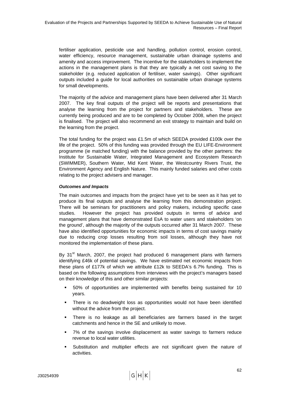fertiliser application, pesticide use and handling, pollution control, erosion control, water efficiency, resource management, sustainable urban drainage systems and amenity and access improvement. The incentive for the stakeholders to implement the actions in the management plans is that they are typically a net cost saving to the stakeholder (e.g. reduced application of fertiliser, water savings). Other significant outputs included a guide for local authorities on sustainable urban drainage systems for small developments.

The majority of the advice and management plans have been delivered after 31 March 2007. The key final outputs of the project will be reports and presentations that analyse the learning from the project for partners and stakeholders. These are currently being produced and are to be completed by October 2008, when the project is finalised. The project will also recommend an exit strategy to maintain and build on the learning from the project.

The total funding for the project was £1.5m of which SEEDA provided £100k over the life of the project. 50% of this funding was provided through the EU LIFE-Environment programme (ie matched funding) with the balance provided by the other partners: the Institute for Sustainable Water, Integrated Management and Ecosystem Research (SWIMMER), Southern Water, Mid Kent Water, the Westcountry Rivers Trust, the Environment Agency and English Nature. This mainly funded salaries and other costs relating to the project advisers and manager.

## *Outcomes and Impacts*

The main outcomes and impacts from the project have yet to be seen as it has yet to produce its final outputs and analyse the learning from this demonstration project. There will be seminars for practitioners and policy makers, including specific case studies. However the project has provided outputs in terms of advice and management plans that have demonstrated EsA to water users and stakeholders 'on the ground', although the majority of the outputs occurred after 31 March 2007. These have also identified opportunities for economic impacts in terms of cost savings mainly due to reducing crop losses resulting from soil losses, although they have not monitored the implementation of these plans.

By  $31<sup>st</sup>$  March, 2007, the project had produced 6 management plans with farmers identifying £46k of potential savings. We have estimated net economic impacts from these plans of £177k of which we attribute £12k to SEEDA's 6.7% funding. This is based on the following assumptions from interviews with the project's managers based on their knowledge of this and other similar projects:

- 50% of opportunities are implemented with benefits being sustained for 10 years.
- There is no deadweight loss as opportunities would not have been identified without the advice from the project.
- There is no leakage as all beneficiaries are farmers based in the target catchments and hence in the SE and unlikely to move.
- 7% of the savings involve displacement as water savings to farmers reduce revenue to local water utilities.
- Substitution and multiplier effects are not significant given the nature of activities.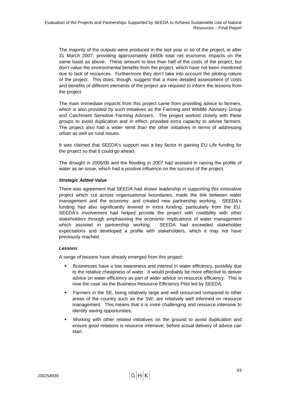The majority of the outputs were produced in the last year or so of the project, ie after 31 March 2007, providing approximately £660k total net economic impacts on the same basis as above. These amount to less than half of the costs of the project, but don't value the environmental benefits from the project, which have not been monitored due to lack of resources. Furthermore they don't take into account the piloting nature of the project. This does, though, suggest that a more detailed assessment of costs and benefits of different elements of the project are required to inform the lessons from the project.

The main immediate impacts from this project came from providing advice to farmers, which is also provided by such initiatives as the Farming and Wildlife Advisory Group and Catchment Sensitive Farming Advisers. The project worked closely with these groups to avoid duplication and in effect, provided extra capacity to advise farmers. The project also had a wider remit than the other initiatives in terms of addressing urban as well as rural issues.

It was claimed that SEEDA's support was a key factor in gaining EU Life funding for the project so that it could go ahead.

The drought in 2005/06 and the flooding in 2007 had assisted in raising the profile of water as an issue, which had a positive influence on the success of the project.

## *Strategic Added Value*

There was agreement that SEEDA had shown leadership in supporting this innovative project which cut across organisational boundaries, made the link between water management and the economy, and created new partnership working. SEEDA's funding had also significantly levered in extra funding, particularly from the EU. SEEDA's involvement had helped provide the project with credibility with other stakeholders through emphasising the economic implications of water management which assisted in partnership working. SEEDA had exceeded stakeholder expectations and developed a profile with stakeholders, which it may not have previously reached.

# *Lessons*

A range of lessons have already emerged from this project:

- Businesses have a low awareness and interest in water efficiency, possibly due to the relative cheapness of water. It would probably be more effective to deliver advice on water efficiency as part of wider advice on resource efficiency. This is now the case via the Business Resource Efficiency Pilot led by SEEDA.
- Farmers in the SE, being relatively large and well resourced compared to other areas of the country such as the SW, are relatively well informed on resource management. This means that it is more challenging and resource intensive to identify saving opportunities.
- Working with other related initiatives on the ground to avoid duplication and ensure good relations is resource intensive, before actual delivery of advice can start.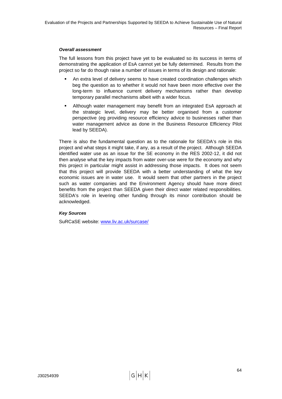## *Overall assessment*

The full lessons from this project have yet to be evaluated so its success in terms of demonstrating the application of EsA cannot yet be fully determined. Results from the project so far do though raise a number of issues in terms of its design and rationale:

- An extra level of delivery seems to have created coordination challenges which beg the question as to whether it would not have been more effective over the long-term to influence current delivery mechanisms rather than develop temporary parallel mechanisms albeit with a wider focus.
- Although water management may benefit from an integrated EsA approach at the strategic level, delivery may be better organised from a customer perspective (eg providing resource efficiency advice to businesses rather than water management advice as done in the Business Resource Efficiency Pilot lead by SEEDA).

There is also the fundamental question as to the rationale for SEEDA's role in this project and what steps it might take, if any, as a result of the project. Although SEEDA identified water use as an issue for the SE economy in the RES 2002-12, it did not then analyse what the key impacts from water over-use were for the economy and why this project in particular might assist in addressing those impacts. It does not seem that this project will provide SEEDA with a better understanding of what the key economic issues are in water use. It would seem that other partners in the project such as water companies and the Environment Agency should have more direct benefits from the project than SEEDA given their direct water related responsibilities. SEEDA's role in levering other funding through its minor contribution should be acknowledged.

# *Key Sources*

SuRCaSE website: [www.liv.ac.uk/surcase/](http://www.liv.ac.uk/surcase/)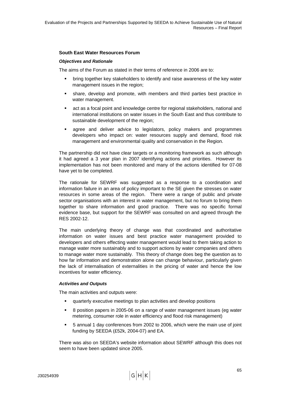## **South East Water Resources Forum**

#### *Objectives and Rationale*

The aims of the Forum as stated in their terms of reference in 2006 are to:

- bring together key stakeholders to identify and raise awareness of the key water management issues in the region;
- share, develop and promote, with members and third parties best practice in water management.
- act as a focal point and knowledge centre for regional stakeholders, national and international institutions on water issues in the South East and thus contribute to sustainable development of the region;
- agree and deliver advice to legislators, policy makers and programmes developers who impact on: water resources supply and demand, flood risk management and environmental quality and conservation in the Region.

The partnership did not have clear targets or a monitoring framework as such although it had agreed a 3 year plan in 2007 identifying actions and priorities. However its implementation has not been monitored and many of the actions identified for 07-08 have yet to be completed.

The rationale for SEWRF was suggested as a response to a coordination and information failure in an area of policy important to the SE given the stresses on water resources in some areas of the region. There were a range of public and private sector organisations with an interest in water management, but no forum to bring them together to share information and good practice. There was no specific formal evidence base, but support for the SEWRF was consulted on and agreed through the RES 2002-12.

The main underlying theory of change was that coordinated and authoritative information on water issues and best practice water management provided to developers and others effecting water management would lead to them taking action to manage water more sustainably and to support actions by water companies and others to manage water more sustainably. This theory of change does beg the question as to how far information and demonstration alone can change behaviour, particularly given the lack of internalisation of externalities in the pricing of water and hence the low incentives for water efficiency.

#### *Activities and Outputs*

The main activities and outputs were:

- quarterly executive meetings to plan activities and develop positions
- 8 position papers in 2005-06 on a range of water management issues (eg water metering, consumer role in water efficiency and flood risk management)
- 5 annual 1 day conferences from 2002 to 2006, which were the main use of joint funding by SEEDA (£52k, 2004-07) and EA.

There was also on SEEDA's website information about SEWRF although this does not seem to have been updated since 2005.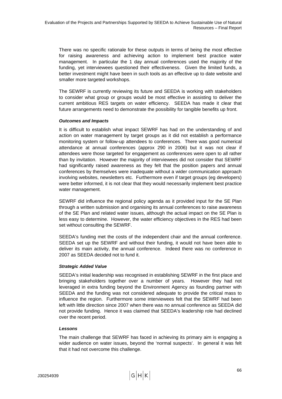There was no specific rationale for these outputs in terms of being the most effective for raising awareness and achieving action to implement best practice water management. In particular the 1 day annual conferences used the majority of the funding, yet interviewees questioned their effectiveness. Given the limited funds, a better investment might have been in such tools as an effective up to date website and smaller more targeted workshops.

The SEWRF is currently reviewing its future and SEEDA is working with stakeholders to consider what group or groups would be most effective in assisting to deliver the current ambitious RES targets on water efficiency. SEEDA has made it clear that future arrangements need to demonstrate the possibility for tangible benefits up front.

## *Outcomes and Impacts*

It is difficult to establish what impact SEWRF has had on the understanding of and action on water management by target groups as it did not establish a performance monitoring system or follow-up attendees to conferences. There was good numerical attendance at annual conferences (approx 290 in 2006) but it was not clear if attendees were those targeted for engagement as conferences were open to all rather than by invitation. However the majority of interviewees did not consider that SEWRF had significantly raised awareness as they felt that the position papers and annual conferences by themselves were inadequate without a wider communication approach involving websites, newsletters etc. Furthermore even if target groups (eg developers) were better informed, it is not clear that they would necessarily implement best practice water management.

SEWRF did influence the regional policy agenda as it provided input for the SE Plan through a written submission and organising its annual conferences to raise awareness of the SE Plan and related water issues, although the actual impact on the SE Plan is less easy to determine. However, the water efficiency objectives in the RES had been set without consulting the SEWRF.

SEEDA's funding met the costs of the independent chair and the annual conference. SEEDA set up the SEWRF and without their funding, it would not have been able to deliver its main activity, the annual conference. Indeed there was no conference in 2007 as SEEDA decided not to fund it.

# *Strategic Added Value*

SEEDA's initial leadership was recognised in establishing SEWRF in the first place and bringing stakeholders together over a number of years. However they had not leveraged in extra funding beyond the Environment Agency as founding partner with SEEDA and the funding was not considered adequate to provide the critical mass to influence the region. Furthermore some interviewees felt that the SEWRF had been left with little direction since 2007 when there was no annual conference as SEEDA did not provide funding. Hence it was claimed that SEEDA's leadership role had declined over the recent period.

# *Lessons*

The main challenge that SEWRF has faced in achieving its primary aim is engaging a wider audience on water issues, beyond the 'normal suspects'. In general it was felt that it had not overcome this challenge.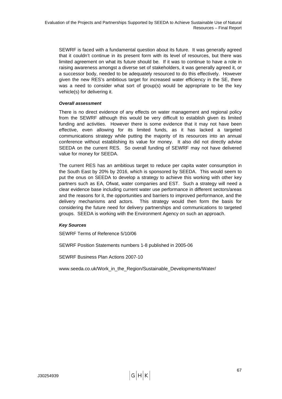SEWRF is faced with a fundamental question about its future. It was generally agreed that it couldn't continue in its present form with its level of resources, but there was limited agreement on what its future should be. If it was to continue to have a role in raising awareness amongst a diverse set of stakeholders, it was generally agreed it, or a successor body, needed to be adequately resourced to do this effectively. However given the new RES's ambitious target for increased water efficiency in the SE, there was a need to consider what sort of group(s) would be appropriate to be the key vehicle(s) for delivering it.

## *Overall assessment*

There is no direct evidence of any effects on water management and regional policy from the SEWRF although this would be very difficult to establish given its limited funding and activities. However there is some evidence that it may not have been effective, even allowing for its limited funds, as it has lacked a targeted communications strategy while putting the majority of its resources into an annual conference without establishing its value for money. It also did not directly advise SEEDA on the current RES. So overall funding of SEWRF may not have delivered value for money for SEEDA.

The current RES has an ambitious target to reduce per capita water consumption in the South East by 20% by 2016, which is sponsored by SEEDA. This would seem to put the onus on SEEDA to develop a strategy to achieve this working with other key partners such as EA, Ofwat, water companies and EST. Such a strategy will need a clear evidence base including current water use performance in different sectors/areas and the reasons for it, the opportunities and barriers to improved performance, and the delivery mechanisms and actors. This strategy would then form the basis for considering the future need for delivery partnerships and communications to targeted groups. SEEDA is working with the Environment Agency on such an approach.

# *Key Sources*

SEWRF Terms of Reference 5/10/06

SEWRF Position Statements numbers 1-8 published in 2005-06

SEWRF Business Plan Actions 2007-10

www.seeda.co.uk/Work\_in\_the\_Region/Sustainable\_Developments/Water/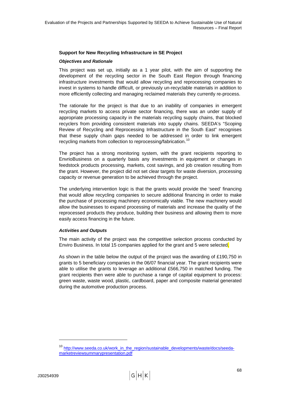# <span id="page-77-0"></span>**Support for New Recycling Infrastructure in SE Project**

#### *Objectives and Rationale*

This project was set up, initially as a 1 year pilot, with the aim of supporting the development of the recycling sector in the South East Region through financing infrastructure investments that would allow recycling and reprocessing companies to invest in systems to handle difficult, or previously un-recyclable materials in addition to more efficiently collecting and managing reclaimed materials they currently re-process.

The rationale for the project is that due to an inability of companies in emergent recycling markets to access private sector financing, there was an under supply of appropriate processing capacity in the materials recycling supply chains, that blocked recyclers from providing consistent materials into supply chains. SEEDA's "Scoping Review of Recycling and Reprocessing Infrastructure in the South East" recognises that these supply chain gaps needed to be addressed in order to link emergent recycling markets from collection to reprocessing/fabrication.<sup>[10](#page-77-0)</sup>

The project has a strong monitoring system, with the grant recipients reporting to EnvrioBusiness on a quarterly basis any investments in equipment or changes in feedstock products processing, markets, cost savings, and job creation resulting from the grant. However, the project did not set clear targets for waste diversion, processing capacity or revenue generation to be achieved through the project.

The underlying intervention logic is that the grants would provide the 'seed' financing that would allow recycling companies to secure additional financing in order to make the purchase of processing machinery economically viable. The new machinery would allow the businesses to expand processing of materials and increase the quality of the reprocessed products they produce, building their business and allowing them to more easily access financing in the future.

#### *Activities and Outputs*

The main activity of the project was the competitive selection process conducted by Enviro Business. In total 15 companies applied for the grant and 5 were selected.

As shown in the table below the output of the project was the awarding of £190,750 in grants to 5 beneficiary companies in the 06/07 financial year. The grant recipients were able to utilise the grants to leverage an additional £566,750 in matched funding. The grant recipients then were able to purchase a range of capital equipment to process: green waste, waste wood, plastic, cardboard, paper and composite material generated during the automotive production process.

<sup>&</sup>lt;sup>10</sup> [http://www.seeda.co.uk/work\\_in\\_the\\_region/sustainable\\_developments/waste/docs/seeda](http://www.seeda.co.uk/work_in_the_region/sustainable_developments/waste/docs/seeda-marketreviewsummarypresentation.pdf)[marketreviewsummarypresentation.pdf](http://www.seeda.co.uk/work_in_the_region/sustainable_developments/waste/docs/seeda-marketreviewsummarypresentation.pdf)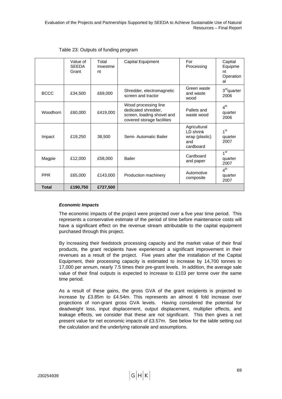|                 | Value of<br><b>SEEDA</b><br>Grant | Total<br>Investme<br>nt | Capital Equipment                                                                                       | For<br>Processing                                               | Capital<br>Equipme<br>nt<br>Operation<br>al |
|-----------------|-----------------------------------|-------------------------|---------------------------------------------------------------------------------------------------------|-----------------------------------------------------------------|---------------------------------------------|
| <b>BCCC</b>     | £34,500                           | £69,000                 | Shredder, electromagnetic<br>screen and tractor                                                         | Green waste<br>and waste<br>wood                                | 3 <sup>rd</sup> quarter<br>2006             |
| <b>Woodhorn</b> | £60,000                           | £419,000                | Wood processing line<br>dedicated shredder,<br>screen, loading shovel and<br>covered storage facilities | Pallets and<br>waste wood                                       | 4 <sup>th</sup><br>quarter<br>2006          |
| Impact          | £19,250                           | 38,500                  | Semi- Automatic Bailer                                                                                  | Agricultural<br>LD shrink<br>wrap (plastic)<br>and<br>cardboard | $1^{\rm st}$<br>quarter<br>2007             |
| Magpie          | £12,000                           | £58,000                 | <b>Bailer</b>                                                                                           | Cardboard<br>and paper                                          | 1 <sup>st</sup><br>quarter<br>2007          |
| <b>PPR</b>      | £65,000                           | £143,000                | Production machinery                                                                                    | Automotive<br>composite                                         | 4 <sup>th</sup><br>quarter<br>2007          |
| <b>Total</b>    | £190,750                          | £727,500                |                                                                                                         |                                                                 |                                             |

## Table 23: Outputs of funding program

#### *Economic Impacts*

The economic impacts of the project were projected over a five year time period. This represents a conservative estimate of the period of time before maintenance costs will have a significant effect on the revenue stream attributable to the capital equipment purchased through this project.

By increasing their feedstock processing capacity and the market value of their final products, the grant recipients have experienced a significant improvement in their revenues as a result of the project. Five years after the installation of the Capital Equipment, their processing capacity is estimated to increase by 14,700 tonnes to 17,000 per annum, nearly 7.5 times their pre-grant levels. In addition, the average sale value of their final outputs is expected to increase to  $£103$  per tonne over the same time period.

As a result of these gains, the gross GVA of the grant recipients is projected to increase by £3.85m to £4.54m. This represents an almost 6 fold increase over projections of non-grant gross GVA levels. Having considered the potential for deadweight loss, input displacement, output displacement, multiplier effects, and leakage effects, we consider that these are not significant. This then gives a net present value for net economic impacts of £3.57m. See below for the table setting out the calculation and the underlying rationale and assumptions.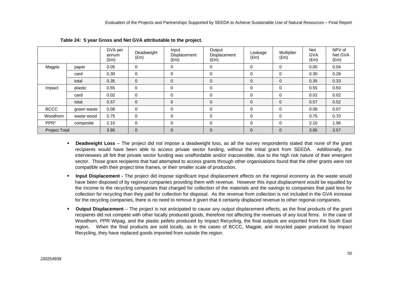|                      |             | GVA per<br>annum<br>$(\text{Em})$ | Deadweight<br>$(\text{Em})$ | Input<br><b>Displacement</b><br>$(\text{Em})$ | Output<br>Displacement<br>$(\text{Em})$ | Leakage<br>$(\text{Em})$ | Multiplier<br>$(\text{Em})$ | <b>Net</b><br><b>GVA</b><br>$(\text{Em})$ | NPV of<br>Net GVA<br>$(\text{Em})$ |
|----------------------|-------------|-----------------------------------|-----------------------------|-----------------------------------------------|-----------------------------------------|--------------------------|-----------------------------|-------------------------------------------|------------------------------------|
| Magpie               | paper       | 0.05                              | $\overline{0}$              | 0                                             | 0                                       | $\mathbf 0$              | $\mathbf 0$                 | 0.05                                      | 0.04                               |
|                      | card        | 0.30                              | $\mathbf 0$                 | 0                                             | 0                                       | $\mathbf 0$              | $\mathbf 0$                 | 0.30                                      | 0.28                               |
|                      | total       | 0.35                              | $\mathbf 0$                 | $\mathbf 0$                                   | 0                                       | $\mathbf 0$              | $\mathbf{0}$                | 0.35                                      | 0.33                               |
| Impact               | plastic     | 0.55                              | $\mathbf 0$                 | 0                                             | 0                                       | $\mathbf 0$              | $\mathbf 0$                 | 0.55                                      | 0.50                               |
|                      | card        | 0.02                              | $\mathbf 0$                 | 0                                             | 0                                       | $\mathbf 0$              | $\mathbf 0$                 | 0.02                                      | 0.02                               |
|                      | total       | 0.57                              | $\mathbf 0$                 | $\mathbf 0$                                   | 0                                       | $\mathbf 0$              | $\mathbf{0}$                | 0.57                                      | 0.52                               |
| <b>BCCC</b>          | green waste | 0.08                              | $\mathbf 0$                 | 0                                             | $\Omega$                                | $\mathbf 0$              | $\mathbf 0$                 | 0.08                                      | 0.07                               |
| Woodhorn             | waste wood  | 0.75                              | $\Omega$                    | 0                                             | 0                                       | 0                        | $\mathbf 0$                 | 0.75                                      | 0.70                               |
| PPR*                 | composite   | 2.10                              | $\mathbf 0$                 | 0                                             | 0                                       | $\mathbf 0$              | $\mathbf 0$                 | 2.10                                      | 1.96                               |
| <b>Project Total</b> |             | 3.85                              | $\mathbf{0}$                | $\mathbf 0$                                   | $\overline{0}$                          | $\overline{0}$           | $\mathbf{0}$                | 3.85                                      | 3.57                               |

**Table 24: 5 year Gross and Net GVA attributable to the project.** 

- **Deadweight Loss**  The project did not impose a deadweight loss, as all the survey respondents stated that none of the grant recipients would have been able to access private sector funding, without the initial grant from SEEDA. Additionally, the interviewees all felt that private sector funding was unaffordable and/or inaccessible, due to the high risk nature of their emergent sector. Those grant recipients that had attempted to access grants through other organisations found that the other grants were not compatible with their project time frames, or their smaller scale of production.
- **Input Displacement** The project did impose significant Input displacement effects on the regional economy as the waste would have been disposed of by regional companies providing them with revenue. However this input displacement would be equalled by the income to the recycling companies that charged for collection of the materials and the savings to companies that paid less for collection for recycling than they paid for collection for disposal. As the revenue from collection is not included in the GVA increase for the recycling companies, there is no need to remove it given that it certainly displaced revenue to other regional companies.
- **Output Displacement** The project is not anticipated to cause any output displacement effects, as the final products of the grant recipients did not compete with other locally produced goods, therefore not affecting the revenues of any local firms. In the case of Woodhorn, PPR Wipag, and the plastic pellets produced by Impact Recycling, the final outputs are exported from the South East region. When the final products are sold locally, as in the cases of BCCC, Magpie, and recycled paper produced by Impact Recycling, they have replaced goods imported from outside the region.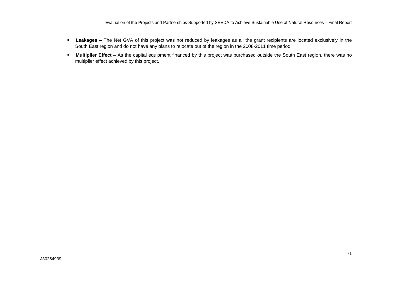Evaluation of the Projects and Partnerships Supported by SEEDA to Achieve Sustainable Use of Natural Resources – Final Report

- **Leakages**  The Net GVA of this project was not reduced by leakages as all the grant recipients are located exclusively in the South East region and do not have any plans to relocate out of the region in the 2008-2011 time period.
- **Multiplier Effect**  As the capital equipment financed by this project was purchased outside the South East region, there was no multiplier effect achieved by this project.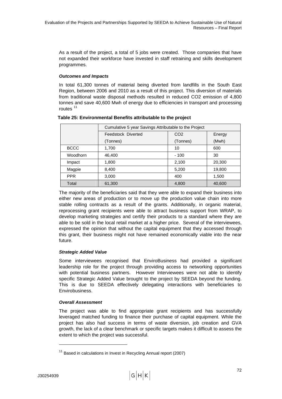<span id="page-81-0"></span>As a result of the project, a total of 5 jobs were created. Those companies that have not expanded their workforce have invested in staff retraining and skills development programmes.

# *Outcomes and Impacts*

In total 61,300 tonnes of material being diverted from landfills in the South East Region, between 2006 and 2010 as a result of this project. This diversion of materials from traditional waste disposal methods resulted in reduced CO2 emission of 4,800 tonnes and save 40,600 Mwh of energy due to efficiencies in transport and processing routes $11$ 

|             | Cumulative 5 year Savings Attributable to the Project |                 |        |
|-------------|-------------------------------------------------------|-----------------|--------|
|             | Feedstock Diverted                                    | CO <sub>2</sub> | Energy |
|             | (Tonnes)                                              | (Tonnes)        | (Mwh)  |
| <b>BCCC</b> | 1,700                                                 | 10              | 600    |
| Woodhorn    | 46,400                                                | $-100$          | 30     |
| Impact      | 1,800                                                 | 2,100           | 20,300 |
| Magpie      | 8,400                                                 | 5,200           | 19,800 |
| <b>PPR</b>  | 3,000                                                 | 400             | 1,500  |
| Total       | 61,300                                                | 4,800           | 40,600 |

# **Table 25: Environmental Benefits attributable to the project**

The majority of the beneficiaries said that they were able to expand their business into either new areas of production or to move up the production value chain into more stable rolling contracts as a result of the grants. Additionally, in organic material, reprocessing grant recipients were able to attract business support from WRAP, to develop marketing strategies and certify their products to a standard where they are able to be sold in the local retail market at a higher price. Several of the interviewees, expressed the opinion that without the capital equipment that they accessed through this grant, their business might not have remained economically viable into the near future.

# *Strategic Added Value*

Some interviewees recognised that EnviroBusiness had provided a significant leadership role for the project through providing access to networking opportunities with potential business partners. However Interviewees were not able to identify specific Strategic Added Value brought to the project by SEEDA beyond the funding. This is due to SEEDA effectively delegating interactions with beneficiaries to Envirobusiness.

# *Overall Assessment*

The project was able to find appropriate grant recipients and has successfully leveraged matched funding to finance their purchase of capital equipment. While the project has also had success in terms of waste diversion, job creation and GVA growth, the lack of a clear benchmark or specific targets makes it difficult to assess the extent to which the project was successful.

 $11$  Based in calculations in Invest in Recycling Annual report (2007)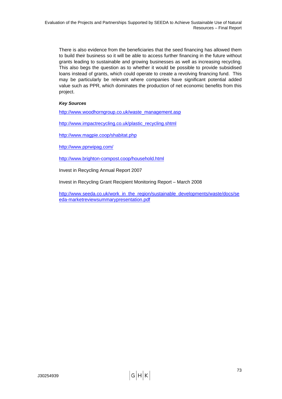There is also evidence from the beneficiaries that the seed financing has allowed them to build their business so it will be able to access further financing in the future without grants leading to sustainable and growing businesses as well as increasing recycling. This also begs the question as to whether it would be possible to provide subsidised loans instead of grants, which could operate to create a revolving financing fund. This may be particularly be relevant where companies have significant potential added value such as PPR, which dominates the production of net economic benefits from this project.

# *Key Sources*

[http://www.woodhorngroup.co.uk/waste\\_management.asp](http://www.woodhorngroup.co.uk/waste_management.asp)

[http://www.impactrecycling.co.uk/plastic\\_recycling.shtml](http://www.impactrecycling.co.uk/plastic_recycling.shtml)

<http://www.magpie.coop/shabitat.php>

<http://www.pprwipag.com/>

<http://www.brighton-compost.coop/household.html>

Invest in Recycling Annual Report 2007

Invest in Recycling Grant Recipient Monitoring Report – March 2008

[http://www.seeda.co.uk/work\\_in\\_the\\_region/sustainable\\_developments/waste/docs/se](http://www.seeda.co.uk/work_in_the_region/sustainable_developments/waste/docs/seeda-marketreviewsummarypresentation.pdf) [eda-marketreviewsummarypresentation.pdf](http://www.seeda.co.uk/work_in_the_region/sustainable_developments/waste/docs/seeda-marketreviewsummarypresentation.pdf)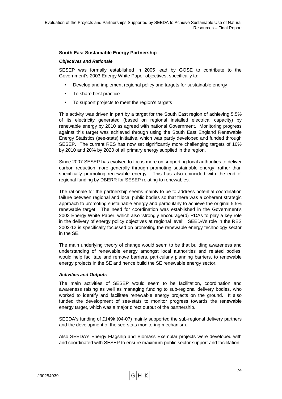## **South East Sustainable Energy Partnership**

#### *Objectives and Rationale*

SESEP was formally established in 2005 lead by GOSE to contribute to the Government's 2003 Energy White Paper objectives, specifically to:

- Develop and implement regional policy and targets for sustainable energy
- To share best practice
- To support projects to meet the region's targets

This activity was driven in part by a target for the South East region of achieving 5.5% of its electricity generated (based on regional installed electrical capacity) by renewable energy by 2010 as agreed with national Government. Monitoring progress against this target was achieved through using the South East England Renewable Energy Statistics (see-stats) initiative, which was partly developed and funded through SESEP. The current RES has now set significantly more challenging targets of 10% by 2010 and 20% by 2020 of all primary energy supplied in the region.

Since 2007 SESEP has evolved to focus more on supporting local authorities to deliver carbon reduction more generally through promoting sustainable energy, rather than specifically promoting renewable energy. This has also coincided with the end of regional funding by DBERR for SESEP relating to renewables.

The rationale for the partnership seems mainly to be to address potential coordination failure between regional and local public bodies so that there was a coherent strategic approach to promoting sustainable energy and particularly to achieve the original 5.5% renewable target. The need for coordination was established in the Government's 2003 Energy White Paper, which also 'strongly encourage(d) RDAs to play a key role in the delivery of energy policy objectives at regional level'. SEEDA's role in the RES 2002-12 is specifically focussed on promoting the renewable energy technology sector in the SE.

The main underlying theory of change would seem to be that building awareness and understanding of renewable energy amongst local authorities and related bodies, would help facilitate and remove barriers, particularly planning barriers, to renewable energy projects in the SE and hence build the SE renewable energy sector.

#### *Activities and Outputs*

The main activities of SESEP would seem to be facilitation, coordination and awareness raising as well as managing funding to sub-regional delivery bodies, who worked to identify and facilitate renewable energy projects on the ground. It also funded the development of see-stats to monitor progress towards the renewable energy target, which was a major direct output of the partnership.

SEEDA's funding of £149k (04-07) mainly supported the sub-regional delivery partners and the development of the see-stats monitoring mechanism.

Also SEEDA's Energy Flagship and Biomass Exemplar projects were developed with and coordinated with SESEP to ensure maximum public sector support and facilitation.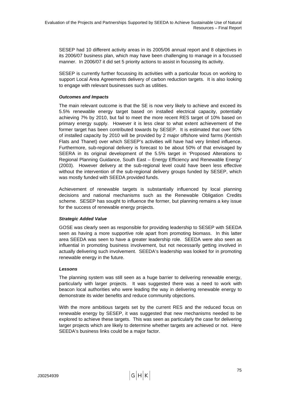SESEP had 10 different activity areas in its 2005/06 annual report and 8 objectives in its 2006/07 business plan, which may have been challenging to manage in a focussed manner. In 2006/07 it did set 5 priority actions to assist in focussing its activity.

SESEP is currently further focussing its activities with a particular focus on working to support Local Area Agreements delivery of carbon reduction targets. It is also looking to engage with relevant businesses such as utilities.

# *Outcomes and Impacts*

The main relevant outcome is that the SE is now very likely to achieve and exceed its 5.5% renewable energy target based on installed electrical capacity, potentially achieving 7% by 2010, but fail to meet the more recent RES target of 10% based on primary energy supply. However it is less clear to what extent achievement of the former target has been contributed towards by SESEP. It is estimated that over 50% of installed capacity by 2010 will be provided by 2 major offshore wind farms (Kentish Flats and Thanet) over which SESEP's activities will have had very limited influence. Furthermore, sub-regional delivery is forecast to be about 50% of that envisaged by SEERA in its original development of the 5.5% target in 'Proposed Alterations to Regional Planning Guidance, South East – Energy Efficiency and Renewable Energy' (2003). However delivery at the sub-regional level could have been less effective without the intervention of the sub-regional delivery groups funded by SESEP, which was mostly funded with SEEDA provided funds.

Achievement of renewable targets is substantially influenced by local planning decisions and national mechanisms such as the Renewable Obligation Credits scheme. SESEP has sought to influence the former, but planning remains a key issue for the success of renewable energy projects.

# *Strategic Added Value*

GOSE was clearly seen as responsible for providing leadership to SESEP with SEEDA seen as having a more supportive role apart from promoting biomass. In this latter area SEEDA was seen to have a greater leadership role. SEEDA were also seen as influential in promoting business involvement, but not necessarily getting involved in actually delivering such involvement. SEEDA's leadership was looked for in promoting renewable energy in the future.

# *Lessons*

The planning system was still seen as a huge barrier to delivering renewable energy, particularly with larger projects. It was suggested there was a need to work with beacon local authorities who were leading the way in delivering renewable energy to demonstrate its wider benefits and reduce community objections.

With the more ambitious targets set by the current RES and the reduced focus on renewable energy by SESEP, it was suggested that new mechanisms needed to be explored to achieve these targets. This was seen as particularly the case for delivering larger projects which are likely to determine whether targets are achieved or not. Here SEEDA's business links could be a major factor.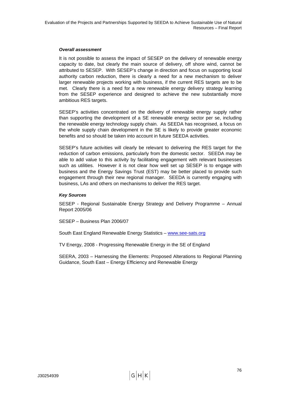## *Overall assessment*

It is not possible to assess the impact of SESEP on the delivery of renewable energy capacity to date, but clearly the main source of delivery, off shore wind, cannot be attributed to SESEP. With SESEP's change in direction and focus on supporting local authority carbon reduction, there is clearly a need for a new mechanism to deliver larger renewable projects working with business, if the current RES targets are to be met. Clearly there is a need for a new renewable energy delivery strategy learning from the SESEP experience and designed to achieve the new substantially more ambitious RES targets.

SESEP's activities concentrated on the delivery of renewable energy supply rather than supporting the development of a SE renewable energy sector per se, including the renewable energy technology supply chain. As SEEDA has recognised, a focus on the whole supply chain development in the SE is likely to provide greater economic benefits and so should be taken into account in future SEEDA activities.

SESEP's future activities will clearly be relevant to delivering the RES target for the reduction of carbon emissions, particularly from the domestic sector. SEEDA may be able to add value to this activity by facilitating engagement with relevant businesses such as utilities. However it is not clear how well set up SESEP is to engage with business and the Energy Savings Trust (EST) may be better placed to provide such engagement through their new regional manager. SEEDA is currently engaging with business, LAs and others on mechanisms to deliver the RES target.

## *Key Sources*

SESEP - Regional Sustainable Energy Strategy and Delivery Programme – Annual Report 2005/06

SESEP – Business Plan 2006/07

South East England Renewable Energy Statistics - [www.see-sats.org](http://www.see-sats.org/)

TV Energy, 2008 - Progressing Renewable Energy in the SE of England

SEERA, 2003 – Harnessing the Elements: Proposed Alterations to Regional Planning Guidance, South East – Energy Efficiency and Renewable Energy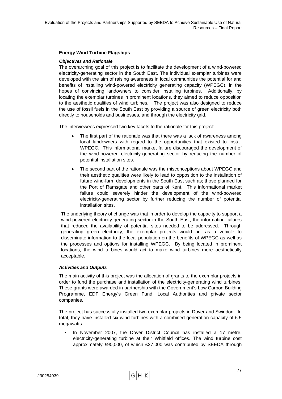# **Energy Wind Turbine Flagships**

## *Objectives and Rationale*

The overarching goal of this project is to facilitate the development of a wind-powered electricity-generating sector in the South East. The individual exemplar turbines were developed with the aim of raising awareness in local communities the potential for and benefits of installing wind-powered electricity generating capacity (WPEGC), in the hopes of convincing landowners to consider installing turbines. Additionally, by locating the exemplar turbines in prominent locations, they aimed to reduce opposition to the aesthetic qualities of wind turbines. The project was also designed to reduce the use of fossil fuels in the South East by providing a source of green electricity both directly to households and businesses, and through the electricity grid.

The interviewees expressed two key facets to the rationale for this project:

- The first part of the rationale was that there was a lack of awareness among local landowners with regard to the opportunities that existed to install WPEGC. This informational market failure discouraged the development of the wind-powered electricity-generating sector by reducing the number of potential installation sites.
- The second part of the rationale was the misconceptions about WPEGC and their aesthetic qualities were likely to lead to opposition to the installation of future wind-farm developments in the South East such as; those planned for the Port of Ramsgate and other parts of Kent. This informational market failure could severely hinder the development of the wind-powered electricity-generating sector by further reducing the number of potential installation sites.

The underlying theory of change was that in order to develop the capacity to support a wind-powered electricity-generating sector in the South East, the information failures that reduced the availability of potential sites needed to be addressed. Through generating green electricity, the exemplar projects would act as a vehicle to disseminate information to the local population on the benefits of WPEGC as well as the processes and options for installing WPEGC. By being located in prominent locations, the wind turbines would act to make wind turbines more aesthetically acceptable.

# *Activities and Outputs*

The main activity of this project was the allocation of grants to the exemplar projects in order to fund the purchase and installation of the electricity-generating wind turbines. These grants were awarded in partnership with the Government's Low Carbon Building Programme, EDF Energy's Green Fund, Local Authorities and private sector companies.

The project has successfully installed two exemplar projects in Dover and Swindon. In total, they have installed six wind turbines with a combined generation capacity of 6.5 megawatts.

 In November 2007, the Dover District Council has installed a 17 metre, electricity-generating turbine at their Whitfield offices. The wind turbine cost approximately £90,000, of which £27,000 was contributed by SEEDA through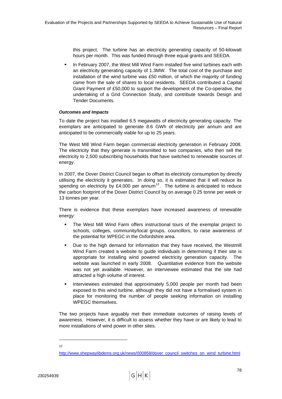<span id="page-87-0"></span>this project. The turbine has an electricity generating capacity of 50-kilowatt hours per month. This was funded through three equal grants and SEEDA.

 In February 2007, the West Mill Wind Farm installed five wind turbines each with an electricity generating capacity of 1.3MW. The total cost of the purchase and installation of the wind turbine was £50 million, of which the majority of funding came from the sale of shares to local residents. SEEDA contributed a Capital Grant Payment of £50,000 to support the development of the Co-operative, the undertaking of a Grid Connection Study, and contribute towards Design and Tender Documents.

## *Outcomes and Impacts*

To date the project has installed 6.5 megawatts of electricity generating capacity. The exemplars are anticipated to generate 8.6 GWh of electricity per annum and are anticipated to be commercially viable for up to 25 years.

The West Mill Wind Farm began commercial electricity generation in February 2008. The electricity that they generate is transmitted to two companies, who then sell the electricity to 2,500 subscribing households that have switched to renewable sources of energy.

In 2007, the Dover District Council began to offset its electricity consumption by directly utilising the electricity it generates. In doing so, it is estimated that it will reduce its spending on electricity by £4,000 per annum<sup>[12](#page-87-0)</sup>. The turbine is anticipated to reduce the carbon footprint of the Dover District Council by on average 0.25 tonne per week or 13 tonnes per year.

There is evidence that these exemplars have increased awareness of renewable energy:

- The West Mill Wind Farm offers instructional tours of the exemplar project to schools, colleges, community/local groups, councillors, to raise awareness of the potential for WPEGC in the Oxfordshire area.
- Due to the high demand for information that they have received, the Westmill Wind Farm created a website to guide individuals in determining if their site is appropriate for installing wind powered electricity generation capacity. The website was launched in early 2008. Quantitative evidence from the website was not yet available. However, an interviewee estimated that the site had attracted a high volume of interest.
- Interviewees estimated that approximately 5,000 people per month had been exposed to this wind turbine, although they did not have a formalised system in place for monitoring the number of people seeking information on installing WPEGC themselves.

The two projects have arguably met their immediate outcomes of raising levels of awareness. However, it is difficult to assess whether they have or are likely to lead to more installations of wind power in other sites.

l 12

[http://www.shepwaylibdems.org.uk/news/000858/dover\\_council\\_switches\\_on\\_wind\\_turbine.html](http://www.shepwaylibdems.org.uk/news/000858/dover_council_switches_on_wind_turbine.html)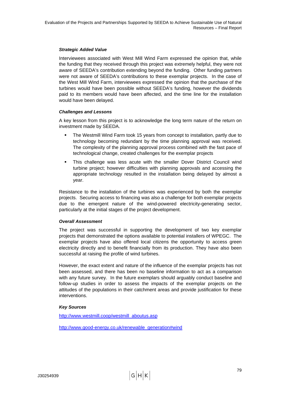## *Strategic Added Value*

Interviewees associated with West Mill Wind Farm expressed the opinion that, while the funding that they received through this project was extremely helpful, they were not aware of SEEDA's contribution extending beyond the funding. Other funding partners were not aware of SEEDA's contributions to these exemplar projects. In the case of the West Mill Wind Farm, interviewees expressed the opinion that the purchase of the turbines would have been possible without SEEDA's funding, however the dividends paid to its members would have been affected, and the time line for the installation would have been delayed.

#### *Challenges and Lessons*

A key lesson from this project is to acknowledge the long term nature of the return on investment made by SEEDA.

- The Westmill Wind Farm took 15 years from concept to installation, partly due to technology becoming redundant by the time planning approval was received. The complexity of the planning approval process combined with the fast pace of technological change, created challenges for the exemplar projects
- This challenge was less acute with the smaller Dover District Council wind turbine project; however difficulties with planning approvals and accessing the appropriate technology resulted in the installation being delayed by almost a year.

Resistance to the installation of the turbines was experienced by both the exemplar projects. Securing access to financing was also a challenge for both exemplar projects due to the emergent nature of the wind-powered electricity-generating sector, particularly at the initial stages of the project development.

#### *Overall Assessment*

The project was successful in supporting the development of two key exemplar projects that demonstrated the options available to potential installers of WPEGC. The exemplar projects have also offered local citizens the opportunity to access green electricity directly and to benefit financially from its production. They have also been successful at raising the profile of wind turbines.

However, the exact extent and nature of the influence of the exemplar projects has not been assessed, and there has been no baseline information to act as a comparison with any future survey. In the future exemplars should arguably conduct baseline and follow-up studies in order to assess the impacts of the exemplar projects on the attitudes of the populations in their catchment areas and provide justification for these interventions.

# *Key Sources*

[http://www.westmill.coop/westmill\\_aboutus.asp](http://www.westmill.coop/westmill_aboutus.asp) 

http://www.good-energy.co.uk/renewable\_generation#wind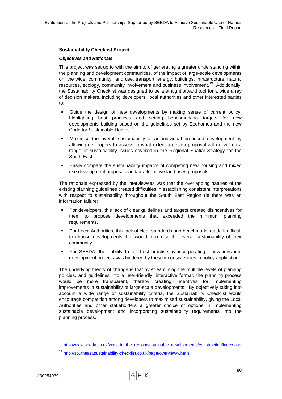# <span id="page-89-0"></span>**Sustainability Checklist Project**

## *Objectives and Rationale*

This project was set up to with the aim to of generating a greater understanding within the planning and development communities, of the impact of large-scale developments on; the wider community, land use, transport, energy, buildings, infrastructure, natural resources, ecology, community involvement and business involvement.<sup>[13](#page-89-0)</sup> Additionally, the Sustainability Checklist was designed to be a straightforward tool for a wide array of decision makers, including developers, local authorities and other interested parties to:

- Guide the design of new developments by making sense of current policy, highlighting best practices and setting benchmarking targets for new developments building based on the guidelines set by Ecohomes and the new Code for Sustainable Homes<sup>[14](#page-89-0)</sup>.
- Maximise the overall sustainability of an individual proposed development by allowing developers to assess to what extent a design proposal will deliver on a range of sustainability issues covered in the Regional Spatial Strategy for the South East.
- Easily compare the sustainability impacts of competing new housing and mixed use development proposals and/or alternative land uses proposals.

The rationale expressed by the interviewees was that the overlapping natures of the existing planning guidelines created difficulties in establishing consistent interpretations with respect to sustainability throughout the South East Region (ie there was an information failure):

- For developers, this lack of clear guidelines and targets created disincentives for them to propose developments that exceeded the minimum planning requirements.
- For Local Authorities, this lack of clear standards and benchmarks made it difficult to choose developments that would maximise the overall sustainability of their community.
- For SEEDA, their ability to set best practise by incorporating innovations into development projects was hindered by these inconsistencies in policy application.

The underlying theory of change is that by streamlining the multiple levels of planning policies, and guidelines into a user-friendly, interactive format, the planning process would be more transparent, thereby creating incentives for implementing improvements in sustainability of large-scale developments. By objectively taking into account a wide range of sustainability criteria, the Sustainability Checklist would encourage competition among developers to maximised sustainability, giving the Local Authorities and other stakeholders a greater choice of options in implementing sustainable development and incorporating sustainability requirements into the planning process.

<sup>&</sup>lt;sup>13</sup> [http://www.seeda.co.uk/work\\_in\\_the\\_region/sustainable\\_developments/construction/index.asp](http://www.seeda.co.uk/work_in_the_region/sustainable_developments/construction/index.asp)

<sup>14</sup> <http://southeast.sustainability-checklist.co.uk/page/overview/whatis>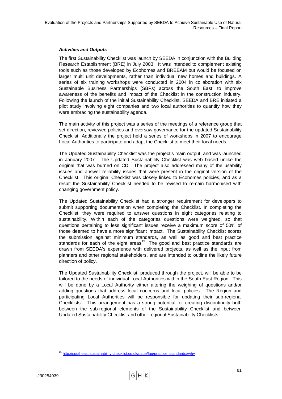## <span id="page-90-0"></span>*Activities and Outputs*

The first Sustainability Checklist was launch by SEEDA in conjunction with the Building Research Establishment (BRE) in July 2003. It was intended to complement existing tools such as those developed by Ecohomes and BREEAM but would be focused on larger multi unit developments, rather than individual new homes and buildings. A series of six training workshops were conducted in 2004 in collaboration with six Sustainable Business Partnerships (SBPs) across the South East, to improve awareness of the benefits and impact of the Checklist in the construction industry. Following the launch of the initial Sustainability Checklist, SEEDA and BRE initiated a pilot study involving eight companies and two local authorities to quantify how they were embracing the sustainability agenda.

The main activity of this project was a series of the meetings of a reference group that set direction, reviewed policies and oversaw governance for the updated Sustainability Checklist. Additionally the project held a series of workshops in 2007 to encourage Local Authorities to participate and adapt the Checklist to meet their local needs.

The Updated Sustainability Checklist was the project's main output, and was launched in January 2007. The Updated Sustainability Checklist was web based unlike the original that was burned on CD. The project also addressed many of the usability issues and answer reliability issues that were present in the original version of the Checklist. This original Checklist was closely linked to Ecohomes policies, and as a result the Sustainability Checklist needed to be revised to remain harmonised with changing government policy.

The Updated Sustainability Checklist had a stronger requirement for developers to submit supporting documentation when completing the Checklist. In completing the Checklist, they were required to answer questions in eight categories relating to sustainability. Within each of the categories questions were weighted, so that questions pertaining to less significant issues receive a maximum score of 50% of those deemed to have a more significant impact. The Sustainability Checklist scores the submission against minimum standards, as well as good and best practice standards for each of the eight areas<sup>[15](#page-90-0)</sup>. The good and best practice standards are drawn from SEEDA's experience with delivered projects, as well as the input from planners and other regional stakeholders, and are intended to outline the likely future direction of policy.

The Updated Sustainability Checklist, produced through the project, will be able to be tailored to the needs of individual Local Authorities within the South East Region. This will be done by a Local Authority either altering the weighing of questions and/or adding questions that address local concerns and local policies. The Region and participating Local Authorities will be responsible for updating their sub-regional Checklists'. This arrangement has a strong potential for creating discontinuity both between the sub-regional elements of the Sustainability Checklist and between Updated Sustainability Checklist and other regional Sustainability Checklists.

<sup>15</sup> [http://southeast.sustainability-checklist.co.uk/page/faq/practice\\_standards#why](http://southeast.sustainability-checklist.co.uk/page/faq/practice_standards#why)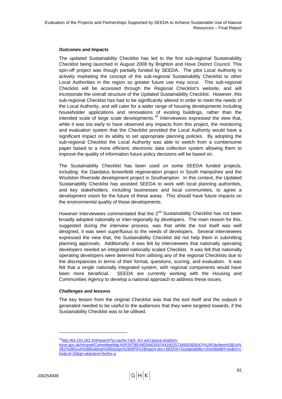## <span id="page-91-0"></span>*Outcomes and Impacts*

The updated Sustainability Checklist has led to the first sub-regional Sustainability Checklist being launched in August 2008 by Brighton and Hove District Council. This spin-off project was though partially funded by SEEDA. The pilot Local Authority is actively marketing the concept of the sub-regional Sustainability Checklist to other Local Authorities in the region so greater future use may occur. This sub-regional Checklist will be accessed through the Regional Checklist's website, and will incorporate the overall structure of the Updated Sustainability Checklist. However, this sub-regional Checklist has had to be significantly altered in order to meet the needs of the Local Authority, and will cater for a wider range of housing developments including householder applications and renovations of existing buildings, rather than the intended scale of large scale developments.<sup>[16](#page-91-0)</sup> Interviewees expressed the view that, while it was too early to have observed any impacts from this project, the monitoring and evaluation system that the Checklist provided the Local Authority would have a significant impact on its ability to set appropriate planning policies. By adopting the sub-regional Checklist the Local Authority was able to switch from a cumbersome paper based to a more efficient, electronic data collection system allowing them to improve the quality of information future policy decisions will be based on.

The Sustainability Checklist has been used on some SEEDA funded projects, including: the Daedalus brownfeild regeneration project in South Hampshire and the Woolston Riverside development project in Southampton. In this context, the Updated Sustainability Checklist has assisted SEEDA to work with local planning authorities, and key stakeholders, including businesses and local communities, to agree a development vision for the future of these areas. This should have future impacts on the environmental quality of these developments.

However interviewees commentated that the 2<sup>nd</sup> Sustainability Checklist has not been broadly adopted nationally or inter-regionally by developers. The main reason for this, suggested during the interview process, was that while the tool itself was well designed, it was seen superfluous to the needs of developers. Several interviewees expressed the view that, the Sustainability Checklist did not help them in submitting planning approvals. Additionally, it was felt by interviewees that nationally operating developers needed an integrated nationally scaled Checklist. It was felt that nationally operating developers were deterred from utilising any of the regional Checklists due to the discrepancies in terms of their format, questions, scoring, and evaluation. It was felt that a single nationally integrated system, with regional components would have been more beneficial. SEEDA are currently working with the Housing and Communities Agency to develop a national approach to address these issues.

#### *Challenges and lessons*

The key lesson from the original Checklist was that the tool itself and the outputs it generated needed to be useful to the audiences that they were targeted towards, if the Sustainability Checklist was to be utilised.

<sup>&</sup>lt;sup>16</sup>http://64.233.183.104/search?q=cache:Yqr5\_iK1-pAJ:peace.brighton-

[hove.gov.uk/Intranet/CommitteeMgt.NSF/0/7BEA8D5A6291FA4180257345003E6547/%24File/Item%2B14%](http://64.233.183.104/search?q=cache:Yqr5_iK1-pAJ:peace.brighton-hove.gov.uk/Intranet/CommitteeMgt.NSF/0/7BEA8D5A6291FA4180257345003E6547/%24File/Item%2B14%2B1%2BSust%2BBuilding%2BDesign%2BSPD%2Breport.doc+SEEDA+Sustainability+checklist&hl=en&ct=clnk&cd=20&gl=uk&client=firefox-a) [2B1%2BSust%2BBuilding%2BDesign%2BSPD%2Breport.doc+SEEDA+Sustainability+checklist&hl=en&ct=c](http://64.233.183.104/search?q=cache:Yqr5_iK1-pAJ:peace.brighton-hove.gov.uk/Intranet/CommitteeMgt.NSF/0/7BEA8D5A6291FA4180257345003E6547/%24File/Item%2B14%2B1%2BSust%2BBuilding%2BDesign%2BSPD%2Breport.doc+SEEDA+Sustainability+checklist&hl=en&ct=clnk&cd=20&gl=uk&client=firefox-a) [lnk&cd=20&gl=uk&client=firefox-a](http://64.233.183.104/search?q=cache:Yqr5_iK1-pAJ:peace.brighton-hove.gov.uk/Intranet/CommitteeMgt.NSF/0/7BEA8D5A6291FA4180257345003E6547/%24File/Item%2B14%2B1%2BSust%2BBuilding%2BDesign%2BSPD%2Breport.doc+SEEDA+Sustainability+checklist&hl=en&ct=clnk&cd=20&gl=uk&client=firefox-a)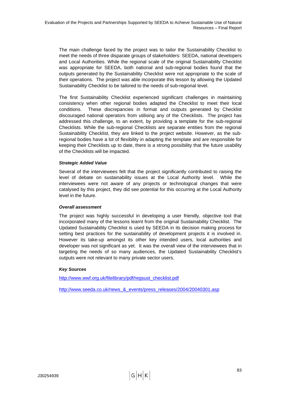The main challenge faced by the project was to tailor the Sustainability Checklist to meet the needs of three disparate groups of stakeholders: SEEDA, national developers and Local Authorities. While the regional scale of the original Sustainability Checklist was appropriate for SEEDA, both national and sub-regional bodies found that the outputs generated by the Sustainability Checklist were not appropriate to the scale of their operations. The project was able incorporate this lesson by allowing the Updated Sustainability Checklist to be tailored to the needs of sub-regional level.

The first Sustainability Checklist experienced significant challenges in maintaining consistency when other regional bodies adapted the Checklist to meet their local conditions. These discrepancies in format and outputs generated by Checklist discouraged national operators from utilising any of the Checklists. The project has addressed this challenge, to an extent, by providing a template for the sub-regional Checklists. While the sub-regional Checklists are separate entities from the regional Sustainability Checklist, they are linked to the project website. However, as the subregional bodies have a lot of flexibility in adapting the template and are responsible for keeping their Checklists up to date, there is a strong possibility that the future usability of the Checklists will be impacted.

# *Strategic Added Value*

Several of the interviewees felt that the project significantly contributed to raising the level of debate on sustainability issues at the Local Authority level. While the interviewees were not aware of any projects or technological changes that were catalysed by this project, they did see potential for this occurring at the Local Authority level in the future.

# *Overall assessment*

The project was highly successful in developing a user friendly, objective tool that incorporated many of the lessons learnt from the original Sustainability Checklist. The Updated Sustainability Checklist is used by SEEDA in its decision making process for setting best practices for the sustainability of development projects it is involved in. However its take-up amongst its other key intended users, local authorities and developer was not significant as yet. It was the overall view of the interviewees that in targeting the needs of so many audiences, the Updated Sustainability Checklist's outputs were not relevant to many private sector users.

# *Key Sources*

[http://www.wwf.org.uk/filelibrary/pdf/regsust\\_checklist.pdf](http://www.wwf.org.uk/filelibrary/pdf/regsust_checklist.pdf) 

[http://www.seeda.co.uk/news\\_&\\_events/press\\_releases/2004/20040301.asp](http://www.seeda.co.uk/news_&_events/press_releases/2004/20040301.asp)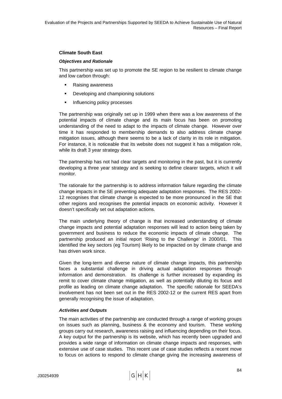## **Climate South East**

#### *Objectives and Rationale*

This partnership was set up to promote the SE region to be resilient to climate change and low carbon through:

- Raising awareness
- **•** Developing and championing solutions
- **Influencing policy processes**

The partnership was originally set up in 1999 when there was a low awareness of the potential impacts of climate change and its main focus has been on promoting understanding of the need to adapt to the impacts of climate change. However over time it has responded to membership demands to also address climate change mitigation issues, although there seems to be a lack of clarity in its role in mitigation. For instance, it is noticeable that its website does not suggest it has a mitigation role, while its draft 3 year strategy does.

The partnership has not had clear targets and monitoring in the past, but it is currently developing a three year strategy and is seeking to define clearer targets, which it will monitor.

The rationale for the partnership is to address information failure regarding the climate change impacts in the SE preventing adequate adaptation responses. The RES 2002- 12 recognises that climate change is expected to be more pronounced in the SE that other regions and recognises the potential impacts on economic activity. However it doesn't specifically set out adaptation actions.

The main underlying theory of change is that increased understanding of climate change impacts and potential adaptation responses will lead to action being taken by government and business to reduce the economic impacts of climate change. The partnership produced an initial report 'Rising to the Challenge' in 2000/01. This identified the key sectors (eg Tourism) likely to be impacted on by climate change and has driven work since.

Given the long-term and diverse nature of climate change impacts, this partnership faces a substantial challenge in driving actual adaptation responses through information and demonstration. Its challenge is further increased by expanding its remit to cover climate change mitigation, as well as potentially diluting its focus and profile as leading on climate change adaptation. The specific rationale for SEEDA's involvement has not been set out in the RES 2002-12 or the current RES apart from generally recognising the issue of adaptation.

# *Activities and Outputs*

The main activities of the partnership are conducted through a range of working groups on issues such as planning, business & the economy and tourism. These working groups carry out research, awareness raising and influencing depending on their focus. A key output for the partnership is its website, which has recently been upgraded and provides a wide range of information on climate change impacts and responses, with extensive use of case studies. This recent use of case studies reflects a recent move to focus on actions to respond to climate change giving the increasing awareness of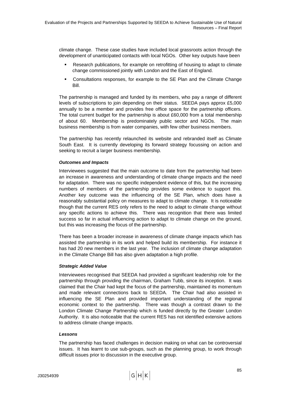climate change. These case studies have included local grassroots action through the development of unanticipated contacts with local NGOs. Other key outputs have been

- Research publications, for example on retrofitting of housing to adapt to climate change commissioned jointly with London and the East of England.
- Consultations responses, for example to the SE Plan and the Climate Change Bill.

The partnership is managed and funded by its members, who pay a range of different levels of subscriptions to join depending on their status. SEEDA pays approx £5,000 annually to be a member and provides free office space for the partnership officers. The total current budget for the partnership is about £60,000 from a total membership of about 60. Membership is predominately public sector and NGOs. The main business membership is from water companies, with few other business members.

The partnership has recently relaunched its website and rebranded itself as Climate South East. It is currently developing its forward strategy focussing on action and seeking to recruit a larger business membership.

## *Outcomes and Impacts*

Interviewees suggested that the main outcome to date from the partnership had been an increase in awareness and understanding of climate change impacts and the need for adaptation. There was no specific independent evidence of this, but the increasing numbers of members of the partnership provides some evidence to support this. Another key outcome was the influencing of the SE Plan, which does have a reasonably substantial policy on measures to adapt to climate change. It is noticeable though that the current RES only refers to the need to adapt to climate change without any specific actions to achieve this. There was recognition that there was limited success so far in actual influencing action to adapt to climate change on the ground, but this was increasing the focus of the partnership.

There has been a broader increase in awareness of climate change impacts which has assisted the partnership in its work and helped build its membership. For instance it has had 20 new members in the last year. The inclusion of climate change adaptation in the Climate Change Bill has also given adaptation a high profile.

#### *Strategic Added Value*

Interviewees recognised that SEEDA had provided a significant leadership role for the partnership through providing the chairman, Graham Tubb, since its inception. It was claimed that the Chair had kept the focus of the partnership, maintained its momentum and made relevant connections back to SEEDA. The Chair had also assisted in influencing the SE Plan and provided important understanding of the regional economic context to the partnership. There was though a contrast drawn to the London Climate Change Partnership which is funded directly by the Greater London Authority. It is also noticeable that the current RES has not identified extensive actions to address climate change impacts.

#### *Lessons*

The partnership has faced challenges in decision making on what can be controversial issues. It has learnt to use sub-groups, such as the planning group, to work through difficult issues prior to discussion in the executive group.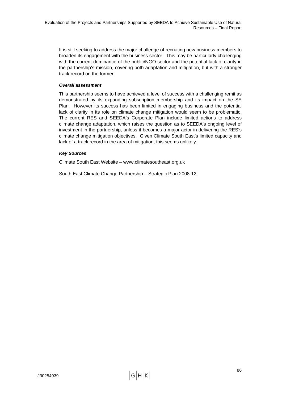It is still seeking to address the major challenge of recruiting new business members to broaden its engagement with the business sector. This may be particularly challenging with the current dominance of the public/NGO sector and the potential lack of clarity in the partnership's mission, covering both adaptation and mitigation, but with a stronger track record on the former.

## *Overall assessment*

This partnership seems to have achieved a level of success with a challenging remit as demonstrated by its expanding subscription membership and its impact on the SE Plan. However its success has been limited in engaging business and the potential lack of clarity in its role on climate change mitigation would seem to be problematic. The current RES and SEEDA's Corporate Plan include limited actions to address climate change adaptation, which raises the question as to SEEDA's ongoing level of investment in the partnership, unless it becomes a major actor in delivering the RES's climate change mitigation objectives. Given Climate South East's limited capacity and lack of a track record in the area of mitigation, this seems unlikely.

## *Key Sources*

Climate South East Website – www.climatesoutheast.org.uk

South East Climate Change Partnership – Strategic Plan 2008-12.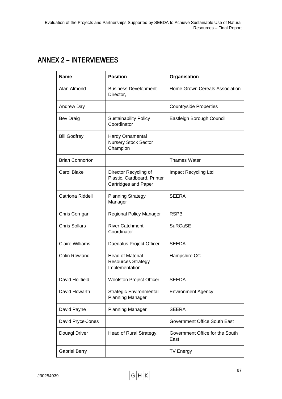# **ANNEX 2 – INTERVIEWEES**

| <b>Position</b><br>Name |                                                                                     | Organisation                            |  |
|-------------------------|-------------------------------------------------------------------------------------|-----------------------------------------|--|
| Alan Almond             | <b>Business Development</b><br>Director,                                            | Home Grown Cereals Association          |  |
| <b>Andrew Day</b>       |                                                                                     | <b>Countryside Properties</b>           |  |
| <b>Bev Draig</b>        | <b>Sustainability Policy</b><br>Coordinator                                         | Eastleigh Borough Council               |  |
| <b>Bill Godfrey</b>     | <b>Hardy Ornamental</b><br><b>Nursery Stock Sector</b><br>Champion                  |                                         |  |
| <b>Brian Connorton</b>  |                                                                                     | <b>Thames Water</b>                     |  |
| <b>Carol Blake</b>      | Director Recycling of<br>Plastic, Cardboard, Printer<br><b>Cartridges and Paper</b> | Impact Recycling Ltd                    |  |
| Catriona Riddell        | <b>Planning Strategy</b><br>Manager                                                 | <b>SEERA</b>                            |  |
| Chris Corrigan          | Regional Policy Manager                                                             | <b>RSPB</b>                             |  |
| <b>Chris Sollars</b>    | <b>River Catchment</b><br>Coordinator                                               | <b>SuRCaSE</b>                          |  |
| <b>Claire Williams</b>  | Daedalus Project Officer                                                            | <b>SEEDA</b>                            |  |
| <b>Colin Rowland</b>    | <b>Head of Material</b><br><b>Resources Strategy</b><br>Implementation              | Hampshire CC                            |  |
| David Hoilfield,        | <b>Woolston Project Officer</b>                                                     | <b>SEEDA</b>                            |  |
| David Howarth           | <b>Strategic Environmental</b><br><b>Planning Manager</b>                           | <b>Environment Agency</b>               |  |
| David Payne             | <b>Planning Manager</b>                                                             | <b>SEERA</b>                            |  |
| David Pryce-Jones       |                                                                                     | Government Office South East            |  |
| Douagl Driver           | Head of Rural Strategy,                                                             | Government Office for the South<br>East |  |
| <b>Gabriel Berry</b>    |                                                                                     | <b>TV Energy</b>                        |  |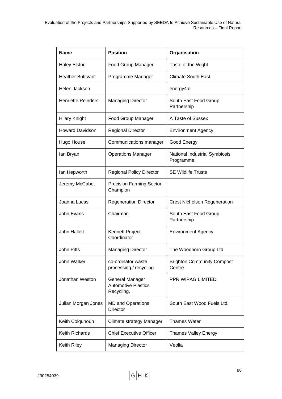| <b>Name</b>               | <b>Position</b>                                                    | Organisation                                |  |
|---------------------------|--------------------------------------------------------------------|---------------------------------------------|--|
| <b>Haley Elston</b>       | Food Group Manager                                                 | Taste of the Wight                          |  |
| <b>Heather Buttivant</b>  | Programme Manager                                                  | <b>Climate South East</b>                   |  |
| Helen Jackson             |                                                                    | energy4all                                  |  |
| <b>Henriette Reinders</b> | <b>Managing Director</b>                                           | South East Food Group<br>Partnership        |  |
| <b>Hilary Knight</b>      | Food Group Manager                                                 | A Taste of Sussex                           |  |
| <b>Howard Davidson</b>    | <b>Regional Director</b>                                           | <b>Environment Agency</b>                   |  |
| Hugo House                | Communications manager                                             | Good Energy                                 |  |
| lan Bryan                 | <b>Operations Manager</b>                                          | National Industrial Symbiosis<br>Programme  |  |
| lan Hepworth              | <b>Regional Policy Director</b>                                    | <b>SE Wildlife Trusts</b>                   |  |
| Jeremy McCabe,            | <b>Precision Farming Sector</b><br>Champion                        |                                             |  |
| Joanna Lucas              | <b>Regeneration Director</b>                                       | <b>Crest Nicholson Regeneration</b>         |  |
| John Evans                | Chairman                                                           | South East Food Group<br>Partnership        |  |
| John Hallett              | Kennett Project<br>Coordinator                                     | <b>Environment Agency</b>                   |  |
| <b>John Pitts</b>         | <b>Managing Director</b>                                           | The Woodhorn Group Ltd                      |  |
| John Walker               | co-ordinator waste<br>processing / recycling                       | <b>Brighton Community Compost</b><br>Centre |  |
| Jonathan Weston           | <b>General Manager</b><br><b>Automotive Plastics</b><br>Recycling, | PPR WIPAG LIMITED                           |  |
| Julian Morgan Jones       | <b>MD and Operations</b><br><b>Director</b>                        | South East Wood Fuels Ltd.                  |  |
| Keith Colquhoun           | Climate strategy Manager                                           | <b>Thames Water</b>                         |  |
| Keith Richards            | <b>Chief Executive Officer</b>                                     | <b>Thames Valley Energy</b>                 |  |
| Keith Riley               | <b>Managing Director</b>                                           | Veolia                                      |  |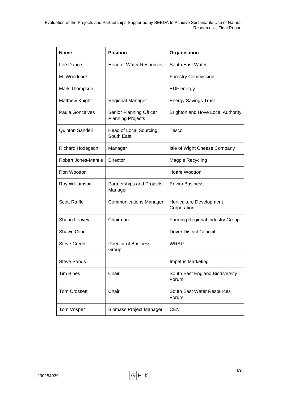| <b>Name</b>                                  | <b>Position</b>                                            | Organisation                             |  |
|----------------------------------------------|------------------------------------------------------------|------------------------------------------|--|
| Lee Dance                                    | <b>Head of Water Resources</b>                             | South East Water                         |  |
| M. Woodcock                                  |                                                            | <b>Forestry Commission</b>               |  |
| Mark Thompson                                |                                                            | EDF energy                               |  |
| <b>Matthew Knight</b>                        | Regional Manager                                           | <b>Energy Savings Trust</b>              |  |
| Paula Goncalves                              | <b>Senior Planning Officer</b><br><b>Planning Projects</b> | <b>Brighton and Hove Local Authority</b> |  |
| <b>Quinton Sandell</b>                       | Head of Local Sourcing,<br>South East                      | Tesco                                    |  |
| Richard Hodegson                             | Manager                                                    | Isle of Wight Cheese Company             |  |
| Robert Jones-Mantle                          | Director                                                   | Magpie Recycling                         |  |
| Ron Wootton                                  |                                                            | Hoare Wootton                            |  |
| Roy Williamson                               | Partnerships and Projects<br>Manager                       | <b>Enviro Business</b>                   |  |
| <b>Scott Raffle</b>                          | <b>Communications Manager</b>                              | Horticulture Development<br>Corporation  |  |
| Shaun Leavey                                 | Chairman                                                   | Farming Regional Industry Group          |  |
| <b>Shawn Cline</b>                           |                                                            | <b>Dover District Council</b>            |  |
| <b>Steve Creed</b>                           | <b>Director of Business</b><br>Group                       | <b>WRAP</b>                              |  |
| <b>Steve Sands</b>                           |                                                            | Impetus Marketing                        |  |
| <b>Tim Bines</b>                             | Chair                                                      | South East England Biodiversity<br>Forum |  |
| Chair<br><b>Tom Crossett</b>                 |                                                            | South East Water Resources<br>Forum      |  |
| Tom Vosper<br><b>Biomass Project Manager</b> |                                                            | <b>CEN</b>                               |  |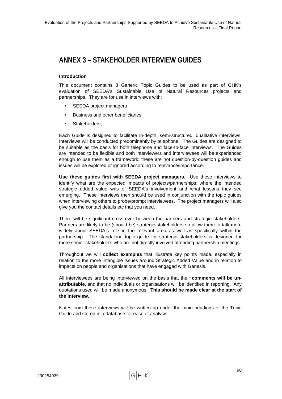# **ANNEX 3 – STAKEHOLDER INTERVIEW GUIDES**

# **Introduction**

This document contains 3 Generic Topic Guides to be used as part of GHK's evaluation of SEEDA's Sustainable Use of Natural Resources projects and partnerships. They are for use in interviews with:

- SEEDA project managers
- **Business and other beneficiaries;**
- **Stakeholders:**

Each Guide is designed to facilitate in-depth, semi-structured, qualitative interviews. Interviews will be conducted predominantly by telephone. The Guides are designed to be suitable as the basis for both telephone and face-to-face interviews. The Guides are intended to be flexible and both interviewers and interviewees will be experienced enough to use them as a framework; these are not question-by-question guides and issues will be explored or ignored according to relevance/importance.

**Use these guides first with SEEDA project managers.** Use these interviews to identify what are the expected impacts of projects/partnerships; where the intended strategic added value was of SEEDA's involvement and what lessons they see emerging. These interviews then should be used in conjunction with the topic guides when interviewing others to probe/prompt interviewees. The project managers will also give you the contact details etc that you need.

There will be significant cross-over between the partners and strategic stakeholders. Partners are likely to be (should be) strategic stakeholders so allow them to talk more widely about SEEDA's role in the relevant area as well as specifically within the partnership. The standalone topic guide for strategic stakeholders is designed for more senior stakeholders who are not directly involved attending partnership meetings.

Throughout we will **collect examples** that illustrate key points made, especially in relation to the more intangible issues around Strategic Added Value and in relation to impacts on people and organisations that have engaged with Genesis.

All interviewees are being interviewed on the basis that their **comments will be unattributable**, and that no individuals or organisations will be identified in reporting. Any quotations used will be made anonymous. **This should be made clear at the start of the interview.**

Notes from these interviews will be written up under the main headings of the Topic Guide and stored in a database for ease of analysis.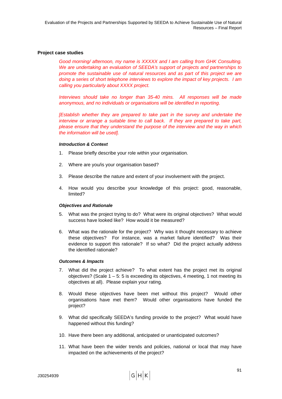### **Project case studies**

*Good morning/ afternoon, my name is XXXXX and I am calling from GHK Consulting. We are undertaking an evaluation of SEEDA's support of projects and partnerships to promote the sustainable use of natural resources and as part of this project we are doing a series of short telephone interviews to explore the impact of key projects. I am calling you particularly about XXXX project.* 

*Interviews should take no longer than 35-40 mins. All responses will be made anonymous, and no individuals or organisations will be identified in reporting.* 

*[Establish whether they are prepared to take part in the survey and undertake the interview or arrange a suitable time to call back. If they are prepared to take part, please ensure that they understand the purpose of the interview and the way in which the information will be used].* 

#### *Introduction & Context*

- 1. Please briefly describe your role within your organisation.
- 2. Where are you/is your organisation based?
- 3. Please describe the nature and extent of your involvement with the project.
- 4. How would you describe your knowledge of this project: good, reasonable, limited?

#### *Objectives and Rationale*

- 5. What was the project trying to do? What were its original objectives? What would success have looked like? How would it be measured?
- 6. What was the rationale for the project? Why was it thought necessary to achieve these objectives? For instance, was a market failure identified? Was their evidence to support this rationale? If so what? Did the project actually address the identified rationale?

### *Outcomes & Impacts*

- 7. What did the project achieve? To what extent has the project met its original objectives? (Scale  $1 - 5$ : 5 is exceeding its objectives, 4 meeting, 1 not meeting its objectives at all). Please explain your rating.
- 8. Would these objectives have been met without this project? Would other organisations have met them? Would other organisations have funded the project?
- 9. What did specifically SEEDA's funding provide to the project? What would have happened without this funding?
- 10. Have there been any additional, anticipated or unanticipated outcomes?
- 11. What have been the wider trends and policies, national or local that may have impacted on the achievements of the project?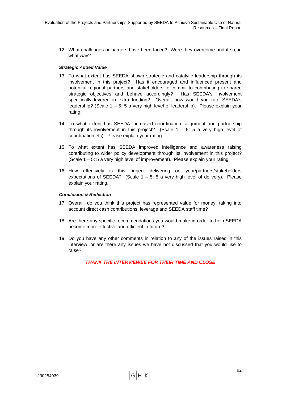12. What challenges or barriers have been faced? Were they overcome and if so, in what way?

# *Strategic Added Value*

- 13. To what extent has SEEDA shown strategic and catalytic leadership through its involvement in this project? Has it encouraged and influenced present and potential regional partners and stakeholders to commit to contributing to shared strategic objectives and behave accordingly? Has SEEDA's involvement specifically levered in extra funding? Overall, how would you rate SEEDA's leadership? (Scale 1 – 5: 5 a very high level of leadership). Please explain your rating.
- 14. To what extent has SEEDA increased coordination, alignment and partnership through its involvement in this project? (Scale  $1 - 5$ : 5 a very high level of coordination etc). Please explain your rating.
- 15. To what extent has SEEDA improved intelligence and awareness raising contributing to wider policy development through its involvement in this project? (Scale 1 – 5: 5 a very high level of improvement). Please explain your rating.
- 16. How effectively is this project delivering on your/partners/stakeholders expectations of SEEDA? (Scale  $1 - 5$ : 5 a very high level of delivery). Please explain your rating.

## *Conclusion & Reflection*

- 17. Overall, do you think this project has represented value for money, taking into account direct cash contributions, leverage and SEEDA staff time?
- 18. Are there any specific recommendations you would make in order to help SEEDA become more effective and efficient in future?
- 19. Do you have any other comments in relation to any of the issues raised in this interview, or are there any issues we have not discussed that you would like to raise?

*THANK THE INTERVIEWEE FOR THEIR TIME AND CLOSE*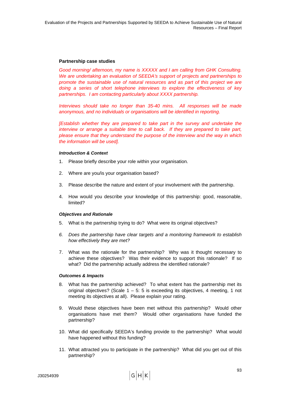## **Partnership case studies**

*Good morning/ afternoon, my name is XXXXX and I am calling from GHK Consulting. We are undertaking an evaluation of SEEDA's support of projects and partnerships to promote the sustainable use of natural resources and as part of this project we are doing a series of short telephone interviews to explore the effectiveness of key partnerships. I am contacting particularly about XXXX partnership.* 

*Interviews should take no longer than 35-40 mins. All responses will be made anonymous, and no individuals or organisations will be identified in reporting.* 

*[Establish whether they are prepared to take part in the survey and undertake the interview or arrange a suitable time to call back. If they are prepared to take part, please ensure that they understand the purpose of the interview and the way in which the information will be used].* 

#### *Introduction & Context*

- 1. Please briefly describe your role within your organisation.
- 2. Where are you/is your organisation based?
- 3. Please describe the nature and extent of your involvement with the partnership.
- 4. How would you describe your knowledge of this partnership: good, reasonable, limited?

#### *Objectives and Rationale*

- 5. What is the partnership trying to do? What were its original objectives?
- *6. Does the partnership have clear targets and a monitoring framework to establish how effectively they are met?*
- 7. What was the rationale for the partnership? Why was it thought necessary to achieve these objectives? Was their evidence to support this rationale? If so what? Did the partnership actually address the identified rationale?

#### *Outcomes & Impacts*

- 8. What has the partnership achieved? To what extent has the partnership met its original objectives? (Scale  $1 - 5$ : 5 is exceeding its objectives, 4 meeting, 1 not meeting its objectives at all). Please explain your rating.
- 9. Would these objectives have been met without this partnership? Would other organisations have met them? Would other organisations have funded the partnership?
- 10. What did specifically SEEDA's funding provide to the partnership? What would have happened without this funding?
- 11. What attracted you to participate in the partnership? What did you get out of this partnership?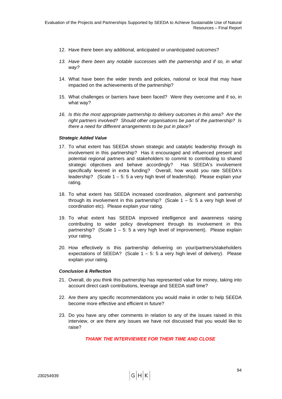- 12. Have there been any additional, anticipated or unanticipated outcomes?
- 13. Have there been any notable successes with the partnership and if so, in what *way?*
- 14. What have been the wider trends and policies, national or local that may have impacted on the achievements of the partnership?
- 15. What challenges or barriers have been faced? Were they overcome and if so, in what way?
- *16. Is this the most appropriate partnership to delivery outcomes in this area? Are the right partners involved? Should other organisations be part of the partnership? Is there a need for different arrangements to be put in place?*

#### *Strategic Added Value*

- 17. To what extent has SEEDA shown strategic and catalytic leadership through its involvement in this partnership? Has it encouraged and influenced present and potential regional partners and stakeholders to commit to contributing to shared strategic objectives and behave accordingly? Has SEEDA's involvement specifically levered in extra funding? Overall, how would you rate SEEDA's leadership? (Scale 1 – 5: 5 a very high level of leadership). Please explain your rating.
- 18. To what extent has SEEDA increased coordination, alignment and partnership through its involvement in this partnership? (Scale  $1 - 5$ : 5 a very high level of coordination etc). Please explain your rating.
- 19. To what extent has SEEDA improved intelligence and awareness raising contributing to wider policy development through its involvement in this partnership? (Scale 1 – 5: 5 a very high level of improvement). Please explain your rating.
- 20. How effectively is this partnership delivering on your/partners/stakeholders expectations of SEEDA? (Scale  $1 - 5$ : 5 a very high level of delivery). Please explain your rating.

#### *Conclusion & Reflection*

- 21. Overall, do you think this partnership has represented value for money, taking into account direct cash contributions, leverage and SEEDA staff time?
- 22. Are there any specific recommendations you would make in order to help SEEDA become more effective and efficient in future?
- 23. Do you have any other comments in relation to any of the issues raised in this interview, or are there any issues we have not discussed that you would like to raise?

*THANK THE INTERVIEWEE FOR THEIR TIME AND CLOSE*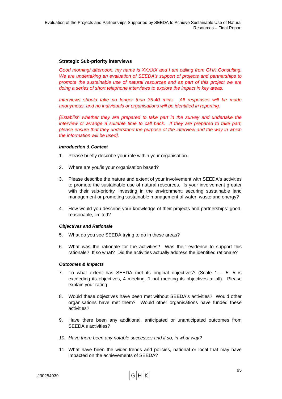## **Strategic Sub-priority interviews**

*Good morning/ afternoon, my name is XXXXX and I am calling from GHK Consulting. We are undertaking an evaluation of SEEDA's support of projects and partnerships to promote the sustainable use of natural resources and as part of this project we are doing a series of short telephone interviews to explore the impact in key areas.* 

*Interviews should take no longer than 35-40 mins. All responses will be made anonymous, and no individuals or organisations will be identified in reporting.* 

*[Establish whether they are prepared to take part in the survey and undertake the interview or arrange a suitable time to call back. If they are prepared to take part, please ensure that they understand the purpose of the interview and the way in which the information will be used].* 

#### *Introduction & Context*

- 1. Please briefly describe your role within your organisation.
- 2. Where are you/is your organisation based?
- 3. Please describe the nature and extent of your involvement with SEEDA's activities to promote the sustainable use of natural resources. Is your involvement greater with their sub-priority 'investing in the environment; securing sustainable land management or promoting sustainable management of water, waste and energy?
- 4. How would you describe your knowledge of their projects and partnerships: good, reasonable, limited?

#### *Objectives and Rationale*

- 5. What do you see SEEDA trying to do in these areas?
- 6. What was the rationale for the activities? Was their evidence to support this rationale? If so what? Did the activities actually address the identified rationale?

#### *Outcomes & Impacts*

- 7. To what extent has SEEDA met its original objectives? (Scale  $1 5$ : 5 is exceeding its objectives, 4 meeting, 1 not meeting its objectives at all). Please explain your rating.
- 8. Would these objectives have been met without SEEDA's activities? Would other organisations have met them? Would other organisations have funded these activities?
- 9. Have there been any additional, anticipated or unanticipated outcomes from SEEDA's activities?
- *10. Have there been any notable successes and if so, in what way?*
- 11. What have been the wider trends and policies, national or local that may have impacted on the achievements of SEEDA?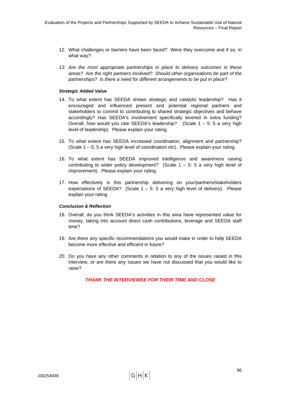- 12. What challenges or barriers have been faced? Were they overcome and if so, in what way?
- *13. Are the most appropriate partnerships in place to delivery outcomes in these areas? Are the right partners involved? Should other organisations be part of the partnerships? Is there a need for different arrangements to be put in place?*

## *Strategic Added Value*

- 14. To what extent has SEEDA shown strategic and catalytic leadership? Has it encouraged and influenced present and potential regional partners and stakeholders to commit to contributing to shared strategic objectives and behave accordingly? Has SEEDA's involvement specifically levered in extra funding? Overall, how would you rate SEEDA's leadership? (Scale 1 – 5: 5 a very high level of leadership). Please explain your rating.
- 15. To what extent has SEEDA increased coordination, alignment and partnership? (Scale 1 – 5: 5 a very high level of coordination etc). Please explain your rating.
- 16. To what extent has SEEDA improved intelligence and awareness raising contributing to wider policy development? (Scale  $1 - 5$ : 5 a very high level of improvement). Please explain your rating.
- 17. How effectively is this partnership delivering on your/partners/stakeholders expectations of SEEDA? (Scale  $1 - 5$ : 5 a very high level of delivery). Please explain your rating.

#### *Conclusion & Reflection*

- 18. Overall, do you think SEEDA's activities in this area have represented value for money, taking into account direct cash contributions, leverage and SEEDA staff time?
- 19. Are there any specific recommendations you would make in order to help SEEDA become more effective and efficient in future?
- 20. Do you have any other comments in relation to any of the issues raised in this interview, or are there any issues we have not discussed that you would like to raise?

*THANK THE INTERVIEWEE FOR THEIR TIME AND CLOSE*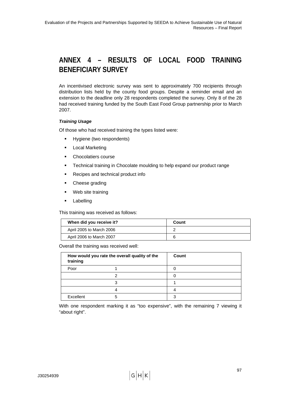# **ANNEX 4 – RESULTS OF LOCAL FOOD TRAINING BENEFICIARY SURVEY**

An incentivised electronic survey was sent to approximately 700 recipients through distribution lists held by the county food groups. Despite a reminder email and an extension to the deadline only 28 respondents completed the survey. Only 8 of the 28 had received training funded by the South East Food Group partnership prior to March 2007.

# *Training Usage*

Of those who had received training the types listed were:

- **Hygiene (two respondents)**
- **Local Marketing**
- **•** Chocolatiers course
- **Technical training in Chocolate moulding to help expand our product range**
- Recipes and technical product info
- Cheese grading
- Web site training
- **Labelling**

This training was received as follows:

| When did you receive it? | Count |
|--------------------------|-------|
| April 2005 to March 2006 |       |
| April 2006 to March 2007 |       |

Overall the training was received well:

| training  | How would you rate the overall quality of the | Count |
|-----------|-----------------------------------------------|-------|
| Poor      |                                               |       |
|           | າ                                             |       |
|           | ≏                                             |       |
|           |                                               |       |
| Excellent | 5                                             |       |

With one respondent marking it as "too expensive", with the remaining 7 viewing it "about right".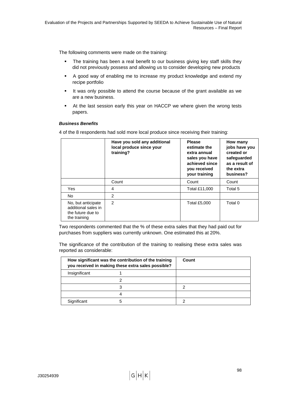The following comments were made on the training:

- The training has been a real benefit to our business giving key staff skills they did not previously possess and allowing us to consider developing new products
- A good way of enabling me to increase my product knowledge and extend my recipe portfolio
- It was only possible to attend the course because of the grant available as we are a new business.
- At the last session early this year on HACCP we where given the wrong tests papers.

## *Business Benefits*

4 of the 8 respondents had sold more local produce since receiving their training:

|                                                                                | Have you sold any additional<br>local produce since your<br>training? | <b>Please</b><br>estimate the<br>extra annual<br>sales you have<br>achieved since<br>you received<br>your training | How many<br>jobs have you<br>created or<br>safeguarded<br>as a result of<br>the extra<br>business? |
|--------------------------------------------------------------------------------|-----------------------------------------------------------------------|--------------------------------------------------------------------------------------------------------------------|----------------------------------------------------------------------------------------------------|
|                                                                                | Count                                                                 | Count                                                                                                              | Count                                                                                              |
| Yes                                                                            | 4                                                                     | Total £11,000                                                                                                      | Total 5                                                                                            |
| No.                                                                            | 2                                                                     |                                                                                                                    |                                                                                                    |
| No, but anticipate<br>additional sales in<br>the future due to<br>the training | $\mathcal{P}$                                                         | Total £5,000                                                                                                       | Total 0                                                                                            |

Two respondents commented that the % of these extra sales that they had paid out for purchases from suppliers was currently unknown. One estimated this at 20%.

The significance of the contribution of the training to realising these extra sales was reported as considerable:

|               | How significant was the contribution of the training<br>you received in making these extra sales possible? | Count |
|---------------|------------------------------------------------------------------------------------------------------------|-------|
| Insignificant |                                                                                                            |       |
|               |                                                                                                            |       |
|               |                                                                                                            | n     |
|               |                                                                                                            |       |
| Significant   |                                                                                                            |       |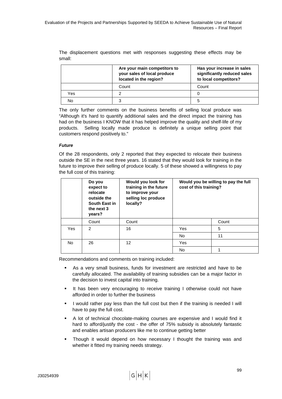The displacement questions met with responses suggesting these effects may be small:

|     | Are your main competitors to<br>your sales of local produce<br>located in the region? | Has your increase in sales<br>significantly reduced sales<br>to local competitors? |
|-----|---------------------------------------------------------------------------------------|------------------------------------------------------------------------------------|
|     | Count                                                                                 | Count                                                                              |
| Yes | າ                                                                                     |                                                                                    |
| No  | 3                                                                                     | 5                                                                                  |

The only further comments on the business benefits of selling local produce was "Although it's hard to quantify additional sales and the direct impact the training has had on the business I KNOW that it has helped improve the quality and shelf-life of my products. Selling locally made produce is definitely a unique selling point that customers respond positively to."

### *Future*

Of the 28 respondents, only 2 reported that they expected to relocate their business outside the SE in the next three years. 16 stated that they would look for training in the future to improve their selling of produce locally. 5 of these showed a willingness to pay the full cost of this training:

|     | Do you<br>expect to<br>relocate<br>outside the<br>South East in<br>the next 3<br>years? | Would you look for<br>training in the future<br>to improve your<br>selling loc produce<br>locally? | cost of this training? | Would you be willing to pay the full |
|-----|-----------------------------------------------------------------------------------------|----------------------------------------------------------------------------------------------------|------------------------|--------------------------------------|
|     | Count                                                                                   | Count                                                                                              |                        | Count                                |
| Yes | $\mathcal{P}$                                                                           | 16                                                                                                 | Yes                    | 5                                    |
|     |                                                                                         |                                                                                                    | No.                    | 11                                   |
| No. | 26                                                                                      | 12                                                                                                 | Yes                    |                                      |
|     |                                                                                         |                                                                                                    | No                     |                                      |

Recommendations and comments on training included:

- As a very small business, funds for investment are restricted and have to be carefully allocated. The availability of training subsidies can be a major factor in the decision to invest capital into training.
- It has been very encouraging to receive training I otherwise could not have afforded in order to further the business
- I would rather pay less than the full cost but then if the training is needed I will have to pay the full cost.
- A lot of technical chocolate-making courses are expensive and I would find it hard to afford/justify the cost - the offer of 75% subsidy is absolutely fantastic and enables artisan producers like me to continue getting better
- Though it would depend on how necessary I thought the training was and whether it fitted my training needs strategy.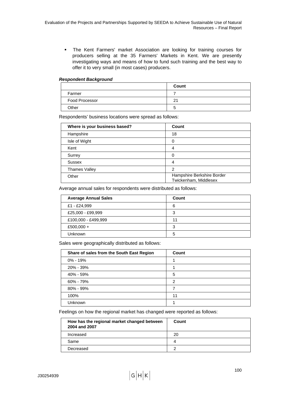The Kent Farmers' market Association are looking for training courses for producers selling at the 35 Farmers' Markets in Kent. We are presently investigating ways and means of how to fund such training and the best way to offer it to very small (in most cases) producers.

#### *Respondent Background*

|                       | Count   |
|-----------------------|---------|
| Farmer                |         |
| <b>Food Processor</b> | n,      |
| Other                 | ∽<br>v. |

Respondents' business locations were spread as follows:

| Where is your business based? | Count                                               |
|-------------------------------|-----------------------------------------------------|
| Hampshire                     | 18                                                  |
| Isle of Wight                 | 0                                                   |
| Kent                          | 4                                                   |
| Surrey                        | 0                                                   |
| <b>Sussex</b>                 | 4                                                   |
| Thames Valley                 | っ                                                   |
| Other                         | Hampshire Berkshire Border<br>Twickenham, Middlesex |

Average annual sales for respondents were distributed as follows:

| <b>Average Annual Sales</b> | Count |
|-----------------------------|-------|
| £1 - £24,999                | 6     |
| £25,000 - £99,999           | 3     |
| £100,000 - £499,999         | 11    |
| £500,000 +                  | 3     |
| <b>Unknown</b>              | 5     |

Sales were geographically distributed as follows:

| Share of sales from the South East Region | Count |
|-------------------------------------------|-------|
| $0\% - 19\%$                              |       |
| 20% - 39%                                 |       |
| 40% - 59%                                 | 5     |
| 60% - 79%                                 | 2     |
| 80% - 99%                                 |       |
| 100%                                      | 11    |
| Unknown                                   |       |

Feelings on how the regional market has changed were reported as follows:

| How has the regional market changed between<br>2004 and 2007 | Count |
|--------------------------------------------------------------|-------|
| Increased                                                    | 20    |
| Same                                                         | 4     |
| Decreased                                                    | ≘     |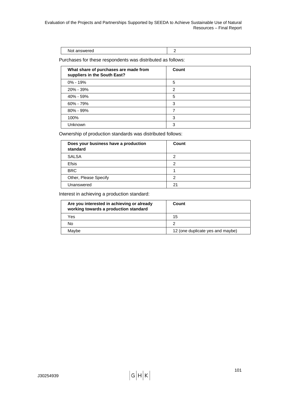| answered<br>דמצו<br>. . |  |
|-------------------------|--|

Purchases for these respondents was distributed as follows:

| What share of purchases are made from<br>suppliers in the South East? | Count |
|-----------------------------------------------------------------------|-------|
| $0\% - 19\%$                                                          | 5     |
| 20% - 39%                                                             | 2     |
| 40% - 59%                                                             | 5     |
| 60% - 79%                                                             | 3     |
| $80\% - 99\%$                                                         |       |
| 100%                                                                  | 3     |
| Unknown                                                               | 3     |

Ownership of production standards was distributed follows:

| Does your business have a production<br>standard | Count |
|--------------------------------------------------|-------|
| <b>SALSA</b>                                     | າ     |
| <b>Efsis</b>                                     | 2     |
| <b>BRC</b>                                       |       |
| Other, Please Specify                            | റ     |
| Unanswered                                       | 21    |

Interest in achieving a production standard:

| Are you interested in achieving or already<br>working towards a production standard | Count                            |
|-------------------------------------------------------------------------------------|----------------------------------|
| Yes                                                                                 | 15                               |
| No                                                                                  | っ                                |
| Mavbe                                                                               | 12 (one duplicate yes and maybe) |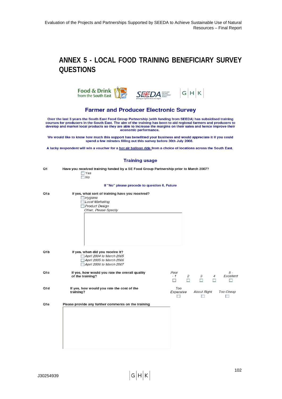# **ANNEX 5 - LOCAL FOOD TRAINING BENEFICIARY SURVEY QUESTIONS**



## **Farmer and Producer Electronic Survey**

Over the last 3 years the South East Food Group Partnership (with funding from SEEDA) has subsidised training<br>courses for producers in the South East. The aim of the training has been to aid regional farmers and producers economic performance.

We would like to know how much this support has benefitted your business and would appreciate it if you could spend a few minutes filling out this survey before 30th July 2008.

A lucky respondent will win a voucher for a hot air balloon ride from a choice of locations across the South East.

## $\frac{1}{2}$  ,  $\frac{1}{2}$  ,  $\frac{1}{2}$

|                  | Training usage                                                                                                                         |                                                                                                                          |
|------------------|----------------------------------------------------------------------------------------------------------------------------------------|--------------------------------------------------------------------------------------------------------------------------|
| Q1               | Have you received training funded by a SE Food Group Partnership prior to March 2007?<br>$\Box$ Yes<br>$\n  No\n$                      |                                                                                                                          |
|                  | If "No" please procede to question 6, Future                                                                                           |                                                                                                                          |
| Q <sub>1</sub> a | If yes, what sort of training have you received?<br>Hy <sub>g</sub> iene<br>Local Marketing<br>Product Design<br>Other, Please Specify |                                                                                                                          |
| Q1b              | If yes, when did you receive it?<br>April 2004 to March 2005<br>April 2005 to March 2006<br>April 2006 to March 2007                   |                                                                                                                          |
| Q <sub>1</sub> c | If yes, how would you rate the overall quality<br>of the training?                                                                     | $5 -$<br>Poor<br>$\overline{c}$<br>Excellent<br>$-1$<br>3<br>$\overline{4}$<br>$\Box$<br><b>The State</b><br>$\Box$<br>T |
| Q1d              | If yes, how would you rate the cost of the<br>training?                                                                                | Too<br>Too Cheap<br><b>About Right</b><br>Expensive<br><b>A</b>                                                          |
| Q1e              | Please provide any further comments on the training                                                                                    |                                                                                                                          |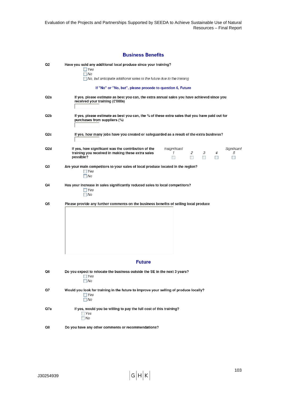Evaluation of the Projects and Partnerships Supported by SEEDA to Achieve Sustainable Use of Natural Resources – Final Report

|     | <b>Business Benefits</b>                                                                                                                                                                                                                                           |
|-----|--------------------------------------------------------------------------------------------------------------------------------------------------------------------------------------------------------------------------------------------------------------------|
| Q2  | Have you sold any additional local produce since your training?<br>$\Box$ Yes<br>$\Box$ No<br>$\Box$ No, but anticipate additional sales in the future due to the training                                                                                         |
|     | If "No" or "No, but", please procede to question 6, Future                                                                                                                                                                                                         |
|     |                                                                                                                                                                                                                                                                    |
| Q2a | If yes, please estimate as best you can, the extra annual sales you have achieved since you<br>received your training (£'000s)                                                                                                                                     |
| Q2b | If yes, please estimate as best you can, the % of these extra sales that you have paid out for<br>purchases from suppliers (%)                                                                                                                                     |
| Q2c | If yes, how many jobs have you created or safeguarded as a result of the extra business?                                                                                                                                                                           |
| Q2d | If yes, how significant was the contribution of the<br>Insignificant<br>Significant<br>$\overline{c}$<br>З<br>training you received in making these extra sales<br>1<br>4<br>5<br>possible?<br><b>The Contract of Street</b><br>$\overline{\phantom{a}}$<br>Ш<br>ш |
| Q3  | Are your main competitors to your sales of local produce located in the region?<br>$\Box$ Yes<br>$\neg$ No                                                                                                                                                         |
| Q4  | Has your increase in sales significantly reduced sales to local competitors?<br>$\Box$ Yes<br>$\Box$ No                                                                                                                                                            |
| Q5  | Please provide any further comments on the business benefits of selling local produce                                                                                                                                                                              |
|     | <b>Future</b>                                                                                                                                                                                                                                                      |
| Q6  | Do you expect to relocate the business outside the SE in the next 3 years?<br>$\Box$ Yes<br>$\neg$ No                                                                                                                                                              |
| Q7  | Would you look for training in the future to improve your selling of produce locally?<br>$\Box$ Yes<br>$\neg$ No                                                                                                                                                   |
| Q7a | If yes, would you be willing to pay the full cost of this training?<br>$\Box$ Yes<br>$\neg$ No                                                                                                                                                                     |
| Q8  | Do you have any other comments or recommendations?                                                                                                                                                                                                                 |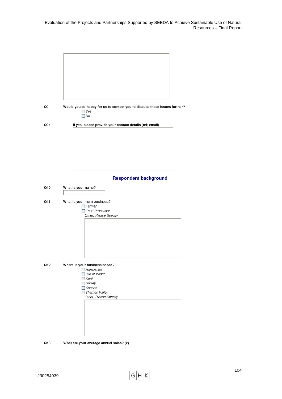| Q9  | Would you be happy for us to contact you to discuss these issues further?<br>$\Box$ Yes<br>$\neg$ No                                        |
|-----|---------------------------------------------------------------------------------------------------------------------------------------------|
| Q9a | If yes, please provide your contact details (tel; email)                                                                                    |
|     | <b>Respondent background</b>                                                                                                                |
| Q10 | What is your name?                                                                                                                          |
| Q11 | What is your main business?<br>Farmer<br>Food Processor<br>Other, Please Specify                                                            |
| Q12 | Where is your business based?<br>Hampshire<br>Isle of Wight<br>$\exists$ Kent<br>Surrey<br>Sussex<br>Thames Valley<br>Other, Please Specify |

Q13 What are your average annual sales? (£)